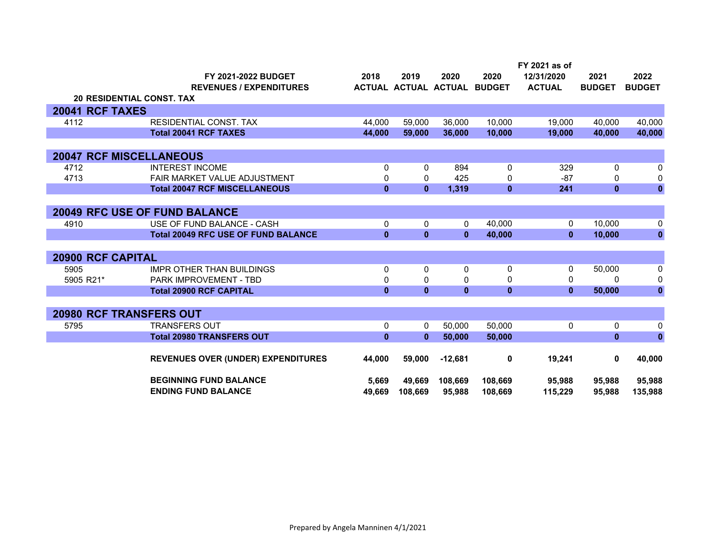|                   | <b>FY 2021-2022 BUDGET</b><br><b>REVENUES / EXPENDITURES</b>    | 2018          | 2019<br>ACTUAL ACTUAL ACTUAL | 2020              | 2020<br><b>BUDGET</b> | FY 2021 as of<br>12/31/2020<br><b>ACTUAL</b> | 2021<br><b>BUDGET</b> | 2022<br><b>BUDGET</b> |
|-------------------|-----------------------------------------------------------------|---------------|------------------------------|-------------------|-----------------------|----------------------------------------------|-----------------------|-----------------------|
|                   | <b>20 RESIDENTIAL CONST. TAX</b>                                |               |                              |                   |                       |                                              |                       |                       |
| 20041 RCF TAXES   |                                                                 |               |                              |                   |                       |                                              |                       |                       |
| 4112              | <b>RESIDENTIAL CONST. TAX</b>                                   | 44.000        | 59,000                       | 36,000            | 10,000                | 19,000                                       | 40.000                | 40,000                |
|                   | <b>Total 20041 RCF TAXES</b>                                    | 44,000        | 59,000                       | 36,000            | 10,000                | 19,000                                       | 40,000                | 40,000                |
|                   |                                                                 |               |                              |                   |                       |                                              |                       |                       |
|                   | <b>20047 RCF MISCELLANEOUS</b>                                  |               |                              |                   |                       |                                              |                       |                       |
| 4712              | <b>INTEREST INCOME</b>                                          | 0             | 0                            | 894               | 0                     | 329                                          | 0                     | 0                     |
| 4713              | <b>FAIR MARKET VALUE ADJUSTMENT</b>                             | 0             | 0                            | 425               | 0                     | $-87$                                        | 0                     | 0                     |
|                   | <b>Total 20047 RCF MISCELLANEOUS</b>                            | $\bf{0}$      | $\mathbf{0}$                 | 1,319             | $\mathbf{0}$          | 241                                          | $\mathbf{0}$          | $\bf{0}$              |
|                   |                                                                 |               |                              |                   |                       |                                              |                       |                       |
|                   | <b>20049 RFC USE OF FUND BALANCE</b>                            |               |                              |                   |                       |                                              |                       |                       |
| 4910              | USE OF FUND BALANCE - CASH                                      | 0             | $\mathbf{0}$                 | 0                 | 40,000                | 0                                            | 10,000                | 0                     |
|                   | <b>Total 20049 RFC USE OF FUND BALANCE</b>                      | $\mathbf{0}$  | $\mathbf{0}$                 | $\mathbf{0}$      | 40,000                | $\mathbf{0}$                                 | 10,000                | $\pmb{0}$             |
|                   |                                                                 |               |                              |                   |                       |                                              |                       |                       |
| 20900 RCF CAPITAL |                                                                 |               |                              |                   |                       |                                              |                       |                       |
| 5905              | <b>IMPR OTHER THAN BUILDINGS</b>                                | 0             | $\Omega$                     | 0                 | 0                     | 0<br>$\Omega$                                | 50,000<br>$\Omega$    | 0                     |
| 5905 R21*         | <b>PARK IMPROVEMENT - TBD</b><br><b>Total 20900 RCF CAPITAL</b> | 0<br>$\bf{0}$ | 0<br>$\mathbf{0}$            | 0<br>$\mathbf{0}$ | 0                     | $\mathbf{0}$                                 |                       | 0<br>$\mathbf 0$      |
|                   |                                                                 |               |                              |                   | $\bf{0}$              |                                              | 50,000                |                       |
|                   | <b>20980 RCF TRANSFERS OUT</b>                                  |               |                              |                   |                       |                                              |                       |                       |
|                   | <b>TRANSFERS OUT</b>                                            | 0             | $\mathbf{0}$                 |                   |                       |                                              | 0                     |                       |
| 5795              | <b>Total 20980 TRANSFERS OUT</b>                                | $\bf{0}$      | $\mathbf{0}$                 | 50,000<br>50,000  | 50,000<br>50,000      | 0                                            | $\mathbf{0}$          | 0<br>$\mathbf{0}$     |
|                   |                                                                 |               |                              |                   |                       |                                              |                       |                       |
|                   | <b>REVENUES OVER (UNDER) EXPENDITURES</b>                       | 44,000        | 59,000                       | $-12,681$         | 0                     | 19,241                                       | 0                     | 40,000                |
|                   | <b>BEGINNING FUND BALANCE</b>                                   | 5,669         | 49,669                       | 108,669           | 108,669               | 95,988                                       | 95,988                | 95,988                |
|                   | <b>ENDING FUND BALANCE</b>                                      | 49.669        | 108,669                      | 95.988            | 108.669               | 115.229                                      | 95.988                | 135,988               |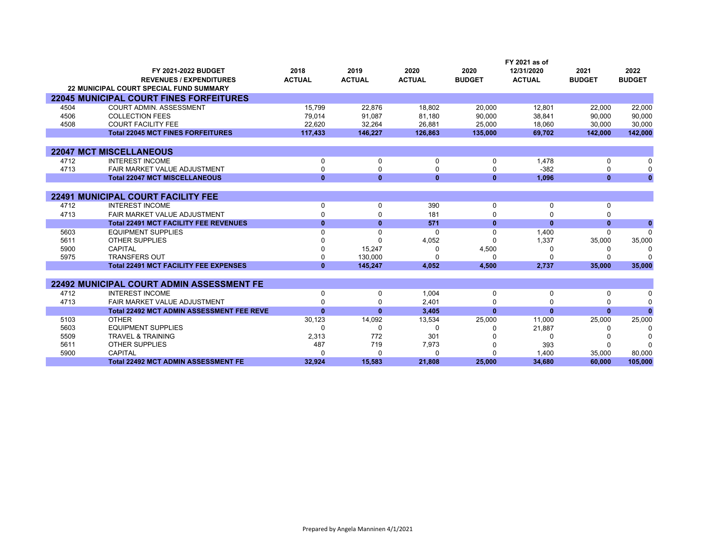|      |                                                  |               |               |               |               | FY 2021 as of |               |               |
|------|--------------------------------------------------|---------------|---------------|---------------|---------------|---------------|---------------|---------------|
|      | FY 2021-2022 BUDGET                              | 2018          | 2019          | 2020          | 2020          | 12/31/2020    | 2021          | 2022          |
|      | <b>REVENUES / EXPENDITURES</b>                   | <b>ACTUAL</b> | <b>ACTUAL</b> | <b>ACTUAL</b> | <b>BUDGET</b> | <b>ACTUAL</b> | <b>BUDGET</b> | <b>BUDGET</b> |
|      | <b>22 MUNICIPAL COURT SPECIAL FUND SUMMARY</b>   |               |               |               |               |               |               |               |
|      | <b>22045 MUNICIPAL COURT FINES FORFEITURES</b>   |               |               |               |               |               |               |               |
| 4504 | <b>COURT ADMIN. ASSESSMENT</b>                   | 15,799        | 22,876        | 18,802        | 20,000        | 12,801        | 22,000        | 22,000        |
| 4506 | <b>COLLECTION FEES</b>                           | 79,014        | 91.087        | 81,180        | 90,000        | 38,841        | 90,000        | 90,000        |
| 4508 | <b>COURT FACILITY FEE</b>                        | 22,620        | 32,264        | 26.881        | 25,000        | 18,060        | 30,000        | 30,000        |
|      | <b>Total 22045 MCT FINES FORFEITURES</b>         | 117,433       | 146,227       | 126,863       | 135,000       | 69,702        | 142,000       | 142,000       |
|      |                                                  |               |               |               |               |               |               |               |
|      | <b>22047 MCT MISCELLANEOUS</b>                   |               |               |               |               |               |               |               |
| 4712 | <b>INTEREST INCOME</b>                           | 0             | 0             | 0             | 0             | 1,478         | 0             | $\Omega$      |
| 4713 | <b>FAIR MARKET VALUE ADJUSTMENT</b>              | 0             | 0             | $\Omega$      | 0             | $-382$        | 0             | $\Omega$      |
|      | <b>Total 22047 MCT MISCELLANEOUS</b>             | $\mathbf{0}$  | $\mathbf{0}$  | $\mathbf{0}$  | $\bf{0}$      | 1,096         | $\bf{0}$      | $\Omega$      |
|      |                                                  |               |               |               |               |               |               |               |
|      | <b>22491 MUNICIPAL COURT FACILITY FEE</b>        |               |               |               |               |               |               |               |
| 4712 | <b>INTEREST INCOME</b>                           | 0             | 0             | 390           | 0             | 0             | 0             |               |
| 4713 | FAIR MARKET VALUE ADJUSTMENT                     | 0             | 0             | 181           | $\Omega$      |               |               |               |
|      | <b>Total 22491 MCT FACILITY FEE REVENUES</b>     | $\mathbf{0}$  | $\mathbf{0}$  | 571           | $\bf{0}$      | $\bf{0}$      | $\bf{0}$      | $\mathbf{0}$  |
| 5603 | <b>EQUIPMENT SUPPLIES</b>                        | 0             | $\Omega$      | $\Omega$      | $\Omega$      | 1,400         | $\Omega$      | $\Omega$      |
| 5611 | <b>OTHER SUPPLIES</b>                            |               | U             | 4,052         | ŋ             | 1,337         | 35,000        | 35,000        |
| 5900 | <b>CAPITAL</b>                                   |               | 15,247        | $\Omega$      | 4,500         | ∩             |               | C             |
| 5975 | <b>TRANSFERS OUT</b>                             | 0             | 130.000       | $\Omega$      | $\Omega$      | $\Omega$      |               |               |
|      | <b>Total 22491 MCT FACILITY FEE EXPENSES</b>     | $\bf{0}$      | 145.247       | 4,052         | 4,500         | 2,737         | 35,000        | 35,000        |
|      |                                                  |               |               |               |               |               |               |               |
|      | <b>22492 MUNICIPAL COURT ADMIN ASSESSMENT FE</b> |               |               |               |               |               |               |               |
| 4712 | <b>INTEREST INCOME</b>                           | 0             | 0             | 1,004         | 0             | 0             | 0             | n             |
| 4713 | FAIR MARKET VALUE ADJUSTMENT                     | U             | $\Omega$      | 2,401         | $\Omega$      |               |               | $\Omega$      |
|      | <b>Total 22492 MCT ADMIN ASSESSMENT FEE REVE</b> | $\bf{0}$      | $\mathbf{0}$  | 3,405         | $\mathbf{0}$  | $\bf{0}$      | $\bf{0}$      |               |
| 5103 | <b>OTHER</b>                                     | 30,123        | 14,092        | 13,534        | 25,000        | 11,000        | 25,000        | 25,000        |
| 5603 | <b>EQUIPMENT SUPPLIES</b>                        | 0             | 0             | 0             | <sup>0</sup>  | 21,887        |               | ſ             |
| 5509 | <b>TRAVEL &amp; TRAINING</b>                     | 2,313         | 772           | 301           |               | $\Omega$      |               |               |
| 5611 | <b>OTHER SUPPLIES</b>                            | 487           | 719           | 7,973         |               | 393           |               |               |
| 5900 | <b>CAPITAL</b>                                   | U             | $\Omega$      | 0             | $\Omega$      | 1,400         | 35,000        | 80,000        |
|      | <b>Total 22492 MCT ADMIN ASSESSMENT FE</b>       | 32.924        | 15.583        | 21.808        | 25.000        | 34.680        | 60.000        | 105,000       |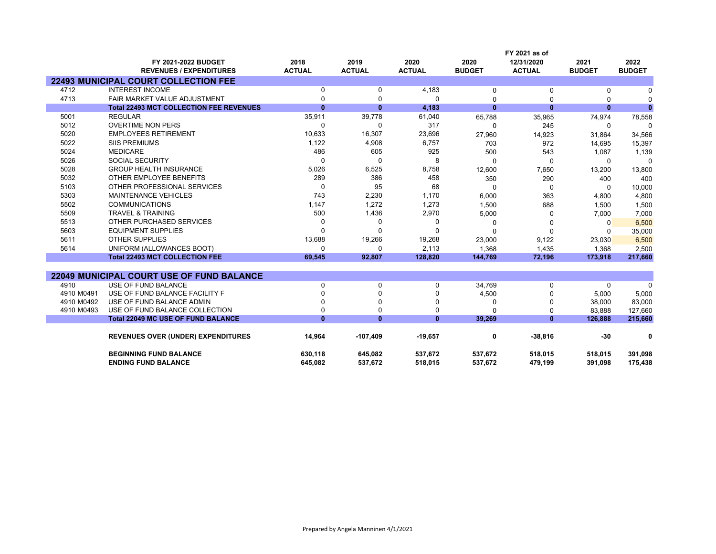|            |                                                       |                       |                       |                       |                       | FY 2021 as of               |                       |                       |
|------------|-------------------------------------------------------|-----------------------|-----------------------|-----------------------|-----------------------|-----------------------------|-----------------------|-----------------------|
|            | FY 2021-2022 BUDGET<br><b>REVENUES / EXPENDITURES</b> | 2018<br><b>ACTUAL</b> | 2019<br><b>ACTUAL</b> | 2020<br><b>ACTUAL</b> | 2020<br><b>BUDGET</b> | 12/31/2020<br><b>ACTUAL</b> | 2021<br><b>BUDGET</b> | 2022<br><b>BUDGET</b> |
|            | <b>22493 MUNICIPAL COURT COLLECTION FEE</b>           |                       |                       |                       |                       |                             |                       |                       |
| 4712       | <b>INTEREST INCOME</b>                                | 0                     | 0                     | 4,183                 | 0                     | 0                           | 0                     | <sup>0</sup>          |
| 4713       | FAIR MARKET VALUE ADJUSTMENT                          | $\Omega$              | 0                     | 0                     | $\Omega$              | $\Omega$                    | 0                     | $\mathsf{C}$          |
|            | <b>Total 22493 MCT COLLECTION FEE REVENUES</b>        | $\bf{0}$              | $\bf{0}$              | 4,183                 | $\bf{0}$              | $\bf{0}$                    | $\bf{0}$              | $\Omega$              |
| 5001       | <b>REGULAR</b>                                        | 35,911                | 39,778                | 61,040                | 65,788                | 35,965                      | 74,974                | 78,558                |
| 5012       | <b>OVERTIME NON PERS</b>                              | $\Omega$              | $\Omega$              | 317                   | $\Omega$              | 245                         | $\Omega$              | $\Omega$              |
| 5020       | <b>EMPLOYEES RETIREMENT</b>                           | 10,633                | 16,307                | 23,696                | 27,960                | 14,923                      | 31,864                | 34,566                |
| 5022       | <b>SIIS PREMIUMS</b>                                  | 1,122                 | 4,908                 | 6,757                 | 703                   | 972                         | 14,695                | 15,397                |
| 5024       | <b>MEDICARE</b>                                       | 486                   | 605                   | 925                   | 500                   | 543                         | 1,087                 | 1,139                 |
| 5026       | <b>SOCIAL SECURITY</b>                                | $\Omega$              | $\Omega$              | 8                     | $\Omega$              | $\Omega$                    | $\Omega$              | $\Omega$              |
| 5028       | <b>GROUP HEALTH INSURANCE</b>                         | 5,026                 | 6,525                 | 8,758                 | 12,600                | 7,650                       | 13,200                | 13,800                |
| 5032       | OTHER EMPLOYEE BENEFITS                               | 289                   | 386                   | 458                   | 350                   | 290                         | 400                   | 400                   |
| 5103       | OTHER PROFESSIONAL SERVICES                           | $\Omega$              | 95                    | 68                    | $\Omega$              | $\Omega$                    | $\Omega$              | 10,000                |
| 5303       | <b>MAINTENANCE VEHICLES</b>                           | 743                   | 2,230                 | 1,170                 | 6,000                 | 363                         | 4,800                 | 4,800                 |
| 5502       | <b>COMMUNICATIONS</b>                                 | 1,147                 | 1,272                 | 1,273                 | 1,500                 | 688                         | 1,500                 | 1,500                 |
| 5509       | <b>TRAVEL &amp; TRAINING</b>                          | 500                   | 1,436                 | 2,970                 | 5,000                 | $\Omega$                    | 7,000                 | 7,000                 |
| 5513       | OTHER PURCHASED SERVICES                              | $\Omega$              | $\Omega$              | $\Omega$              | $\Omega$              | $\Omega$                    | 0                     | 6,500                 |
| 5603       | <b>EQUIPMENT SUPPLIES</b>                             | $\Omega$              | $\Omega$              | $\Omega$              | $\Omega$              | $\Omega$                    | $\Omega$              | 35,000                |
| 5611       | <b>OTHER SUPPLIES</b>                                 | 13,688                | 19,266                | 19,268                | 23,000                | 9,122                       | 23,030                | 6,500                 |
| 5614       | UNIFORM (ALLOWANCES BOOT)                             | $\Omega$              | $\Omega$              | 2,113                 | 1,368                 | 1,435                       | 1,368                 | 2,500                 |
|            | <b>Total 22493 MCT COLLECTION FEE</b>                 | 69,545                | 92,807                | 128,820               | 144,769               | 72,196                      | 173,918               | 217,660               |
|            |                                                       |                       |                       |                       |                       |                             |                       |                       |
|            | <b>22049 MUNICIPAL COURT USE OF FUND BALANCE</b>      |                       |                       |                       |                       |                             |                       |                       |
| 4910       | USE OF FUND BALANCE                                   | 0                     | $\mathbf 0$           | 0                     | 34,769                | 0                           | 0                     | $\Omega$              |
| 4910 M0491 | USE OF FUND BALANCE FACILITY F                        | $\Omega$              | $\Omega$              | $\Omega$              | 4,500                 | $\Omega$                    | 5,000                 | 5,000                 |
| 4910 M0492 | USE OF FUND BALANCE ADMIN                             | $\Omega$              | $\Omega$              | $\Omega$              | 0                     | $\Omega$                    | 38,000                | 83,000                |
| 4910 M0493 | USE OF FUND BALANCE COLLECTION                        | 0                     | $\Omega$              | 0                     | $\Omega$              | 0                           | 83.888                | 127,660               |
|            | Total 22049 MC USE OF FUND BALANCE                    | $\bf{0}$              | $\bf{0}$              | $\mathbf{0}$          | 39,269                | $\mathbf{0}$                | 126,888               | 215,660               |
|            | <b>REVENUES OVER (UNDER) EXPENDITURES</b>             | 14,964                | $-107,409$            | $-19,657$             | 0                     | $-38,816$                   | $-30$                 | 0                     |
|            | <b>BEGINNING FUND BALANCE</b>                         | 630,118               | 645,082               | 537,672               | 537,672               | 518,015                     | 518,015               | 391,098               |
|            | <b>ENDING FUND BALANCE</b>                            | 645.082               | 537,672               | 518,015               | 537,672               | 479,199                     | 391.098               | 175,438               |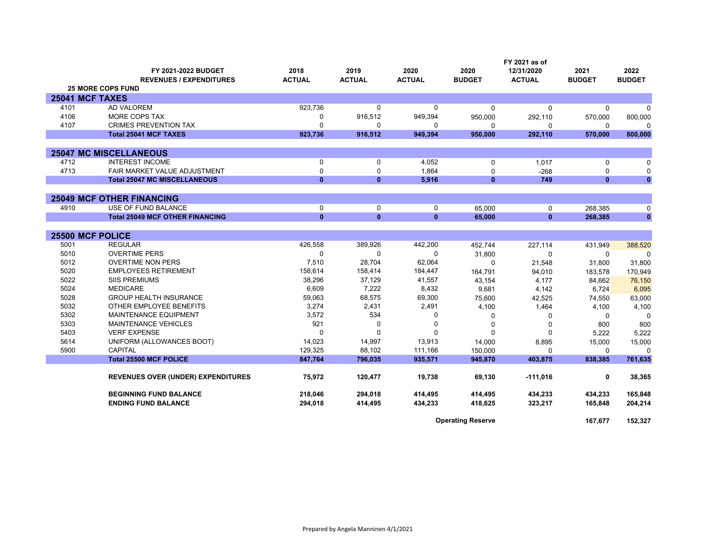|                  |                                           | FY 2021 as of |               |               |               |               |               |               |
|------------------|-------------------------------------------|---------------|---------------|---------------|---------------|---------------|---------------|---------------|
|                  | <b>FY 2021-2022 BUDGET</b>                | 2018          | 2019          | 2020          | 2020          | 12/31/2020    | 2021          | 2022          |
|                  | <b>REVENUES / EXPENDITURES</b>            | <b>ACTUAL</b> | <b>ACTUAL</b> | <b>ACTUAL</b> | <b>BUDGET</b> | <b>ACTUAL</b> | <b>BUDGET</b> | <b>BUDGET</b> |
|                  | <b>25 MORE COPS FUND</b>                  |               |               |               |               |               |               |               |
| 25041 MCF TAXES  |                                           |               |               |               |               |               |               |               |
| 4101             | <b>AD VALOREM</b>                         | 923,736       | $\mathbf{0}$  | 0             | $\Omega$      | $\Omega$      | $\Omega$      | $\Omega$      |
| 4106             | MORE COPS TAX                             | $\Omega$      | 916,512       | 949,394       | 950,000       | 292,110       | 570,000       | 800,000       |
| 4107             | <b>CRIMES PREVENTION TAX</b>              | $\Omega$      | $\mathbf{0}$  | 0             | $\Omega$      | 0             | 0             | $\Omega$      |
|                  | <b>Total 25041 MCF TAXES</b>              | 923,736       | 916,512       | 949,394       | 950,000       | 292,110       | 570,000       | 800,000       |
|                  |                                           |               |               |               |               |               |               |               |
|                  | <b>25047 MC MISCELLANEOUS</b>             |               |               |               |               |               |               |               |
| 4712             | <b>INTEREST INCOME</b>                    | $\Omega$      | 0             | 4,052         | 0             | 1,017         | $\mathbf 0$   | $\Omega$      |
| 4713             | FAIR MARKET VALUE ADJUSTMENT              | $\mathbf 0$   | 0             | 1,864         | $\Omega$      | $-268$        | $\mathbf 0$   | 0             |
|                  | <b>Total 25047 MC MISCELLANEOUS</b>       | $\mathbf{0}$  | $\mathbf{0}$  | 5,916         | $\mathbf{0}$  | 749           | $\mathbf{0}$  | $\mathbf{0}$  |
|                  |                                           |               |               |               |               |               |               |               |
|                  | <b>25049 MCF OTHER FINANCING</b>          |               |               |               |               |               |               |               |
| 4910             | <b>USE OF FUND BALANCE</b>                | $\mathbf 0$   | $\mathbf 0$   | 0             | 65,000        | 0             | 268,385       | 0             |
|                  | <b>Total 25049 MCF OTHER FINANCING</b>    | $\mathbf{0}$  | $\mathbf{0}$  | $\mathbf{0}$  | 65,000        | $\mathbf{0}$  | 268,385       | $\bf{0}$      |
|                  |                                           |               |               |               |               |               |               |               |
| 25500 MCF POLICE |                                           |               |               |               |               |               |               |               |
| 5001             | <b>REGULAR</b>                            | 426,558       | 389,926       | 442,200       | 452,744       | 227,114       | 431,949       | 388,520       |
| 5010             | <b>OVERTIME PERS</b>                      | $\Omega$      | $\Omega$      | 0             | 31,800        | 0             | $\Omega$      | $\Omega$      |
| 5012             | <b>OVERTIME NON PERS</b>                  | 7,510         | 28,704        | 62,064        | $\Omega$      | 21,548        | 31,800        | 31,800        |
| 5020             | <b>EMPLOYEES RETIREMENT</b>               | 158,614       | 158,414       | 184,447       | 164,791       | 94,010        | 183,578       | 170,949       |
| 5022             | <b>SIIS PREMIUMS</b>                      | 38,296        | 37,129        | 41,557        | 43,154        | 4,177         | 84,662        | 76,150        |
| 5024             | <b>MEDICARE</b>                           | 6,609         | 7,222         | 8,432         | 9,681         | 4,142         | 6,724         | 6,095         |
| 5028             | <b>GROUP HEALTH INSURANCE</b>             | 59,063        | 68,575        | 69,300        | 75,600        | 42,525        | 74,550        | 63,000        |
| 5032             | OTHER EMPLOYEE BENEFITS                   | 3,274         | 2,431         | 2,491         | 4,100         | 1,464         | 4,100         | 4,100         |
| 5302             | <b>MAINTENANCE EQUIPMENT</b>              | 3,572         | 534           | 0             | 0             | $\Omega$      | $\Omega$      | $\Omega$      |
| 5303             | <b>MAINTENANCE VEHICLES</b>               | 921           | $\Omega$      | 0             | 0             | $\Omega$      | 800           | 800           |
| 5403             | <b>VERF EXPENSE</b>                       |               | $\Omega$      | U             | $\Omega$      | $\Omega$      | 5,222         | 5,222         |
| 5614             | UNIFORM (ALLOWANCES BOOT)                 | 14,023        | 14,997        | 13,913        | 14,000        | 8,895         | 15,000        | 15,000        |
| 5900             | <b>CAPITAL</b>                            | 129.325       | 88,102        | 111,166       | 150,000       | $\Omega$      | $\Omega$      | $\mathbf 0$   |
|                  | <b>Total 25500 MCF POLICE</b>             | 847,764       | 796,035       | 935,571       | 945,870       | 403,875       | 838,385       | 761,635       |
|                  |                                           |               |               |               |               |               |               |               |
|                  | <b>REVENUES OVER (UNDER) EXPENDITURES</b> | 75,972        | 120,477       | 19,738        | 69.130        | $-111,016$    | 0             | 38,365        |
|                  | <b>BEGINNING FUND BALANCE</b>             | 218,046       | 294,018       | 414,495       | 414,495       | 434,233       | 434,233       | 165,848       |
|                  | <b>ENDING FUND BALANCE</b>                | 294,018       | 414,495       | 434,233       | 418,625       | 323,217       | 165,848       | 204,214       |
|                  |                                           |               |               |               |               |               |               |               |

**Operating Reserve 167,677 152,327**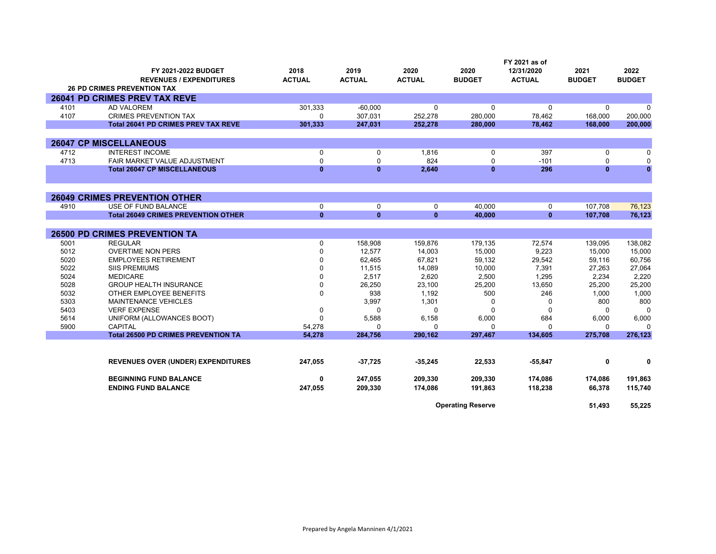|              |                                             |               |                   |                   |                          | FY 2021 as of   |                   |                   |  |
|--------------|---------------------------------------------|---------------|-------------------|-------------------|--------------------------|-----------------|-------------------|-------------------|--|
|              | FY 2021-2022 BUDGET                         | 2018          | 2019              | 2020              | 2020                     | 12/31/2020      | 2021              | 2022              |  |
|              | <b>REVENUES / EXPENDITURES</b>              | <b>ACTUAL</b> | <b>ACTUAL</b>     | <b>ACTUAL</b>     | <b>BUDGET</b>            | <b>ACTUAL</b>   | <b>BUDGET</b>     | <b>BUDGET</b>     |  |
|              | <b>26 PD CRIMES PREVENTION TAX</b>          |               |                   |                   |                          |                 |                   |                   |  |
|              | 26041 PD CRIMES PREV TAX REVE               |               |                   |                   |                          |                 |                   |                   |  |
| 4101         | <b>AD VALOREM</b>                           | 301,333       | $-60.000$         | $\Omega$          | 0                        | 0               | $\Omega$          | $\Omega$          |  |
| 4107         | <b>CRIMES PREVENTION TAX</b>                | $\Omega$      | 307,031           | 252,278           | 280.000                  | 78,462          | 168,000           | 200,000           |  |
|              | <b>Total 26041 PD CRIMES PREV TAX REVE</b>  | 301.333       | 247,031           | 252,278           | 280,000                  | 78.462          | 168,000           | 200,000           |  |
|              |                                             |               |                   |                   |                          |                 |                   |                   |  |
|              | <b>26047 CP MISCELLANEOUS</b>               |               |                   |                   |                          |                 |                   |                   |  |
| 4712         | <b>INTEREST INCOME</b>                      | 0             | 0                 | 1,816             | 0                        | 397             | 0                 | $\Omega$          |  |
| 4713         | FAIR MARKET VALUE ADJUSTMENT                | $\Omega$      | $\Omega$          | 824               | $\Omega$                 | $-101$          | $\Omega$          | $\Omega$          |  |
|              | <b>Total 26047 CP MISCELLANEOUS</b>         | $\bf{0}$      | $\bf{0}$          | 2,640             | $\bf{0}$                 | 296             | $\mathbf{0}$      | $\mathbf{0}$      |  |
|              |                                             |               |                   |                   |                          |                 |                   |                   |  |
|              | <b>26049 CRIMES PREVENTION OTHER</b>        |               |                   |                   |                          |                 |                   |                   |  |
| 4910         | USE OF FUND BALANCE                         | $\mathbf 0$   | $\Omega$          | $\mathbf 0$       | 40,000                   | 0               | 107,708           | 76,123            |  |
|              | <b>Total 26049 CRIMES PREVENTION OTHER</b>  | $\mathbf{0}$  | $\mathbf{0}$      | $\mathbf{0}$      | 40,000                   | $\mathbf{0}$    | 107,708           | 76,123            |  |
|              | <b>26500 PD CRIMES PREVENTION TA</b>        |               |                   |                   |                          |                 |                   |                   |  |
| 5001         | <b>REGULAR</b>                              | $\Omega$      | 158,908           | 159,876           | 179,135                  | 72,574          | 139,095           |                   |  |
| 5012         | <b>OVERTIME NON PERS</b>                    | 0             | 12,577            | 14,003            |                          |                 |                   | 138,082           |  |
| 5020         | <b>EMPLOYEES RETIREMENT</b>                 | $\Omega$      | 62,465            | 67,821            | 15,000<br>59,132         | 9,223<br>29,542 | 15,000<br>59,116  | 15,000<br>60,756  |  |
| 5022         | <b>SIIS PREMIUMS</b>                        | $\Omega$      | 11,515            | 14,089            | 10,000                   | 7,391           | 27,263            | 27,064            |  |
| 5024         | <b>MEDICARE</b>                             | $\Omega$      | 2.517             | 2,620             | 2,500                    | 1,295           | 2.234             | 2,220             |  |
| 5028         | <b>GROUP HEALTH INSURANCE</b>               | $\Omega$      | 26,250            | 23,100            |                          | 13,650          | 25,200            | 25,200            |  |
| 5032         | OTHER EMPLOYEE BENEFITS                     | $\mathbf 0$   | 938               | 1,192             | 25,200<br>500            | 246             | 1,000             | 1,000             |  |
| 5303         | MAINTENANCE VEHICLES                        |               | 3,997             | 1,301             | 0                        |                 | 800               | 800               |  |
| 5403         | <b>VERF EXPENSE</b>                         | 0             | $\Omega$          | $\Omega$          | $\Omega$                 | 0<br>$\Omega$   | $\Omega$          | $\Omega$          |  |
|              |                                             |               |                   |                   |                          |                 |                   |                   |  |
| 5614<br>5900 | UNIFORM (ALLOWANCES BOOT)<br><b>CAPITAL</b> | 54,278        | 5,588<br>$\Omega$ | 6,158<br>$\Omega$ | 6,000<br>0               | 684<br>0        | 6,000<br>$\Omega$ | 6,000<br>$\Omega$ |  |
|              | <b>Total 26500 PD CRIMES PREVENTION TA</b>  | 54,278        | 284,756           | 290,162           | 297,467                  | 134,605         | 275,708           | 276,123           |  |
|              |                                             |               |                   |                   |                          |                 |                   |                   |  |
|              |                                             |               |                   |                   |                          |                 |                   |                   |  |
|              | <b>REVENUES OVER (UNDER) EXPENDITURES</b>   | 247,055       | $-37,725$         | $-35,245$         | 22,533                   | $-55,847$       | 0                 | 0                 |  |
|              | <b>BEGINNING FUND BALANCE</b>               | 0             | 247,055           | 209,330           | 209,330                  | 174,086         | 174,086           | 191,863           |  |
|              | <b>ENDING FUND BALANCE</b>                  | 247,055       | 209,330           | 174,086           | 191,863                  | 118,238         | 66,378            | 115,740           |  |
|              |                                             |               |                   |                   | <b>Operating Reserve</b> |                 | 51.493            | 55,225            |  |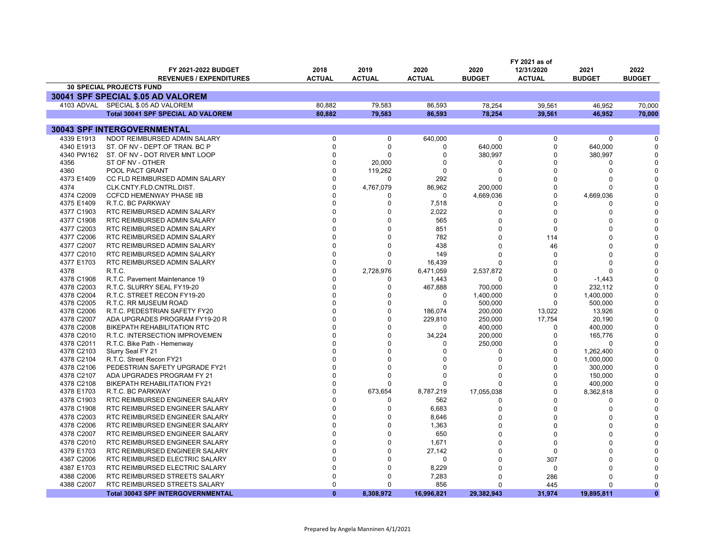|                          | FY 2021 as of                                      |                      |                      |                  |                |               |                         |               |
|--------------------------|----------------------------------------------------|----------------------|----------------------|------------------|----------------|---------------|-------------------------|---------------|
|                          | FY 2021-2022 BUDGET                                | 2018                 | 2019                 | 2020             | 2020           | 12/31/2020    | 2021                    | 2022          |
|                          | <b>REVENUES / EXPENDITURES</b>                     | <b>ACTUAL</b>        | <b>ACTUAL</b>        | <b>ACTUAL</b>    | <b>BUDGET</b>  | <b>ACTUAL</b> | <b>BUDGET</b>           | <b>BUDGET</b> |
|                          | <b>30 SPECIAL PROJECTS FUND</b>                    |                      |                      |                  |                |               |                         |               |
|                          | 30041 SPF SPECIAL \$.05 AD VALOREM                 |                      |                      |                  |                |               |                         |               |
|                          | 4103 ADVAL SPECIAL \$.05 AD VALOREM                | 80.882               | 79.583               | 86.593           | 78,254         | 39,561        | 46,952                  | 70,000        |
|                          | <b>Total 30041 SPF SPECIAL AD VALOREM</b>          | 80.882               | 79,583               | 86.593           | 78.254         | 39,561        | 46.952                  | 70.000        |
|                          |                                                    |                      |                      |                  |                |               |                         |               |
|                          | 30043 SPF INTERGOVERNMENTAL                        |                      |                      |                  |                |               |                         |               |
| 4339 E1913               | NDOT REIMBURSED ADMIN SALARY                       | $\Omega$             | 0                    | 640,000          | $\mathbf 0$    | 0             | 0                       | 0             |
| 4340 E1913<br>4340 PW162 | ST. OF NV - DEPT.OF TRAN. BC P                     | $\Omega$<br>$\Omega$ | $\Omega$<br>$\Omega$ | 0                | 640,000        | 0<br>0        | 640,000                 | O<br>O        |
| 4356                     | ST. OF NV - DOT RIVER MNT LOOP<br>ST OF NV - OTHER | $\Omega$             |                      | 0<br>0           | 380,997<br>0   | 0             | 380,997<br><sup>0</sup> | C             |
| 4360                     | POOL PACT GRANT                                    | $\Omega$             | 20,000<br>119,262    | 0                | 0              | 0             | $\Omega$                |               |
| 4373 E1409               | CC FLD REIMBURSED ADMIN SALARY                     | $\Omega$             | $\Omega$             | 292              | O              | 0             | <sup>0</sup>            |               |
| 4374                     | CLK.CNTY.FLD.CNTRL.DIST.                           | $\Omega$             | 4,767,079            | 86,962           | 200,000        | 0             | 0                       |               |
| 4374 C2009               | <b>CCFCD HEMENWAY PHASE IIB</b>                    | <sup>0</sup>         | <sup>0</sup>         | 0                | 4,669,036      | $\Omega$      | 4,669,036               |               |
| 4375 E1409               | R.T.C. BC PARKWAY                                  | <sup>0</sup>         | $\mathbf 0$          | 7,518            | 0              | 0             | n                       |               |
| 4377 C1903               | RTC REIMBURSED ADMIN SALARY                        | $\Omega$             | $\Omega$             | 2,022            | $\Omega$       | $\Omega$      | $\Omega$                |               |
| 4377 C1908               | RTC REIMBURSED ADMIN SALARY                        | $\Omega$             | $\Omega$             | 565              | $\Omega$       | 0             | $\Omega$                |               |
| 4377 C2003               | RTC REIMBURSED ADMIN SALARY                        | $\Omega$             | $\Omega$             | 851              | $\Omega$       | 0             | <sup>0</sup>            |               |
| 4377 C2006               | RTC REIMBURSED ADMIN SALARY                        | $\Omega$             | $\Omega$             | 782              | $\Omega$       | 114           | $\Omega$                |               |
| 4377 C2007               | RTC REIMBURSED ADMIN SALARY                        | $\Omega$             | $\Omega$             | 438              | 0              | 46            | $\Omega$                |               |
| 4377 C2010               | RTC REIMBURSED ADMIN SALARY                        | $\Omega$             | $\Omega$             | 149              | U              |               | <sup>0</sup>            |               |
| 4377 E1703               | RTC REIMBURSED ADMIN SALARY                        | $\Omega$             | $\Omega$             | 16,439           |                | 0<br>O        | $\Omega$                |               |
| 4378                     | R.T.C.                                             | $\Omega$             | 2,728,976            | 6,471,059        | $\Omega$       | 0             | <sup>0</sup>            |               |
| 4378 C1908               | R.T.C. Pavement Maintenance 19                     | $\Omega$             | 0                    |                  | 2,537,872<br>0 | 0             | $-1,443$                |               |
| 4378 C2003               | R.T.C. SLURRY SEAL FY19-20                         | $\Omega$             | 0                    | 1,443<br>467,888 | 700,000        | 0             | 232,112                 |               |
| 4378 C2004               | R.T.C. STREET RECON FY19-20                        | $\Omega$             | $\Omega$             | $\Omega$         | 1,400,000      | $\Omega$      | 1,400,000               |               |
| 4378 C2005               | R.T.C. RR MUSEUM ROAD                              | $\Omega$             | $\Omega$             | $\Omega$         | 500,000        | $\Omega$      | 500,000                 |               |
| 4378 C2006               | R.T.C. PEDESTRIAN SAFETY FY20                      | $\Omega$             | $\Omega$             | 186,074          | 200,000        | 13,022        | 13,926                  |               |
| 4378 C2007               | ADA UPGRADES PROGRAM FY19-20 R                     | $\Omega$             | $\mathbf 0$          | 229,810          | 250,000        | 17,754        | 20,190                  | O             |
| 4378 C2008               | <b>BIKEPATH REHABILITATION RTC</b>                 |                      | $\Omega$             | $\Omega$         | 400,000        | $\Omega$      | 400,000                 |               |
| 4378 C2010               | R.T.C. INTERSECTION IMPROVEMEN                     | $\Omega$             | $\Omega$             | 34,224           | 200,000        | 0             | 165,776                 |               |
| 4378 C2011               | R.T.C. Bike Path - Hemenway                        |                      | $\Omega$             | 0                | 250,000        | 0             | $\Omega$                |               |
| 4378 C2103               | Slurry Seal FY 21                                  |                      | <sup>0</sup>         | $\Omega$         | 0              | 0             | 1,262,400               |               |
| 4378 C2104               | R.T.C. Street Recon FY21                           |                      | $\Omega$             | $\Omega$         | 0              | O             | 1,000,000               |               |
| 4378 C2106               | PEDESTRIAN SAFETY UPGRADE FY21                     | $\Omega$             | $\Omega$             | $\Omega$         | 0              | $\Omega$      | 300,000                 |               |
| 4378 C2107               | ADA UPGRADES PROGRAM FY 21                         | $\Omega$             | $\Omega$             | 0                | 0              | 0             | 150,000                 |               |
| 4378 C2108               | <b>BIKEPATH REHABILITATION FY21</b>                | $\Omega$             | n                    | 0                | O              | 0             | 400,000                 | $\Omega$      |
| 4378 E1703               | R.T.C. BC PARKWAY                                  | $\Omega$             | 673,654              | 8,787,219        | 17,055,038     | 0             | 8,362,818               |               |
| 4378 C1903               | RTC REIMBURSED ENGINEER SALARY                     | $\Omega$             | $\Omega$             | 562              | 0              | $\Omega$      | <sup>0</sup>            |               |
| 4378 C1908               | RTC REIMBURSED ENGINEER SALARY                     | $\Omega$             | $\Omega$             | 6,683            | 0              | 0             | $\Omega$                |               |
| 4378 C2003               | RTC REIMBURSED ENGINEER SALARY                     | $\Omega$             | 0                    | 8,646            | $\Omega$       | $\Omega$      | O                       |               |
| 4378 C2006               | RTC REIMBURSED ENGINEER SALARY                     | $\Omega$             | $\Omega$             | 1,363            | $\Omega$       | 0             | O                       |               |
| 4378 C2007               | RTC REIMBURSED ENGINEER SALARY                     | $\Omega$             | $\Omega$             | 650              | U              | 0             | n                       |               |
| 4378 C2010               | RTC REIMBURSED ENGINEER SALARY                     | $\Omega$             | $\Omega$             | 1,671            | O              | 0             | U                       |               |
| 4379 E1703               | RTC REIMBURSED ENGINEER SALARY                     | $\Omega$             | 0                    | 27,142           | $\Omega$       | 0             | n                       |               |
| 4387 C2006               | RTC REIMBURSED ELECTRIC SALARY                     | $\Omega$             | $\Omega$             | 0                | $\Omega$       | 307           | $\Omega$                |               |
| 4387 E1703               | RTC REIMBURSED ELECTRIC SALARY                     | $\Omega$             | $\Omega$             | 8,229            | $\Omega$       | 0             | $\Omega$                |               |
| 4388 C2006               | RTC REIMBURSED STREETS SALARY                      | $\Omega$             | $\Omega$             | 7,283            | U              | 286           | ∩                       |               |
| 4388 C2007               | RTC REIMBURSED STREETS SALARY                      | $\Omega$             | $\Omega$             | 856              | U              | 445           | $\Omega$                | $\Omega$      |
|                          | <b>Total 30043 SPF INTERGOVERNMENTAL</b>           | $\Omega$             | 8,308,972            | 16,996,821       | 29.382.943     | 31,974        | 19.895.811              | $\mathbf{0}$  |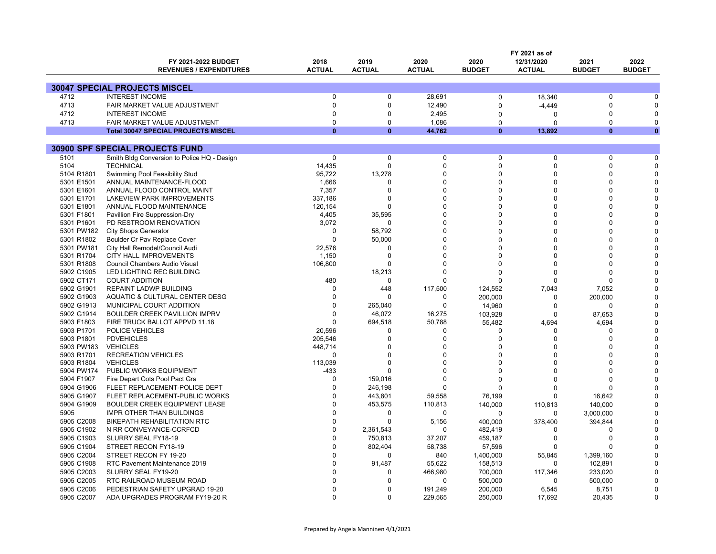|            |                                             | FY 2021 as of |               |                   |               |                     |                         |               |
|------------|---------------------------------------------|---------------|---------------|-------------------|---------------|---------------------|-------------------------|---------------|
|            | FY 2021-2022 BUDGET                         | 2018          | 2019          | 2020              | 2020          | 12/31/2020          | 2021                    | 2022          |
|            | <b>REVENUES / EXPENDITURES</b>              | <b>ACTUAL</b> | <b>ACTUAL</b> | <b>ACTUAL</b>     | <b>BUDGET</b> | <b>ACTUAL</b>       | <b>BUDGET</b>           | <b>BUDGET</b> |
|            |                                             |               |               |                   |               |                     |                         |               |
|            | <b>30047 SPECIAL PROJECTS MISCEL</b>        |               |               |                   |               |                     |                         |               |
| 4712       | <b>INTEREST INCOME</b>                      | $\Omega$      | $\Omega$      | 28.691            | 0             | 18,340              | $\Omega$                |               |
| 4713       | FAIR MARKET VALUE ADJUSTMENT                | $\mathbf 0$   | $\Omega$      | 12,490            | $\Omega$      | $-4,449$            | $\Omega$                |               |
| 4712       | <b>INTEREST INCOME</b>                      | $\Omega$      | $\Omega$      | 2,495             | $\Omega$      | $\Omega$            | <sup>0</sup>            |               |
| 4713       | FAIR MARKET VALUE ADJUSTMENT                | $\Omega$      | $\Omega$      | 1,086             | $\Omega$      | $\Omega$            | $\Omega$                | n             |
|            | <b>Total 30047 SPECIAL PROJECTS MISCEL</b>  | $\Omega$      | $\mathbf{0}$  | 44,762            | $\bf{0}$      | 13,892              | $\Omega$                | $\mathbf{0}$  |
|            |                                             |               |               |                   |               |                     |                         |               |
|            | <b>30900 SPF SPECIAL PROJECTS FUND</b>      |               |               |                   |               |                     |                         |               |
| 5101       | Smith Bldg Conversion to Police HQ - Design | 0             | $\mathbf 0$   | $\pmb{0}$         | 0             | $\Omega$            | $\Omega$                |               |
| 5104       | <b>TECHNICAL</b>                            | 14,435        | $\Omega$      | $\Omega$          | $\Omega$      | $\Omega$            | $\Omega$                |               |
| 5104 R1801 | Swimming Pool Feasibility Stud              | 95,722        | 13,278        | $\Omega$          | $\Omega$      | $\Omega$            | $\Omega$                |               |
| 5301 E1501 | ANNUAL MAINTENANCE-FLOOD                    | 1,666         | $\Omega$      | $\Omega$          | $\Omega$      | $\Omega$            | <sup>0</sup>            |               |
| 5301 E1601 | ANNUAL FLOOD CONTROL MAINT                  | 7,357         | $\Omega$      | $\Omega$          | $\Omega$      | $\Omega$            | <sup>0</sup>            |               |
| 5301 E1701 | LAKEVIEW PARK IMPROVEMENTS                  | 337,186       | $\Omega$      | $\Omega$          | $\Omega$      | $\Omega$            | $\Omega$                |               |
| 5301 E1801 | ANNUAL FLOOD MAINTENANCE                    | 120,154       | $\Omega$      | $\Omega$          | ∩             | $\Omega$            | U                       |               |
| 5301 F1801 | Pavillion Fire Suppression-Dry              | 4,405         | 35,595        | $\Omega$          |               | $\Omega$            |                         |               |
| 5301 P1601 | PD RESTROOM RENOVATION                      | 3,072         | $\Omega$      | $\Omega$          | O             | $\Omega$            | <sup>0</sup>            |               |
| 5301 PW182 | <b>City Shops Generator</b>                 | $\Omega$      | 58,792        | $\Omega$          |               | $\Omega$            |                         |               |
| 5301 R1802 | Boulder Cr Pav Replace Cover                | $\Omega$      | 50,000        | $\Omega$          | O             | $\Omega$            | <sup>0</sup>            |               |
| 5301 PW181 | City Hall Remodel/Council Audi              | 22,576        | $\Omega$      | $\Omega$          | O             | $\Omega$            | <sup>0</sup>            |               |
| 5301 R1704 | CITY HALL IMPROVEMENTS                      | 1,150         | $\Omega$      | $\Omega$          |               | $\Omega$            | U                       |               |
| 5301 R1808 | Council Chambers Audio Visual               | 106,800       | $\Omega$      | $\Omega$          | O             | $\Omega$            | <sup>0</sup>            |               |
| 5902 C1905 | LED LIGHTING REC BUILDING                   |               | 18,213        | $\Omega$          | $\Omega$      | $\Omega$            | $\Omega$                |               |
| 5902 CT171 | <b>COURT ADDITION</b>                       | 480           | $\mathbf 0$   | $\Omega$          | $\Omega$      | $\Omega$            | U                       |               |
| 5902 G1901 | REPAINT LADWP BUILDING                      | $\Omega$      | 448           | 117,500           | 124,552       | 7,043               | 7,052                   |               |
| 5902 G1903 | AQUATIC & CULTURAL CENTER DESG              | $\Omega$      | $\Omega$      | 0                 | 200,000       | $\Omega$            | 200,000                 |               |
| 5902 G1913 | MUNICIPAL COURT ADDITION                    | $\Omega$      | 265,040       | $\Omega$          | 14,960        | $\Omega$            | $\Omega$                |               |
| 5902 G1914 | BOULDER CREEK PAVILLION IMPRV               | $\Omega$      | 46,072        | 16,275            | 103,928       | $\Omega$            | 87,653                  |               |
| 5903 F1803 | FIRE TRUCK BALLOT APPVD 11.18               | $\Omega$      | 694,518       | 50,788            | 55,482        | 4,694               | 4,694                   |               |
| 5903 P1701 | POLICE VEHICLES                             | 20,596        | $\Omega$      | $\Omega$          | $\Omega$      | $\Omega$            | U                       |               |
| 5903 P1801 | <b>PDVEHICLES</b>                           | 205,546       | $\Omega$      | $\Omega$          | $\Omega$      | $\Omega$            | $\Omega$                |               |
| 5903 PW183 | <b>VEHICLES</b>                             | 448,714       | $\Omega$      | $\Omega$          | O             | $\Omega$            |                         |               |
| 5903 R1701 | <b>RECREATION VEHICLES</b>                  | $\Omega$      | $\Omega$      | $\Omega$          |               | $\Omega$            | U                       |               |
| 5903 R1804 | <b>VEHICLES</b>                             | 113,039       | $\Omega$      | $\Omega$          |               | $\Omega$            | $\Omega$                |               |
| 5904 PW174 | PUBLIC WORKS EQUIPMENT                      | $-433$        |               | $\Omega$          | O             | $\Omega$            | <sup>0</sup>            |               |
| 5904 F1907 | Fire Depart Cots Pool Pact Gra              | $\Omega$      | 159,016       | $\Omega$          | $\Omega$      | $\Omega$            | U                       |               |
| 5904 G1906 | FLEET REPLACEMENT-POLICE DEPT               | $\Omega$      | 246,198       | $\Omega$          | $\Omega$      | $\Omega$            | <sup>0</sup>            |               |
| 5905 G1907 | FLEET REPLACEMENT-PUBLIC WORKS              | $\Omega$      | 443,801       | 59,558            | 76,199        | $\Omega$            | 16,642                  |               |
| 5904 G1909 | BOULDER CREEK EQUIPMENT LEASE               | $\Omega$      | 453,575       | 110,813           | 140,000       | 110,813             | 140,000                 |               |
| 5905       | <b>IMPR OTHER THAN BUILDINGS</b>            | $\Omega$      | $\Omega$      | 0                 | $\Omega$      | $\Omega$            |                         |               |
|            |                                             | $\Omega$      | $\Omega$      |                   |               |                     | 3,000,000               |               |
| 5905 C2008 | <b>BIKEPATH REHABILITATION RTC</b>          | $\Omega$      |               | 5,156<br>$\Omega$ | 400,000       | 378,400<br>$\Omega$ | 394,844<br><sup>0</sup> |               |
| 5905 C1902 | N RR CONVEYANCE-CCRFCD                      | $\Omega$      | 2.361.543     |                   | 482,419       |                     |                         |               |
| 5905 C1903 | SLURRY SEAL FY18-19                         |               | 750,813       | 37,207            | 459,187       | $\Omega$            | $\Omega$                |               |
| 5905 C1904 | STREET RECON FY18-19                        | $\Omega$      | 802,404       | 58,738            | 57,596        | $\Omega$            | <sup>0</sup>            |               |
| 5905 C2004 | STREET RECON FY 19-20                       | $\Omega$      | $\Omega$      | 840               | 1,400,000     | 55,845              | 1,399,160               |               |
| 5905 C1908 | RTC Pavement Maintenance 2019               | $\Omega$      | 91,487        | 55,622            | 158,513       | $\Omega$            | 102,891                 |               |
| 5905 C2003 | SLURRY SEAL FY19-20                         | $\Omega$      | $\Omega$      | 466,980           | 700,000       | 117,346             | 233,020                 |               |
| 5905 C2005 | RTC RAILROAD MUSEUM ROAD                    | <sup>0</sup>  | <sup>0</sup>  | $\Omega$          | 500,000       | $\Omega$            | 500,000                 |               |
| 5905 C2006 | PEDESTRIAN SAFETY UPGRAD 19-20              | $\Omega$      | $\Omega$      | 191,249           | 200,000       | 6,545               | 8,751                   |               |
| 5905 C2007 | ADA UPGRADES PROGRAM FY19-20 R              | $\Omega$      | $\Omega$      | 229,565           | 250,000       | 17,692              | 20.435                  | $\Omega$      |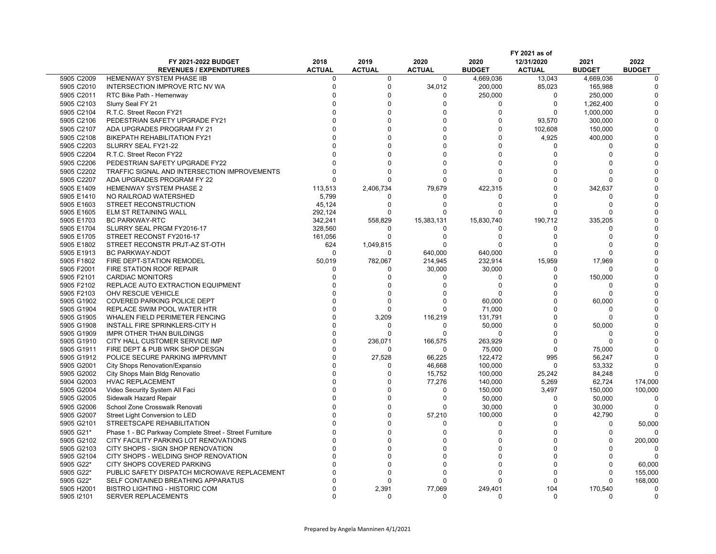|                          |                                                                  | FY 2021 as of         |                       |                       |                       |                             |                         |                       |
|--------------------------|------------------------------------------------------------------|-----------------------|-----------------------|-----------------------|-----------------------|-----------------------------|-------------------------|-----------------------|
|                          | FY 2021-2022 BUDGET<br><b>REVENUES / EXPENDITURES</b>            | 2018<br><b>ACTUAL</b> | 2019<br><b>ACTUAL</b> | 2020<br><b>ACTUAL</b> | 2020<br><b>BUDGET</b> | 12/31/2020<br><b>ACTUAL</b> | 2021<br><b>BUDGET</b>   | 2022<br><b>BUDGET</b> |
| 5905 C2009               | <b>HEMENWAY SYSTEM PHASE IIB</b>                                 | 0                     | $\mathbf{0}$          | $\Omega$              | 4.669.036             | 13,043                      | 4,669,036               | $\Omega$              |
| 5905 C2010               | INTERSECTION IMPROVE RTC NV WA                                   | $\Omega$              | $\Omega$              | 34,012                | 200,000               | 85.023                      | 165,988                 |                       |
| 5905 C2011               | RTC Bike Path - Hemenway                                         | $\Omega$              | $\Omega$              | $\Omega$              | 250,000               | $\Omega$                    | 250,000                 |                       |
| 5905 C2103               | Slurry Seal FY 21                                                | $\Omega$              | $\Omega$              | $\Omega$              | $\Omega$              | $\Omega$                    | 1,262,400               |                       |
| 5905 C2104               | R.T.C. Street Recon FY21                                         | $\Omega$              | $\Omega$              | $\Omega$              | $\Omega$              | $\Omega$                    | 1,000,000               |                       |
| 5905 C2106               | PEDESTRIAN SAFETY UPGRADE FY21                                   | $\Omega$              | $\Omega$              | $\Omega$              | $\Omega$              | 93,570                      | 300,000                 |                       |
| 5905 C2107               | ADA UPGRADES PROGRAM FY 21                                       | $\Omega$              | $\Omega$              | $\Omega$              | $\Omega$              |                             |                         |                       |
|                          |                                                                  | $\Omega$              | $\Omega$              | $\Omega$              | $\Omega$              | 102,608                     | 150,000                 |                       |
| 5905 C2108               | BIKEPATH REHABILITATION FY21                                     | $\Omega$              | $\Omega$              |                       |                       | 4,925                       | 400,000                 |                       |
| 5905 C2203               | SLURRY SEAL FY21-22                                              |                       |                       |                       |                       | $\Omega$                    | $\Omega$                |                       |
| 5905 C2204               | R.T.C. Street Recon FY22                                         | $\Omega$              | $\Omega$              | $\Omega$              | $\Omega$              | $\Omega$                    | $\Omega$                |                       |
| 5905 C2206               | PEDESTRIAN SAFETY UPGRADE FY22                                   | $\cap$                | $\Omega$              | $\Omega$              | $\Omega$              | $\Omega$                    | <sup>0</sup>            |                       |
| 5905 C2202               | TRAFFIC SIGNAL AND INTERSECTION IMPROVEMENTS                     | $\Omega$              | $\Omega$              | $\Omega$              | $\Omega$              | $\Omega$                    | n                       |                       |
| 5905 C2207               | ADA UPGRADES PROGRAM FY 22                                       | $\Omega$              | $\Omega$              | $\Omega$              | $\Omega$              | $\Omega$                    | n                       |                       |
| 5905 E1409               | HEMENWAY SYSTEM PHASE 2                                          | 113,513               | 2,406,734             | 79,679                | 422,315               | $\Omega$                    | 342,637                 |                       |
| 5905 E1410               | NO RAILROAD WATERSHED                                            | 5,799                 |                       | $\Omega$              | O                     | $\Omega$                    | ∩                       |                       |
| 5905 E1603               | STREET RECONSTRUCTION                                            | 45,124                | n                     | $\Omega$              | $\Omega$              | $\Omega$                    | n                       |                       |
| 5905 E1605               | ELM ST RETAINING WALL                                            | 292,124               | n                     | $\Omega$              | $\Omega$              | $\Omega$                    | $\Omega$                |                       |
| 5905 E1703               | <b>BC PARKWAY-RTC</b>                                            | 342,241               | 558,829               | 15,383,131            | 15,830,740            | 190,712                     | 335,205                 |                       |
| 5905 E1704               | SLURRY SEAL PRGM FY2016-17                                       | 328,560               | $\Omega$              | $\Omega$              | O                     | $\Omega$                    | O                       |                       |
| 5905 E1705               | STREET RECONST FY2016-17                                         | 161,056               | $\Omega$              | $\Omega$              | $\Omega$              | $\Omega$                    | $\Omega$                |                       |
| 5905 E1802               | STREET RECONSTR PRJT-AZ ST-OTH                                   | 624                   | 1,049,815             | $\Omega$              | $\Omega$              | $\Omega$                    | ∩                       |                       |
| 5905 E1913               | BC PARKWAY-NDOT                                                  | $\Omega$              | $\Omega$              | 640,000               | 640,000               | $\Omega$                    | <sup>0</sup>            |                       |
| 5905 F1802               | FIRE DEPT-STATION REMODEL                                        | 50,019                | 782,067               | 214,945               | 232,914               | 15,959                      | 17.969                  |                       |
| 5905 F2001               | FIRE STATION ROOF REPAIR                                         | $\Omega$              | $\Omega$              | 30,000                | 30,000                | O                           | <sup>0</sup>            |                       |
| 5905 F2101               | <b>CARDIAC MONITORS</b>                                          | $\Omega$              | $\Omega$              | $\Omega$              | $\Omega$              | $\Omega$                    | 150,000                 |                       |
| 5905 F2102               | REPLACE AUTO EXTRACTION EQUIPMENT                                | $\Omega$              | $\Omega$              | $\Omega$              | $\Omega$              | $\Omega$                    | $\Omega$                |                       |
| 5905 F2103               | OHV RESCUE VEHICLE                                               | $\Omega$              | $\Omega$              | $\Omega$              |                       | $\Omega$                    | $\Omega$                |                       |
| 5905 G1902               | COVERED PARKING POLICE DEPT                                      | $\Omega$              | $\Omega$              | $\Omega$              | 60,000                | $\Omega$                    | 60,000                  |                       |
| 5905 G1904               | REPLACE SWIM POOL WATER HTR                                      | $\Omega$              | $\Omega$              | $\Omega$              | 71,000                | $\Omega$                    | $\Omega$                |                       |
| 5905 G1905               | WHALEN FIELD PERIMETER FENCING                                   | $\Omega$              | 3,209                 | 116,219               | 131,791               | $\Omega$                    | $\Omega$                |                       |
| 5905 G1908               | INSTALL FIRE SPRINKLERS-CITY H                                   | $\Omega$              | $\mathbf 0$           | $\Omega$              | 50,000                | $\Omega$                    | 50,000                  |                       |
| 5905 G1909               | IMPR OTHER THAN BUILDINGS                                        | $\Omega$              | $\Omega$              | $\Omega$              | O                     | $\Omega$                    | $\Omega$                |                       |
| 5905 G1910               | CITY HALL CUSTOMER SERVICE IMP                                   | $\Omega$<br>$\Omega$  | 236,071               | 166,575<br>$\Omega$   | 263,929               | $\Omega$<br>$\Omega$        | $\Omega$                |                       |
| 5905 G1911               | FIRE DEPT & PUB WRK SHOP DESGN                                   | $\Omega$              | $\Omega$              |                       | 75,000                |                             | 75.000                  |                       |
| 5905 G1912               | POLICE SECURE PARKING IMPRVMNT                                   | $\Omega$              | 27,528                | 66,225                | 122,472               | 995                         | 56,247                  |                       |
| 5905 G2001<br>5905 G2002 | City Shops Renovation/Expansio<br>City Shops Main Bldg Renovatio | $\Omega$              | $\Omega$<br>$\Omega$  | 46,668<br>15,752      | 100,000<br>100,000    | $\Omega$                    | 53,332<br>84,248        |                       |
|                          |                                                                  | $\Omega$              | $\Omega$              |                       |                       | 25,242                      |                         |                       |
| 5904 G2003               | <b>HVAC REPLACEMENT</b>                                          | $\Omega$              | $\Omega$              | 77,276<br>$\Omega$    | 140,000               | 5,269                       | 62,724                  | 174,000               |
| 5905 G2004               | Video Security System All Faci                                   | $\Omega$              | $\Omega$              | $\Omega$              | 150,000               | 3,497<br>$\Omega$           | 150,000                 | 100,000               |
| 5905 G2005               | Sidewalk Hazard Repair                                           | $\Omega$              | $\Omega$              |                       | 50,000                |                             | 50,000                  | n                     |
| 5905 G2006               | School Zone Crosswalk Renovati                                   | $\Omega$              |                       | $\Omega$              | 30,000                | $\Omega$<br>$\Omega$        | 30,000                  |                       |
| 5905 G2007               | Street Light Conversion to LED                                   |                       | $\Omega$              | 57,210                | 100,000               |                             | 42,790                  |                       |
| 5905 G2101               | STREETSCAPE REHABILITATION                                       | $\Omega$              | $\Omega$              | $\Omega$              | $\Omega$              | $\Omega$                    | $\Omega$                | 50,000                |
| 5905 G21*                | Phase 1 - BC Parkway Complete Street - Street Furniture          | $\Omega$              | $\Omega$              | $\Omega$              | $\Omega$              | $\Omega$                    | $\Omega$                |                       |
| 5905 G2102               | CITY FACILITY PARKING LOT RENOVATIONS                            | $\Omega$              | $\Omega$              | $\Omega$              | $\Omega$              | $\Omega$                    | $\Omega$                | 200,000               |
| 5905 G2103               | CITY SHOPS - SIGN SHOP RENOVATION                                | $\Omega$              | $\Omega$              |                       | $\Omega$              | $\Omega$                    | <sup>0</sup>            |                       |
| 5905 G2104               | CITY SHOPS - WELDING SHOP RENOVATION                             |                       | $\Omega$              | $\Omega$              | $\Omega$              | $\Omega$                    | <sup>0</sup>            |                       |
| 5905 G22*                | CITY SHOPS COVERED PARKING                                       | $\Omega$              | $\Omega$              | $\Omega$              | $\Omega$              | $\Omega$                    | $\Omega$                | 60,000                |
| 5905 G22*                | PUBLIC SAFETY DISPATCH MICROWAVE REPLACEMENT                     | $\Omega$              | $\Omega$              | $\Omega$              |                       | $\Omega$                    | <sup>0</sup>            | 155,000               |
| 5905 G22*                | SELF CONTAINED BREATHING APPARATUS                               | C                     | n                     | $\Omega$              |                       | $\Omega$                    | <sup>0</sup>            | 168,000               |
| 5905 H2001               | <b>BISTRO LIGHTING - HISTORIC COM</b>                            | $\Omega$<br>$\Omega$  | 2,391<br>$\Omega$     | 77,069                | 249,401               | 104                         | 170,540<br><sup>0</sup> | n                     |
| 5905 12101               | <b>SERVER REPLACEMENTS</b>                                       |                       |                       |                       |                       |                             |                         |                       |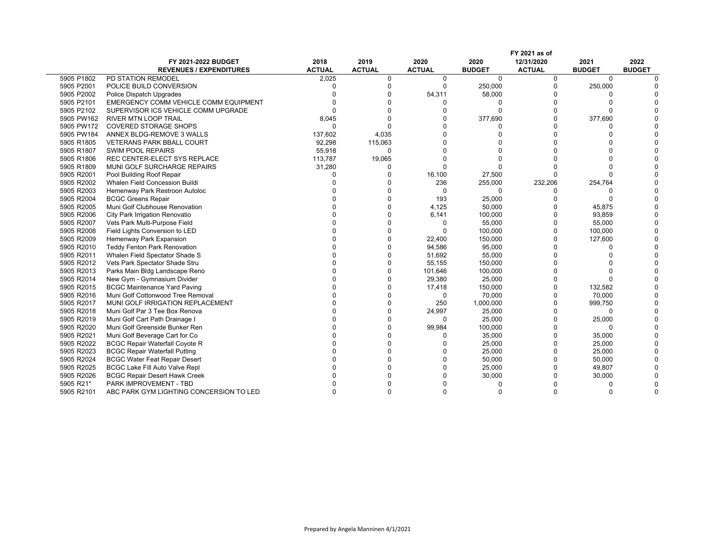|            |                                         |               |               |               |               | FY 2021 as of |               |               |
|------------|-----------------------------------------|---------------|---------------|---------------|---------------|---------------|---------------|---------------|
|            | <b>FY 2021-2022 BUDGET</b>              | 2018          | 2019          | 2020          | 2020          | 12/31/2020    | 2021          | 2022          |
|            | <b>REVENUES / EXPENDITURES</b>          | <b>ACTUAL</b> | <b>ACTUAL</b> | <b>ACTUAL</b> | <b>BUDGET</b> | <b>ACTUAL</b> | <b>BUDGET</b> | <b>BUDGET</b> |
| 5905 P1802 | PD STATION REMODEL                      | 2,025         | 0             | 0             | $\mathbf 0$   | 0             | $\mathbf 0$   |               |
| 5905 P2001 | POLICE BUILD CONVERSION                 | C             | $\Omega$      | $\Omega$      | 250,000       | $\Omega$      | 250,000       |               |
| 5905 P2002 | Police Dispatch Upgrades                |               |               | 54,311        | 58,000        | $\Omega$      |               |               |
| 5905 P2101 | EMERGENCY COMM VEHICLE COMM EQUIPMENT   |               |               |               |               | $\Omega$      |               |               |
| 5905 P2102 | SUPERVISOR ICS VEHICLE COMM UPGRADE     | $\Omega$      |               |               | $\Omega$      | $\Omega$      |               |               |
| 5905 PW162 | <b>RIVER MTN LOOP TRAIL</b>             | 8,045         |               |               | 377,690       | $\Omega$      | 377,690       |               |
| 5905 PW172 | <b>COVERED STORAGE SHOPS</b>            | $\Omega$      |               |               |               | $\Omega$      |               |               |
| 5905 PW184 | ANNEX BLDG-REMOVE 3 WALLS               | 137,602       | 4,035         |               |               | $\Omega$      |               |               |
| 5905 R1805 | <b>VETERANS PARK BBALL COURT</b>        | 92,298        | 115,063       |               |               |               |               |               |
| 5905 R1807 | <b>SWIM POOL REPAIRS</b>                | 55,918        | $\Omega$      |               |               |               |               |               |
| 5905 R1806 | REC CENTER-ELECT SYS REPLACE            | 113,787       | 19,065        |               |               |               |               |               |
| 5905 R1809 | MUNI GOLF SURCHARGE REPAIRS             | 31,280        |               |               |               |               |               |               |
| 5905 R2001 | Pool Building Roof Repair               | $\Omega$      |               | 16,100        | 27,500        |               |               |               |
| 5905 R2002 | Whalen Field Concession Buildi          | $\cap$        |               | 236           | 255,000       | 232,206       | 254,764       |               |
| 5905 R2003 | Hemenway Park Restroon Autoloc          |               |               | $\Omega$      | $\Omega$      |               |               |               |
| 5905 R2004 | <b>BCGC Greens Repair</b>               |               |               | 193           | 25,000        |               |               |               |
| 5905 R2005 | Muni Golf Clubhouse Renovation          |               |               | 4,125         | 50,000        |               | 45,875        |               |
| 5905 R2006 | City Park Irrigation Renovatio          |               |               | 6,141         | 100,000       | $\Omega$      | 93,859        |               |
| 5905 R2007 | Vets Park Multi-Purpose Field           |               |               | $\Omega$      | 55,000        | $\Omega$      | 55,000        |               |
| 5905 R2008 | Field Lights Conversion to LED          |               |               | $\Omega$      | 100,000       | $\Omega$      | 100,000       |               |
| 5905 R2009 | Hemenway Park Expansion                 |               |               | 22,400        | 150,000       | $\Omega$      | 127,600       |               |
| 5905 R2010 | <b>Teddy Fenton Park Renovation</b>     |               | U             | 94,586        | 95,000        | $\Omega$      | U             |               |
| 5905 R2011 | Whalen Field Spectator Shade S          |               | O             | 51,692        | 55,000        | $\Omega$      |               |               |
| 5905 R2012 | Vets Park Spectator Shade Stru          |               | U             | 55,155        | 150,000       | $\Omega$      |               |               |
| 5905 R2013 | Parks Main Bldg Landscape Reno          |               |               | 101,646       | 100,000       | $\Omega$      |               |               |
| 5905 R2014 | New Gym - Gymnasium Divider             |               |               | 29,380        | 25,000        | $\Omega$      |               |               |
| 5905 R2015 | <b>BCGC Maintenance Yard Paving</b>     |               |               | 17,418        | 150,000       | O             | 132,582       |               |
| 5905 R2016 | Muni Golf Cottonwood Tree Removal       |               |               | 0             | 70,000        | $\Omega$      | 70,000        |               |
| 5905 R2017 | MUNI GOLF IRRIGATION REPLACEMENT        |               |               | 250           | 1,000,000     | $\Omega$      | 999,750       |               |
| 5905 R2018 | Muni Golf Par 3 Tee Box Renova          |               |               | 24,997        | 25,000        | $\Omega$      | $\Omega$      |               |
| 5905 R2019 | Muni Golf Cart Path Drainage I          |               |               | $\Omega$      | 25,000        | $\Omega$      | 25,000        |               |
| 5905 R2020 | Muni Golf Greenside Bunker Ren          |               |               | 99,984        | 100,000       | $\Omega$      | $\Omega$      |               |
| 5905 R2021 | Muni Golf Beverage Cart for Co          |               |               |               | 35,000        | $\Omega$      | 35,000        |               |
| 5905 R2022 | <b>BCGC Repair Waterfall Coyote R</b>   |               |               |               | 25,000        | $\Omega$      | 25,000        |               |
| 5905 R2023 | <b>BCGC Repair Waterfall Putting</b>    |               |               |               | 25,000        | $\Omega$      | 25,000        |               |
| 5905 R2024 | <b>BCGC Water Feat Repair Desert</b>    |               |               |               | 50,000        | $\Omega$      | 50,000        |               |
| 5905 R2025 | <b>BCGC Lake Fill Auto Valve Repl</b>   |               |               |               | 25,000        | $\Omega$      | 49,807        |               |
| 5905 R2026 | <b>BCGC Repair Desert Hawk Creek</b>    |               |               |               | 30,000        | $\Omega$      | 30,000        |               |
| 5905 R21*  | PARK IMPROVEMENT - TBD                  |               |               |               |               |               |               |               |
| 5905 R2101 | ABC PARK GYM LIGHTING CONCERSION TO LED | $\Omega$      |               |               |               | ∩             | <sup>0</sup>  |               |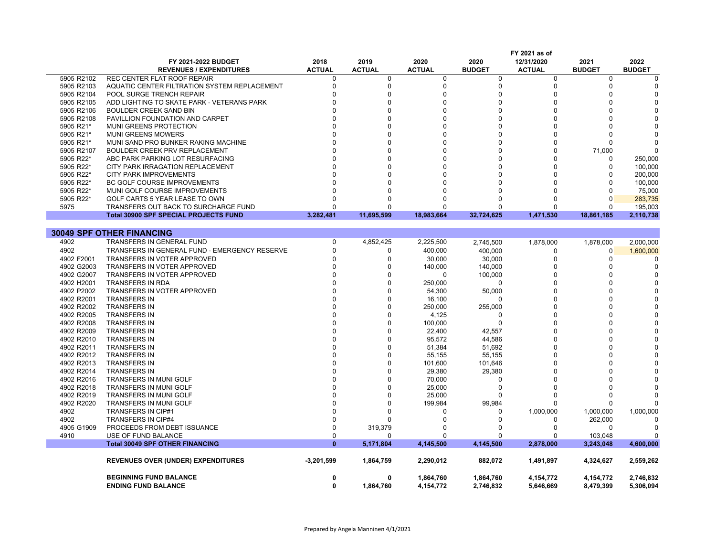|            | FY 2021-2022 BUDGET                           | 2018          | 2019          | 2020          | 2020          | 12/31/2020    | 2021          | 2022          |
|------------|-----------------------------------------------|---------------|---------------|---------------|---------------|---------------|---------------|---------------|
|            | <b>REVENUES / EXPENDITURES</b>                | <b>ACTUAL</b> | <b>ACTUAL</b> | <b>ACTUAL</b> | <b>BUDGET</b> | <b>ACTUAL</b> | <b>BUDGET</b> | <b>BUDGET</b> |
| 5905 R2102 | REC CENTER FLAT ROOF REPAIR                   | O             | 0             | 0             | 0             | 0             | $\Omega$      |               |
| 5905 R2103 | AQUATIC CENTER FILTRATION SYSTEM REPLACEMENT  | $\Omega$      | 0             | $\mathbf 0$   | $\mathbf 0$   | $\mathbf 0$   | $\Omega$      |               |
| 5905 R2104 | POOL SURGE TRENCH REPAIR                      | n             | $\Omega$      | $\Omega$      | $\Omega$      | $\Omega$      | ∩             |               |
| 5905 R2105 | ADD LIGHTING TO SKATE PARK - VETERANS PARK    |               | $\Omega$      | $\Omega$      | $\Omega$      | $\Omega$      |               |               |
| 5905 R2106 | <b>BOULDER CREEK SAND BIN</b>                 |               | $\Omega$      | $\Omega$      | $\Omega$      | $\Omega$      | U             |               |
| 5905 R2108 | PAVILLION FOUNDATION AND CARPET               |               | $\Omega$      | $\Omega$      | $\Omega$      | $\Omega$      |               |               |
| 5905 R21*  | MUNI GREENS PROTECTION                        |               | $\Omega$      | $\Omega$      | $\Omega$      | n             |               |               |
| 5905 R21*  | <b>MUNI GREENS MOWERS</b>                     |               | $\Omega$      | $\Omega$      | $\Omega$      | $\Omega$      |               |               |
| 5905 R21*  | MUNI SAND PRO BUNKER RAKING MACHINE           |               | $\Omega$      | $\Omega$      | $\Omega$      | $\Omega$      |               |               |
| 5905 R2107 | BOULDER CREEK PRV REPLACEMENT                 |               | $\Omega$      | $\Omega$      | $\Omega$      | O             | 71,000        |               |
| 5905 R22*  | ABC PARK PARKING LOT RESURFACING              |               | $\Omega$      | $\Omega$      | $\Omega$      | $\Omega$      | $\Omega$      | 250,000       |
| 5905 R22*  | CITY PARK IRRAGATION REPLACEMENT              |               | $\Omega$      | $\Omega$      | $\Omega$      | $\Omega$      | 0             | 100,000       |
| 5905 R22*  | <b>CITY PARK IMPROVEMENTS</b>                 |               | $\Omega$      | $\Omega$      | $\Omega$      | $\Omega$      | $\Omega$      | 200,000       |
| 5905 R22*  | BC GOLF COURSE IMPROVEMENTS                   |               | $\Omega$      | $\Omega$      | $\Omega$      | $\Omega$      | $\Omega$      | 100,000       |
| 5905 R22*  |                                               |               | $\Omega$      | $\Omega$      |               |               | $\Omega$      |               |
|            | MUNI GOLF COURSE IMPROVEMENTS                 | <sup>0</sup>  | O             | $\Omega$      | $\Omega$      |               | $\Omega$      | 75,000        |
| 5905 R22*  | GOLF CARTS 5 YEAR LEASE TO OWN                |               |               | $\Omega$      | $\Omega$      |               |               | 283,735       |
| 5975       | TRANSFERS OUT BACK TO SURCHARGE FUND          | <sup>0</sup>  | O             |               |               | O             | $\Omega$      | 195,003       |
|            | <b>Total 30900 SPF SPECIAL PROJECTS FUND</b>  | 3,282,481     | 11,695,599    | 18,983,664    | 32,724,625    | 1,471,530     | 18,861,185    | 2,110,738     |
|            |                                               |               |               |               |               |               |               |               |
|            | <b>30049 SPF OTHER FINANCING</b>              |               |               |               |               |               |               |               |
| 4902       | TRANSFERS IN GENERAL FUND                     | 0             | 4,852,425     | 2,225,500     | 2,745,500     | 1,878,000     | 1,878,000     | 2,000,000     |
| 4902       | TRANSFERS IN GENERAL FUND - EMERGENCY RESERVE | $\Omega$      | 0             | 400,000       | 400.000       | $\Omega$      | $\Omega$      | 1,600,000     |
| 4902 F2001 | TRANSFERS IN VOTER APPROVED                   | $\Omega$      | $\Omega$      | 30,000        | 30,000        | $\Omega$      | 0             |               |
| 4902 G2003 | TRANSFERS IN VOTER APPROVED                   |               | $\Omega$      | 140,000       | 140,000       | $\Omega$      | $\Omega$      |               |
| 4902 G2007 | TRANSFERS IN VOTER APPROVED                   |               | $\Omega$      | $\Omega$      | 100,000       | $\Omega$      |               |               |
| 4902 H2001 | <b>TRANSFERS IN RDA</b>                       |               | $\Omega$      | 250,000       | $\Omega$      | $\Omega$      | O             |               |
| 4902 P2002 | TRANSFERS IN VOTER APPROVED                   |               | $\Omega$      | 54,300        | 50,000        | $\Omega$      |               |               |
| 4902 R2001 | <b>TRANSFERS IN</b>                           |               | $\Omega$      | 16,100        | $\Omega$      | $\Omega$      |               |               |
| 4902 R2002 | <b>TRANSFERS IN</b>                           |               | $\Omega$      | 250,000       | 255,000       | $\Omega$      |               |               |
| 4902 R2005 | <b>TRANSFERS IN</b>                           |               | $\Omega$      | 4,125         | $\Omega$      | $\Omega$      |               |               |
| 4902 R2008 | <b>TRANSFERS IN</b>                           |               | $\Omega$      | 100,000       | $\mathbf 0$   | $\Omega$      | U             |               |
| 4902 R2009 | <b>TRANSFERS IN</b>                           |               | $\Omega$      | 22,400        | 42,557        | $\Omega$      |               |               |
|            |                                               |               | $\Omega$      |               |               | $\Omega$      |               |               |
| 4902 R2010 | <b>TRANSFERS IN</b>                           |               |               | 95,572        | 44,586        | $\Omega$      |               |               |
| 4902 R2011 | <b>TRANSFERS IN</b>                           |               | $\Omega$      | 51,384        | 51,692        | $\Omega$      |               |               |
| 4902 R2012 | <b>TRANSFERS IN</b>                           |               | $\Omega$      | 55,155        | 55,155        |               |               |               |
| 4902 R2013 | <b>TRANSFERS IN</b>                           |               | $\Omega$      | 101,600       | 101,646       | $\Omega$      |               |               |
| 4902 R2014 | <b>TRANSFERS IN</b>                           |               | $\Omega$      | 29,380        | 29,380        | $\Omega$      |               |               |
| 4902 R2016 | TRANSFERS IN MUNI GOLF                        |               | $\Omega$      | 70,000        | 0             | $\Omega$      |               |               |
| 4902 R2018 | <b>TRANSFERS IN MUNI GOLF</b>                 |               | $\Omega$      | 25,000        | $\Omega$      |               |               |               |
| 4902 R2019 | TRANSFERS IN MUNI GOLF                        |               | $\Omega$      | 25,000        | 0             | $\Omega$      | $\Omega$      |               |
| 4902 R2020 | TRANSFERS IN MUNI GOLF                        |               | $\Omega$      | 199,984       | 99,984        |               |               |               |
| 4902       | <b>TRANSFERS IN CIP#1</b>                     |               | $\Omega$      | $\Omega$      | 0             | 1,000,000     | 1,000,000     | 1,000,000     |
| 4902       | <b>TRANSFERS IN CIP#4</b>                     | ∩             |               | $\Omega$      | $\Omega$      | $\Omega$      | 262,000       |               |
| 4905 G1909 | PROCEEDS FROM DEBT ISSUANCE                   | n             | 319,379       | $\Omega$      | $\Omega$      | $\Omega$      | $\Omega$      |               |
| 4910       | <b>USE OF FUND BALANCE</b>                    | 0             | $\Omega$      | $\Omega$      | $\Omega$      | $\Omega$      | 103,048       |               |
|            | <b>Total 30049 SPF OTHER FINANCING</b>        | $\mathbf{0}$  | 5,171,804     | 4,145,500     | 4,145,500     | 2,878,000     | 3,243,048     | 4,600,000     |
|            |                                               |               |               |               |               |               |               |               |
|            | <b>REVENUES OVER (UNDER) EXPENDITURES</b>     | $-3,201,599$  | 1,864,759     | 2,290,012     | 882,072       | 1,491,897     | 4,324,627     | 2,559,262     |
|            |                                               |               |               |               |               |               |               |               |
|            | <b>BEGINNING FUND BALANCE</b>                 | 0             | 0             | 1,864,760     | 1,864,760     | 4,154,772     | 4,154,772     | 2,746,832     |
|            | <b>ENDING FUND BALANCE</b>                    | 0             | 1,864,760     | 4,154,772     | 2,746,832     | 5,646,669     | 8,479,399     | 5,306,094     |
|            |                                               |               |               |               |               |               |               |               |

**FY 2021 as of**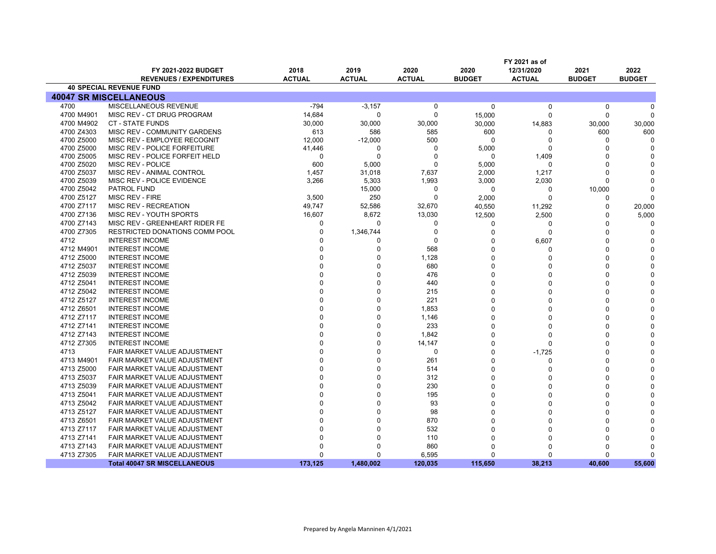|            |                                       |               |               |               |               | FY 2021 as of |               |               |
|------------|---------------------------------------|---------------|---------------|---------------|---------------|---------------|---------------|---------------|
|            | <b>FY 2021-2022 BUDGET</b>            | 2018          | 2019          | 2020          | 2020          | 12/31/2020    | 2021          | 2022          |
|            | <b>REVENUES / EXPENDITURES</b>        | <b>ACTUAL</b> | <b>ACTUAL</b> | <b>ACTUAL</b> | <b>BUDGET</b> | <b>ACTUAL</b> | <b>BUDGET</b> | <b>BUDGET</b> |
|            | <b>40 SPECIAL REVENUE FUND</b>        |               |               |               |               |               |               |               |
|            | <b>40047 SR MISCELLANEOUS</b>         |               |               |               |               |               |               |               |
| 4700       | MISCELLANEOUS REVENUE                 | $-794$        | $-3,157$      | $\mathbf 0$   | $\mathbf 0$   | 0             | $\Omega$      |               |
| 4700 M4901 | MISC REV - CT DRUG PROGRAM            | 14,684        | $\Omega$      | $\Omega$      | 15,000        | $\Omega$      | $\Omega$      |               |
| 4700 M4902 | <b>CT - STATE FUNDS</b>               | 30,000        | 30,000        | 30,000        | 30,000        | 14,883        | 30,000        | 30,000        |
| 4700 Z4303 | MISC REV - COMMUNITY GARDENS          | 613           | 586           | 585           | 600           | n             | 600           | 600           |
| 4700 Z5000 | MISC REV - EMPLOYEE RECOGNIT          | 12,000        | $-12,000$     | 500           | $\Omega$      | $\Omega$      | $\Omega$      | $\Omega$      |
| 4700 Z5000 | MISC REV - POLICE FORFEITURE          | 41,446        | $\Omega$      | $\Omega$      | 5,000         | $\Omega$      | $\Omega$      |               |
| 4700 Z5005 | MISC REV - POLICE FORFEIT HELD        | $\Omega$      | $\Omega$      | $\Omega$      | $\Omega$      | 1.409         | C             |               |
| 4700 Z5020 | MISC REV - POLICE                     | 600           | 5,000         |               | 5,000         | $\Omega$      | C             |               |
| 4700 Z5037 | MISC REV - ANIMAL CONTROL             | 1,457         | 31,018        | 7,637         | 2,000         | 1,217         | C             |               |
| 4700 Z5039 | MISC REV - POLICE EVIDENCE            | 3,266         | 5,303         | 1,993         | 3,000         | 2,030         | $\Omega$      |               |
| 4700 Z5042 | <b>PATROL FUND</b>                    |               | 15,000        | 0             | 0             | 0             | 10,000        |               |
| 4700 Z5127 | MISC REV - FIRE                       | 3,500         | 250           | $\Omega$      | 2,000         | $\Omega$      | $\Omega$      |               |
| 4700 Z7117 | MISC REV - RECREATION                 | 49,747        | 52,586        | 32,670        | 40,550        | 11,292        | $\Omega$      | 20,000        |
| 4700 Z7136 | MISC REV - YOUTH SPORTS               | 16,607        | 8,672         | 13,030        | 12,500        | 2,500         | $\Omega$      | 5,000         |
| 4700 Z7143 | MISC REV - GREENHEART RIDER FE        | $\Omega$      | $\Omega$      | 0             | 0             | 0             | $\Omega$      |               |
| 4700 Z7305 | <b>RESTRICTED DONATIONS COMM POOL</b> | $\Omega$      | 1,346,744     | $\Omega$      | $\Omega$      | $\Omega$      | n             |               |
| 4712       | <b>INTEREST INCOME</b>                | n             | n             | $\Omega$      | n             | 6,607         | ſ             |               |
| 4712 M4901 | <b>INTEREST INCOME</b>                |               | $\Omega$      | 568           | $\Omega$      | $\Omega$      |               |               |
| 4712 Z5000 | <b>INTEREST INCOME</b>                |               |               | 1,128         | $\Omega$      | $\Omega$      | ſ             |               |
| 4712 Z5037 | <b>INTEREST INCOME</b>                |               |               | 680           | $\Omega$      | $\Omega$      |               |               |
| 4712 Z5039 | <b>INTEREST INCOME</b>                |               |               | 476           | $\Omega$      | $\Omega$      | O             |               |
| 4712 Z5041 | <b>INTEREST INCOME</b>                |               |               | 440           | $\Omega$      | $\Omega$      |               |               |
| 4712 Z5042 | <b>INTEREST INCOME</b>                |               |               | 215           | $\Omega$      | $\Omega$      |               |               |
| 4712 Z5127 | <b>INTEREST INCOME</b>                |               |               | 221           | $\Omega$      | $\Omega$      |               |               |
| 4712 Z6501 | <b>INTEREST INCOME</b>                |               |               | 1,853         | $\Omega$      | $\Omega$      |               |               |
| 4712 Z7117 | <b>INTEREST INCOME</b>                |               |               | 1,146         | $\Omega$      | $\Omega$      | n             |               |
| 4712 Z7141 | <b>INTEREST INCOME</b>                |               |               | 233           | $\Omega$      | $\Omega$      |               |               |
| 4712 Z7143 | <b>INTEREST INCOME</b>                |               |               | 1,842         | $\Omega$      | $\Omega$      |               |               |
| 4712 Z7305 | <b>INTEREST INCOME</b>                |               |               | 14,147        | $\Omega$      | $\Omega$      |               |               |
| 4713       | FAIR MARKET VALUE ADJUSTMENT          |               |               | $\Omega$      | $\Omega$      | $-1,725$      | r             |               |
| 4713 M4901 | FAIR MARKET VALUE ADJUSTMENT          | $\Omega$      |               | 261           | $\Omega$      | $\Omega$      |               |               |
| 4713 Z5000 | FAIR MARKET VALUE ADJUSTMENT          |               |               | 514           | $\Omega$      | $\Omega$      | C             |               |
| 4713 Z5037 | FAIR MARKET VALUE ADJUSTMENT          |               |               | 312           | $\Omega$      | $\Omega$      |               |               |
| 4713 Z5039 | FAIR MARKET VALUE ADJUSTMENT          |               |               | 230           | $\Omega$      | $\Omega$      |               |               |
| 4713 Z5041 | FAIR MARKET VALUE ADJUSTMENT          |               |               | 195           | $\Omega$      | $\Omega$      |               |               |
| 4713 Z5042 | FAIR MARKET VALUE ADJUSTMENT          |               |               | 93            | n             | $\Omega$      |               |               |
| 4713 Z5127 | FAIR MARKET VALUE ADJUSTMENT          |               |               | 98            |               | $\Omega$      |               |               |
| 4713 Z6501 | FAIR MARKET VALUE ADJUSTMENT          |               |               | 870           | $\Omega$      | $\Omega$      |               |               |
| 4713 Z7117 | FAIR MARKET VALUE ADJUSTMENT          |               |               | 532           | $\Omega$      | $\Omega$      |               |               |
| 4713 Z7141 | FAIR MARKET VALUE ADJUSTMENT          |               | n             | 110           | $\Omega$      | $\Omega$      |               |               |
| 4713 Z7143 | FAIR MARKET VALUE ADJUSTMENT          |               |               | 860           | $\Omega$      | $\Omega$      |               |               |
| 4713 Z7305 | FAIR MARKET VALUE ADJUSTMENT          | $\Omega$      | $\Omega$      | 6,595         | $\Omega$      | $\Omega$      | C             | n             |
|            | <b>Total 40047 SR MISCELLANEOUS</b>   | 173.125       | 1.480.002     | 120,035       | 115.650       | 38.213        | 40.600        | 55.600        |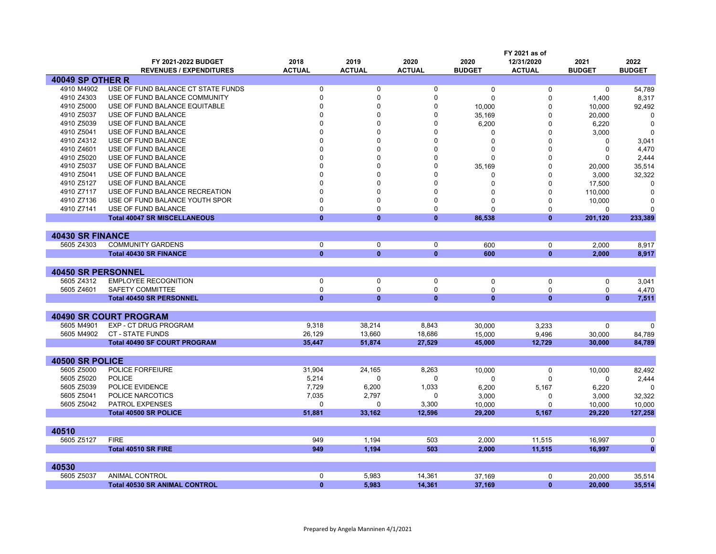|                           |                                      |               |               |               |               | FY 2021 as of               |               |               |
|---------------------------|--------------------------------------|---------------|---------------|---------------|---------------|-----------------------------|---------------|---------------|
|                           | FY 2021-2022 BUDGET                  | 2018          | 2019          | 2020          | 2020          | 12/31/2020                  | 2021          | 2022          |
|                           | <b>REVENUES / EXPENDITURES</b>       | <b>ACTUAL</b> | <b>ACTUAL</b> | <b>ACTUAL</b> | <b>BUDGET</b> | <b>ACTUAL</b>               | <b>BUDGET</b> | <b>BUDGET</b> |
| <b>40049 SP OTHER R</b>   |                                      |               |               |               |               |                             |               |               |
| 4910 M4902                | USE OF FUND BALANCE CT STATE FUNDS   | $\mathbf 0$   | $\mathbf 0$   | $\mathbf 0$   | $\Omega$      | $\Omega$                    | $\mathbf 0$   | 54,789        |
| 4910 Z4303                | USE OF FUND BALANCE COMMUNITY        | $\Omega$      | $\Omega$      | $\Omega$      | $\Omega$      | $\Omega$                    | 1,400         | 8,317         |
| 4910 Z5000                | USE OF FUND BALANCE EQUITABLE        | n             | O             | O             | 10,000        | 0                           | 10,000        | 92,492        |
| 4910 Z5037                | USE OF FUND BALANCE                  | n             | O             | $\Omega$      | 35,169        | 0                           | 20,000        | $\Omega$      |
| 4910 Z5039                | USE OF FUND BALANCE                  | $\Omega$      | O             | $\Omega$      | 6,200         | $\Omega$                    | 6,220         | $\Omega$      |
| 4910 Z5041                | USE OF FUND BALANCE                  |               |               | $\Omega$      | $\Omega$      | $\Omega$                    | 3,000         | $\Omega$      |
| 4910 Z4312                | USE OF FUND BALANCE                  | $\Omega$      |               | $\Omega$      | $\Omega$      | $\Omega$                    | $\Omega$      | 3,041         |
| 4910 Z4601                | USE OF FUND BALANCE                  | $\Omega$      |               | $\Omega$      | $\Omega$      | $\Omega$                    | $\Omega$      | 4,470         |
| 4910 Z5020                | USE OF FUND BALANCE                  | n             |               | 0             | n             | 0                           | 0             | 2,444         |
| 4910 Z5037                | USE OF FUND BALANCE                  |               |               | $\Omega$      | 35,169        | $\Omega$                    | 20,000        | 35,514        |
| 4910 Z5041                | USE OF FUND BALANCE                  | n             |               | $\Omega$      | $\Omega$      | $\Omega$                    | 3,000         | 32,322        |
| 4910 Z5127                | USE OF FUND BALANCE                  | $\Omega$      |               | $\Omega$      | 0             | 0                           | 17,500        | $\Omega$      |
| 4910 Z7117                | USE OF FUND BALANCE RECREATION       | $\Omega$      | $\Omega$      | $\Omega$      | 0             | 0                           | 110,000       | 0             |
| 4910 Z7136                | USE OF FUND BALANCE YOUTH SPOR       | $\Omega$      | $\Omega$      | $\Omega$      | O             | 0                           | 10,000        | 0             |
| 4910 Z7141                | USE OF FUND BALANCE                  | $\Omega$      | $\mathbf{0}$  | $\Omega$      | $\Omega$      | $\Omega$                    | $\Omega$      | $\Omega$      |
|                           | <b>Total 40047 SR MISCELLANEOUS</b>  | $\mathbf{0}$  | $\mathbf{0}$  | $\mathbf{0}$  | 86.538        | $\bf{0}$                    | 201,120       | 233,389       |
|                           |                                      |               |               |               |               |                             |               |               |
| <b>40430 SR FINANCE</b>   |                                      |               |               |               |               |                             |               |               |
| 5605 Z4303                | <b>COMMUNITY GARDENS</b>             | 0             | 0             | 0             | 600           | $\mathbf 0$                 | 2.000         | 8,917         |
|                           | <b>Total 40430 SR FINANCE</b>        | $\mathbf{0}$  | $\bf{0}$      | $\bf{0}$      | 600           | $\bf{0}$                    | 2,000         | 8,917         |
|                           |                                      |               |               |               |               |                             |               |               |
| <b>40450 SR PERSONNEL</b> |                                      |               |               |               |               |                             |               |               |
| 5605 Z4312                | <b>EMPLOYEE RECOGNITION</b>          | $\Omega$      | $\mathbf 0$   | $\Omega$      |               | $\mathbf{0}$                |               |               |
| 5605 Z4601                | <b>SAFETY COMMITTEE</b>              | $\mathbf 0$   | $\Omega$      | $\Omega$      | 0             |                             | 0             | 3,041         |
|                           |                                      | $\bf{0}$      | $\mathbf{0}$  | $\mathbf{0}$  | $\mathbf 0$   | $\mathbf 0$<br>$\mathbf{0}$ | $\mathbf 0$   | 4,470         |
|                           | <b>Total 40450 SR PERSONNEL</b>      |               |               |               | $\bf{0}$      |                             | $\mathbf{0}$  | 7,511         |
|                           |                                      |               |               |               |               |                             |               |               |
|                           | <b>40490 SR COURT PROGRAM</b>        |               |               |               |               |                             |               |               |
| 5605 M4901                | EXP - CT DRUG PROGRAM                | 9,318         | 38,214        | 8,843         | 30.000        | 3,233                       | $\mathbf 0$   | $\Omega$      |
| 5605 M4902                | <b>CT - STATE FUNDS</b>              | 26,129        | 13,660        | 18,686        | 15,000        | 9,496                       | 30,000        | 84,789        |
|                           | <b>Total 40490 SF COURT PROGRAM</b>  | 35,447        | 51,874        | 27,529        | 45,000        | 12,729                      | 30,000        | 84,789        |
|                           |                                      |               |               |               |               |                             |               |               |
| 40500 SR POLICE           |                                      |               |               |               |               |                             |               |               |
| 5605 Z5000                | <b>POLICE FORFEIURE</b>              | 31,904        | 24,165        | 8,263         | 10,000        | 0                           | 10,000        | 82,492        |
| 5605 Z5020                | <b>POLICE</b>                        | 5,214         | $\Omega$      | $\Omega$      | $\Omega$      | $\Omega$                    | $\Omega$      | 2,444         |
| 5605 Z5039                | POLICE EVIDENCE                      | 7,729         | 6,200         | 1,033         | 6,200         | 5,167                       | 6,220         | $\Omega$      |
| 5605 Z5041                | POLICE NARCOTICS                     | 7,035         | 2,797         | $\Omega$      | 3,000         | 0                           | 3,000         | 32,322        |
| 5605 Z5042                | <b>PATROL EXPENSES</b>               | $\Omega$      | $\Omega$      | 3.300         | 10.000        | $\Omega$                    | 10.000        | 10.000        |
|                           | <b>Total 40500 SR POLICE</b>         | 51,881        | 33,162        | 12,596        | 29,200        | 5,167                       | 29.220        | 127,258       |
|                           |                                      |               |               |               |               |                             |               |               |
| 40510                     |                                      |               |               |               |               |                             |               |               |
| 5605 Z5127                | <b>FIRE</b>                          | 949           | 1,194         | 503           | 2,000         | 11,515                      | 16,997        | $\mathbf 0$   |
|                           | <b>Total 40510 SR FIRE</b>           | 949           | 1,194         | 503           | 2,000         | 11,515                      | 16,997        | $\mathbf{0}$  |
|                           |                                      |               |               |               |               |                             |               |               |
| 40530                     |                                      |               |               |               |               |                             |               |               |
| 5605 Z5037                | <b>ANIMAL CONTROL</b>                | $\Omega$      | 5,983         | 14,361        | 37,169        | $\mathbf 0$                 | 20,000        | 35,514        |
|                           | <b>Total 40530 SR ANIMAL CONTROL</b> | $\mathbf{0}$  | 5,983         | 14,361        | 37.169        | $\mathbf{0}$                | 20,000        | 35,514        |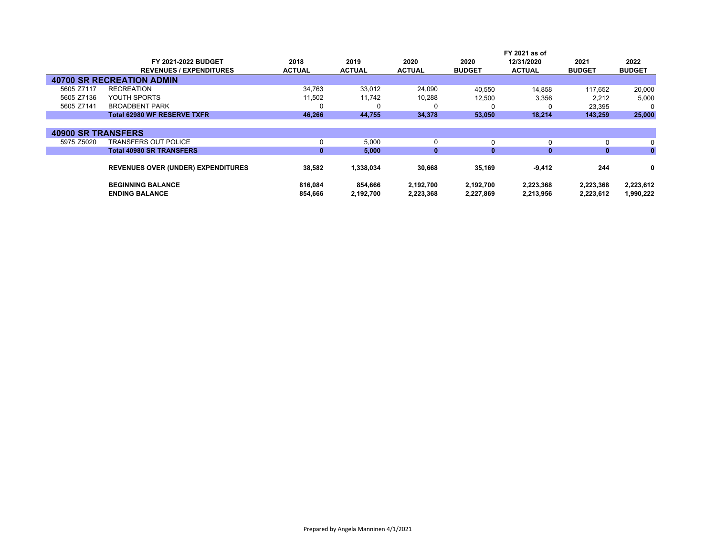|                           |                                           |               |               |               |               | FY 2021 as of |               |               |
|---------------------------|-------------------------------------------|---------------|---------------|---------------|---------------|---------------|---------------|---------------|
|                           | FY 2021-2022 BUDGET                       | 2018          | 2019          | 2020          | 2020          | 12/31/2020    | 2021          | 2022          |
|                           | <b>REVENUES / EXPENDITURES</b>            | <b>ACTUAL</b> | <b>ACTUAL</b> | <b>ACTUAL</b> | <b>BUDGET</b> | <b>ACTUAL</b> | <b>BUDGET</b> | <b>BUDGET</b> |
|                           | <b>40700 SR RECREATION ADMIN</b>          |               |               |               |               |               |               |               |
| 5605 Z7117                | <b>RECREATION</b>                         | 34,763        | 33,012        | 24,090        | 40,550        | 14.858        | 117.652       | 20,000        |
| 5605 Z7136                | YOUTH SPORTS                              | 11,502        | 11,742        | 10,288        | 12,500        | 3,356         | 2,212         | 5,000         |
| 5605 Z7141                | <b>BROADBENT PARK</b>                     | 0             | 0             | 0             |               |               | 23,395        |               |
|                           | <b>Total 62980 WF RESERVE TXFR</b>        | 46,266        | 44,755        | 34,378        | 53,050        | 18,214        | 143,259       | 25,000        |
|                           |                                           |               |               |               |               |               |               |               |
| <b>40900 SR TRANSFERS</b> |                                           |               |               |               |               |               |               |               |
| 5975 Z5020                | TRANSFERS OUT POLICE                      | 0             | 5,000         | 0             | 0             | 0             |               | 0             |
|                           | <b>Total 40980 SR TRANSFERS</b>           | $\mathbf{0}$  | 5,000         | $\mathbf{0}$  | $\mathbf{0}$  | $\mathbf{0}$  | $\bf{0}$      | $\mathbf{0}$  |
|                           |                                           |               |               |               |               |               |               |               |
|                           | <b>REVENUES OVER (UNDER) EXPENDITURES</b> | 38,582        | 1,338,034     | 30,668        | 35,169        | $-9,412$      | 244           | 0             |
|                           | <b>BEGINNING BALANCE</b>                  | 816,084       | 854,666       | 2,192,700     | 2,192,700     | 2,223,368     | 2,223,368     | 2,223,612     |
|                           | <b>ENDING BALANCE</b>                     | 854.666       | 2,192,700     | 2,223,368     | 2,227,869     | 2,213,956     | 2,223,612     | 1,990,222     |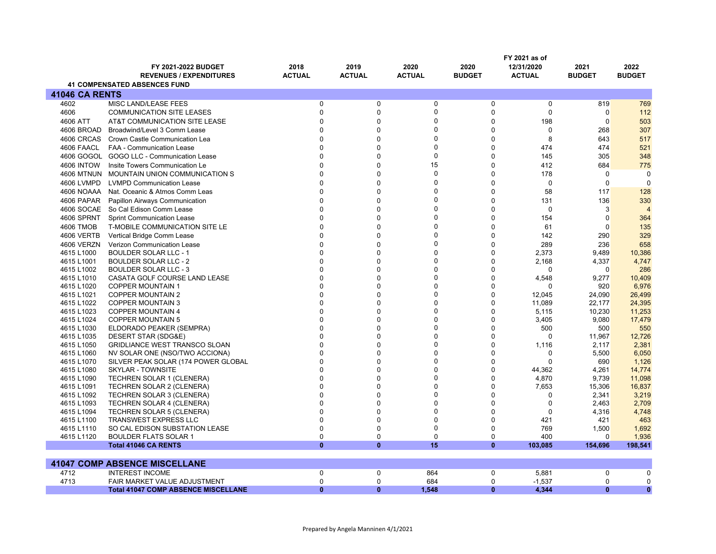|                          |                                                       |                       |                       |                       |                       | FY 2021 as of               |                       |                       |
|--------------------------|-------------------------------------------------------|-----------------------|-----------------------|-----------------------|-----------------------|-----------------------------|-----------------------|-----------------------|
|                          | FY 2021-2022 BUDGET<br><b>REVENUES / EXPENDITURES</b> | 2018<br><b>ACTUAL</b> | 2019<br><b>ACTUAL</b> | 2020<br><b>ACTUAL</b> | 2020<br><b>BUDGET</b> | 12/31/2020<br><b>ACTUAL</b> | 2021<br><b>BUDGET</b> | 2022<br><b>BUDGET</b> |
|                          | <b>41 COMPENSATED ABSENCES FUND</b>                   |                       |                       |                       |                       |                             |                       |                       |
|                          |                                                       |                       |                       |                       |                       |                             |                       |                       |
| <b>41046 CA RENTS</b>    |                                                       |                       |                       |                       |                       |                             |                       |                       |
| 4602                     | <b>MISC LAND/LEASE FEES</b>                           | $\mathbf{0}$          | $\mathbf 0$           | 0                     | $\mathbf 0$           | $\mathbf 0$                 | 819                   | 769                   |
| 4606                     | <b>COMMUNICATION SITE LEASES</b>                      | $\mathbf{0}$          | $\mathbf 0$           | 0                     | $\Omega$              | $\mathbf{0}$                | $\Omega$              | 112                   |
| 4606 ATT                 | AT&T COMMUNICATION SITE LEASE                         | $\mathbf{0}$          | $\Omega$              | 0                     | $\Omega$              | 198                         | $\overline{0}$        | 503                   |
| 4606 BROAD               | Broadwind/Level 3 Comm Lease                          | $\Omega$              | $\Omega$              | 0                     | $\Omega$              | $\mathbf 0$                 | 268                   | 307                   |
| 4606 CRCAS               | Crown Castle Communication Lea                        | $\Omega$              | $\mathbf 0$           | 0                     | $\Omega$              | 8                           | 643                   | 517                   |
| 4606 FAACL               | <b>FAA - Communication Lease</b>                      | $\Omega$              | $\Omega$              | 0                     | $\Omega$              | 474                         | 474                   | 521                   |
| 4606 GOGOL               | GOGO LLC - Communication Lease                        | $\mathbf{0}$          | $\mathbf 0$           | 0                     | $\overline{0}$        | 145                         | 305                   | 348                   |
| <b>4606 INTOW</b>        | Insite Towers Communication Le                        | $\Omega$              | $\Omega$              | 15                    | $\Omega$              | 412                         | 684                   | 775                   |
| <b>4606 MTNUN</b>        | MOUNTAIN UNION COMMUNICATION S                        | $\Omega$              | $\Omega$              | 0                     | $\Omega$              | 178                         | $\mathbf 0$           | $\Omega$              |
| 4606 LVMPD               | <b>LVMPD Communication Lease</b>                      | $\Omega$              | $\Omega$              | 0                     | $\Omega$              | $\mathbf{0}$                | $\mathbf 0$           | $\Omega$              |
| 4606 NOAAA               | Nat. Oceanic & Atmos Comm Leas                        | $\mathbf{0}$          | $\Omega$              | 0                     | $\Omega$              | 58                          | 117                   | 128                   |
| 4606 PAPAR               | <b>Papillon Airways Communication</b>                 | $\mathbf{0}$          | $\Omega$              | 0                     | $\Omega$              | 131                         | 136                   | 330                   |
| 4606 SOCAE               | So Cal Edison Comm Lease                              | $\Omega$              | $\mathbf{0}$          | 0                     | $\Omega$              | $\mathbf 0$                 | 3                     | $\overline{4}$        |
| 4606 SPRNT               | <b>Sprint Communication Lease</b>                     | $\Omega$              | $\Omega$              | 0                     | $\Omega$              | 154                         | $\overline{0}$        | 364                   |
| 4606 TMOB                | T-MOBILE COMMUNICATION SITE LE                        | $\Omega$              | 0                     | 0                     | $\overline{0}$        | 61                          | $\mathbf 0$           | 135                   |
| 4606 VERTB               | Vertical Bridge Comm Lease                            | $\Omega$              | $\Omega$              | 0                     | $\overline{0}$        | 142                         | 290                   | 329                   |
| 4606 VERZN               | Verizon Communication Lease                           | $\Omega$              | $\Omega$              | 0                     | $\Omega$              | 289                         | 236                   | 658                   |
| 4615 L1000               | <b>BOULDER SOLAR LLC - 1</b>                          | $\Omega$              | $\Omega$              | 0                     | $\Omega$              | 2,373                       | 9.489                 | 10,386                |
| 4615 L1001               | <b>BOULDER SOLAR LLC - 2</b>                          | $\Omega$              | $\Omega$              | 0                     | $\Omega$              | 2,168                       | 4,337                 | 4,747                 |
| 4615 L1002               | <b>BOULDER SOLAR LLC - 3</b>                          | $\Omega$              | $\Omega$              | 0                     | $\Omega$              | $\Omega$                    | 0                     | 286                   |
| 4615 L1010               | CASATA GOLF COURSE LAND LEASE                         | $\Omega$              | $\Omega$              | 0                     | $\overline{0}$        |                             |                       |                       |
| 4615 L1020               | <b>COPPER MOUNTAIN 1</b>                              | $\Omega$              | $\Omega$              | 0                     | $\Omega$              | 4,548<br>$\Omega$           | 9,277<br>920          | 10,409<br>6,976       |
| 4615 L1021               | <b>COPPER MOUNTAIN 2</b>                              | $\Omega$              | $\Omega$              | 0                     | $\Omega$              | 12,045                      | 24,090                | 26,499                |
| 4615 L1022               | <b>COPPER MOUNTAIN 3</b>                              | $\Omega$              | $\Omega$              | 0                     | $\Omega$              | 11,089                      | 22,177                | 24,395                |
| 4615 L1023               | <b>COPPER MOUNTAIN 4</b>                              | $\Omega$              | $\Omega$              | 0                     | $\Omega$              | 5,115                       | 10,230                | 11,253                |
| 4615 L1024               | <b>COPPER MOUNTAIN 5</b>                              | $\mathbf{0}$          | $\Omega$              | 0                     | $\Omega$              | 3,405                       | 9,080                 | 17,479                |
| 4615 L1030               | ELDORADO PEAKER (SEMPRA)                              | $\Omega$              | $\Omega$              | 0                     | $\Omega$              | 500                         | 500                   | 550                   |
| 4615 L1035               | DESERT STAR (SDG&E)                                   | $\Omega$              | $\Omega$              | 0                     | $\Omega$              | $\Omega$                    | 11,967                | 12,726                |
| 4615 L1050               | <b>GRIDLIANCE WEST TRANSCO SLOAN</b>                  | $\Omega$              | $\Omega$              | 0                     | $\Omega$              | 1,116                       | 2,117                 | 2,381                 |
| 4615 L1060               | NV SOLAR ONE (NSO/TWO ACCIONA)                        | $\Omega$              | $\Omega$              | 0                     | $\Omega$              | 0                           | 5,500                 | 6,050                 |
|                          | SILVER PEAK SOLAR (174 POWER GLOBAL                   | $\Omega$              | $\Omega$              | 0                     | $\Omega$              | $\Omega$                    | 690                   | 1,126                 |
| 4615 L1070<br>4615 L1080 | <b>SKYLAR - TOWNSITE</b>                              | $\mathbf{0}$          | $\Omega$              | $\Omega$              | $\Omega$              | 44,362                      | 4.261                 | 14,774                |
| 4615 L1090               | <b>TECHREN SOLAR 1 (CLENERA)</b>                      | $\Omega$              | $\Omega$              | 0                     | $\Omega$              | 4,870                       | 9,739                 | 11,098                |
| 4615 L1091               | <b>TECHREN SOLAR 2 (CLENERA)</b>                      | $\Omega$              | $\Omega$              | 0                     | $\Omega$              | 7,653                       | 15,306                | 16,837                |
| 4615 L1092               | <b>TECHREN SOLAR 3 (CLENERA)</b>                      | $\Omega$              | $\Omega$              | 0                     | $\Omega$              | $\mathbf 0$                 | 2,341                 | 3,219                 |
| 4615 L1093               | TECHREN SOLAR 4 (CLENERA)                             | $\Omega$              | $\Omega$              | 0                     | $\Omega$              | $\Omega$                    | 2,463                 | 2,709                 |
| 4615 L1094               | <b>TECHREN SOLAR 5 (CLENERA)</b>                      | $\Omega$              | $\Omega$              | 0                     | $\Omega$              | $\Omega$                    | 4,316                 | 4,748                 |
| 4615 L1100               | <b>TRANSWEST EXPRESS LLC</b>                          | $\Omega$              | $\Omega$              | 0                     | $\Omega$              | 421                         | 421                   | 463                   |
| 4615 L1110               | SO CAL EDISON SUBSTATION LEASE                        | $\mathbf 0$           | $\Omega$              | 0                     | $\Omega$              | 769                         | 1,500                 | 1,692                 |
| 4615 L1120               | <b>BOULDER FLATS SOLAR 1</b>                          | $\mathbf 0$           | $\mathbf 0$           | 0                     | 0                     | 400                         | 0                     | 1,936                 |
|                          | <b>Total 41046 CA RENTS</b>                           | $\mathbf{0}$          | $\mathbf{0}$          | 15                    | $\mathbf{0}$          | 103,085                     | 154,696               | 198,541               |
|                          |                                                       |                       |                       |                       |                       |                             |                       |                       |
|                          | <b>41047 COMP ABSENCE MISCELLANE</b>                  |                       |                       |                       |                       |                             |                       |                       |
| 4712                     | <b>INTEREST INCOME</b>                                | $\mathbf 0$           | 0                     | 864                   | 0                     | 5,881                       | $\mathbf 0$           | $\mathbf 0$           |
| 4713                     | FAIR MARKET VALUE ADJUSTMENT                          | $\mathbf 0$           | $\mathbf 0$           | 684                   | $\Omega$              | $-1,537$                    | $\mathbf 0$           | $\Omega$              |
|                          | <b>Total 41047 COMP ABSENCE MISCELLANE</b>            | $\bf{0}$              | $\mathbf{0}$          | 1,548                 | $\mathbf{0}$          | 4,344                       | $\mathbf{0}$          | $\mathbf{0}$          |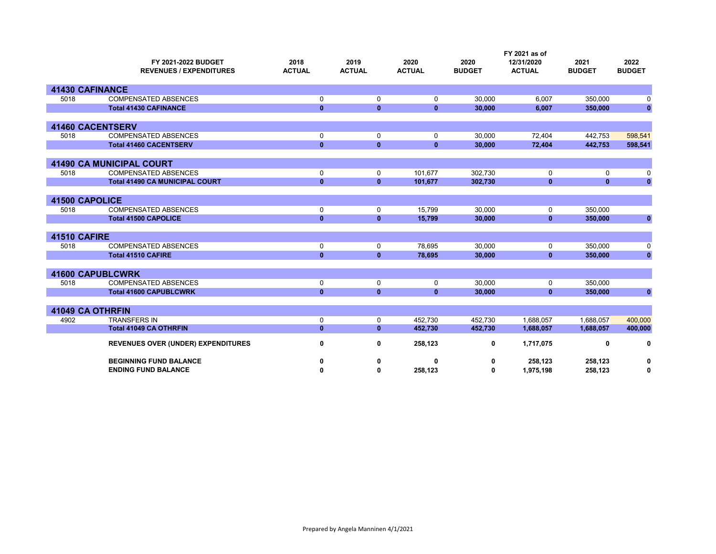|                     | FY 2021-2022 BUDGET<br><b>REVENUES / EXPENDITURES</b> | 2018<br><b>ACTUAL</b> | 2019<br><b>ACTUAL</b> | 2020<br><b>ACTUAL</b> | 2020<br><b>BUDGET</b> | FY 2021 as of<br>12/31/2020<br><b>ACTUAL</b> | 2021<br><b>BUDGET</b> | 2022<br><b>BUDGET</b> |
|---------------------|-------------------------------------------------------|-----------------------|-----------------------|-----------------------|-----------------------|----------------------------------------------|-----------------------|-----------------------|
|                     | <b>41430 CAFINANCE</b>                                |                       |                       |                       |                       |                                              |                       |                       |
| 5018                | <b>COMPENSATED ABSENCES</b>                           | 0                     | 0                     | 0                     | 30,000                | 6,007                                        | 350,000               | 0                     |
|                     | <b>Total 41430 CAFINANCE</b>                          | $\mathbf{0}$          | $\mathbf{0}$          | $\bf{0}$              | 30,000                | 6,007                                        | 350,000               | $\mathbf{0}$          |
|                     | <b>41460 CACENTSERV</b>                               |                       |                       |                       |                       |                                              |                       |                       |
| 5018                | <b>COMPENSATED ABSENCES</b>                           | 0                     | $\mathbf 0$           | 0                     | 30,000                | 72,404                                       | 442,753               | 598,541               |
|                     | <b>Total 41460 CACENTSERV</b>                         | $\mathbf{0}$          | $\mathbf{0}$          | $\mathbf{0}$          | 30,000                | 72,404                                       | 442,753               | 598,541               |
|                     | <b>41490 CA MUNICIPAL COURT</b>                       |                       |                       |                       |                       |                                              |                       |                       |
| 5018                | <b>COMPENSATED ABSENCES</b>                           | $\mathbf 0$           | 0                     | 101,677               | 302.730               | 0                                            | 0                     | 0                     |
|                     | <b>Total 41490 CA MUNICIPAL COURT</b>                 | $\mathbf{0}$          | $\mathbf{0}$          | 101,677               | 302,730               | $\mathbf{0}$                                 | $\mathbf{0}$          | $\mathbf{0}$          |
|                     |                                                       |                       |                       |                       |                       |                                              |                       |                       |
| 41500 CAPOLICE      |                                                       |                       |                       |                       |                       |                                              |                       |                       |
| 5018                | <b>COMPENSATED ABSENCES</b>                           | $\mathbf 0$           | $\mathbf 0$           | 15,799                | 30.000                | 0                                            | 350,000               |                       |
|                     | <b>Total 41500 CAPOLICE</b>                           | $\mathbf{0}$          | $\mathbf{0}$          | 15,799                | 30,000                | $\mathbf{0}$                                 | 350,000               | $\mathbf{0}$          |
| <b>41510 CAFIRE</b> |                                                       |                       |                       |                       |                       |                                              |                       |                       |
| 5018                | <b>COMPENSATED ABSENCES</b>                           | 0                     | 0                     | 78,695                | 30,000                | 0                                            | 350,000               | 0                     |
|                     | <b>Total 41510 CAFIRE</b>                             | $\mathbf{0}$          | $\mathbf{0}$          | 78,695                | 30.000                | $\mathbf{0}$                                 | 350,000               | $\mathbf 0$           |
|                     |                                                       |                       |                       |                       |                       |                                              |                       |                       |
|                     | <b>41600 CAPUBLCWRK</b>                               |                       |                       |                       |                       |                                              |                       |                       |
| 5018                | <b>COMPENSATED ABSENCES</b>                           | 0                     | 0                     | 0                     | 30,000                | 0                                            | 350,000               |                       |
|                     | <b>Total 41600 CAPUBLCWRK</b>                         | $\mathbf{0}$          | $\mathbf{0}$          | $\mathbf{0}$          | 30,000                | $\mathbf{0}$                                 | 350,000               | $\mathbf{0}$          |
|                     | 41049 CA OTHRFIN                                      |                       |                       |                       |                       |                                              |                       |                       |
| 4902                | <b>TRANSFERS IN</b>                                   | $\mathbf 0$           | 0                     | 452,730               | 452.730               | 1,688,057                                    | 1,688,057             | 400,000               |
|                     | <b>Total 41049 CA OTHRFIN</b>                         | $\mathbf{0}$          | $\mathbf{0}$          | 452,730               | 452,730               | 1,688,057                                    | 1,688,057             | 400,000               |
|                     | REVENUES OVER (UNDER) EXPENDITURES                    | 0                     | 0                     | 258,123               | 0                     | 1,717,075                                    | 0                     | 0                     |
|                     | <b>BEGINNING FUND BALANCE</b>                         | 0                     | 0                     | 0                     | 0                     | 258,123                                      | 258,123               | 0                     |
|                     | <b>ENDING FUND BALANCE</b>                            | 0                     | 0                     | 258,123               | 0                     | 1,975,198                                    | 258,123               | 0                     |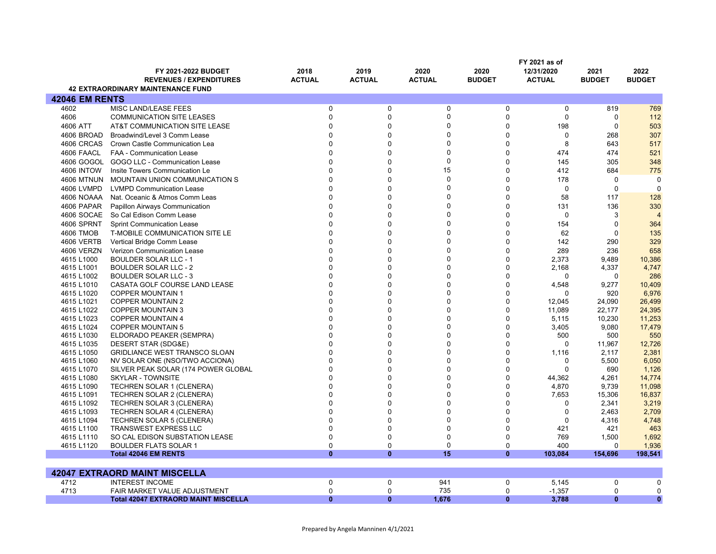|                       |                                            |               |               |               |               | FY 2021 as of |               |                |
|-----------------------|--------------------------------------------|---------------|---------------|---------------|---------------|---------------|---------------|----------------|
|                       | <b>FY 2021-2022 BUDGET</b>                 | 2018          | 2019          | 2020          | 2020          | 12/31/2020    | 2021          | 2022           |
|                       | <b>REVENUES / EXPENDITURES</b>             | <b>ACTUAL</b> | <b>ACTUAL</b> | <b>ACTUAL</b> | <b>BUDGET</b> | <b>ACTUAL</b> | <b>BUDGET</b> | <b>BUDGET</b>  |
|                       | <b>42 EXTRAORDINARY MAINTENANCE FUND</b>   |               |               |               |               |               |               |                |
| <b>42046 EM RENTS</b> |                                            |               |               |               |               |               |               |                |
| 4602                  | MISC LAND/LEASE FEES                       | 0             | 0             | $\mathbf 0$   | 0             | 0             | 819           | 769            |
| 4606                  | <b>COMMUNICATION SITE LEASES</b>           | $\Omega$      | $\Omega$      | 0             | $\Omega$      | $\mathbf 0$   | $\mathbf 0$   | 112            |
| 4606 ATT              | AT&T COMMUNICATION SITE LEASE              | $\Omega$      | $\Omega$      | 0             | $\Omega$      | 198           | $\mathbf 0$   | 503            |
| 4606 BROAD            | Broadwind/Level 3 Comm Lease               | $\Omega$      | $\Omega$      | $\Omega$      | $\mathbf 0$   | $\mathbf 0$   | 268           | 307            |
| 4606 CRCAS            | Crown Castle Communication Lea             | $\Omega$      | $\Omega$      | $\Omega$      | $\Omega$      | 8             | 643           | 517            |
| 4606 FAACL            | FAA - Communication Lease                  | O             | $\Omega$      | $\Omega$      | $\Omega$      | 474           | 474           | 521            |
| 4606 GOGOL            | GOGO LLC - Communication Lease             | $\Omega$      | $\Omega$      | 0             | $\Omega$      | 145           | 305           | 348            |
| <b>4606 INTOW</b>     | Insite Towers Communication Le             | 0             | $\Omega$      | 15            | $\Omega$      | 412           | 684           | 775            |
| <b>4606 MTNUN</b>     | <b>MOUNTAIN UNION COMMUNICATION S</b>      | $\Omega$      | $\Omega$      | $\mathbf 0$   | $\Omega$      | 178           | $\mathbf 0$   | $\Omega$       |
|                       |                                            |               | $\Omega$      | $\Omega$      | $\Omega$      |               |               |                |
| 4606 LVMPD            | <b>LVMPD Communication Lease</b>           |               |               |               |               | $\Omega$      | $\mathbf 0$   | $\Omega$       |
| 4606 NOAAA            | Nat. Oceanic & Atmos Comm Leas             | $\Omega$      | $\Omega$      | $\Omega$      | $\Omega$      | 58            | 117           | 128            |
| 4606 PAPAR            | Papillon Airways Communication             | $\Omega$      | $\Omega$      | 0             | $\Omega$      | 131           | 136           | 330            |
| 4606 SOCAE            | So Cal Edison Comm Lease                   | U             | $\Omega$      | $\Omega$      | $\Omega$      | $\Omega$      | 3             | $\overline{4}$ |
| <b>4606 SPRNT</b>     | <b>Sprint Communication Lease</b>          |               | $\Omega$      | $\Omega$      | $\Omega$      | 154           | $\Omega$      | 364            |
| 4606 TMOB             | T-MOBILE COMMUNICATION SITE LE             | $\Omega$      | $\Omega$      | $\Omega$      | $\Omega$      | 62            | $\Omega$      | 135            |
| 4606 VERTB            | Vertical Bridge Comm Lease                 |               | $\Omega$      | $\Omega$      | $\Omega$      | 142           | 290           | 329            |
| 4606 VERZN            | Verizon Communication Lease                | U             | $\Omega$      | $\Omega$      | $\mathbf 0$   | 289           | 236           | 658            |
| 4615 L1000            | <b>BOULDER SOLAR LLC - 1</b>               |               | $\Omega$      | $\mathbf{0}$  | $\Omega$      | 2,373         | 9,489         | 10,386         |
| 4615 L1001            | <b>BOULDER SOLAR LLC - 2</b>               | U             | $\Omega$      | $\mathbf{0}$  | $\mathbf 0$   | 2,168         | 4,337         | 4,747          |
| 4615 L1002            | <b>BOULDER SOLAR LLC - 3</b>               | O             | $\Omega$      | $\Omega$      | $\mathbf 0$   | $\Omega$      | $\Omega$      | 286            |
| 4615 L1010            | CASATA GOLF COURSE LAND LEASE              | $\Omega$      | $\Omega$      | $\Omega$      | $\mathbf 0$   | 4,548         | 9,277         | 10,409         |
| 4615 L1020            | <b>COPPER MOUNTAIN 1</b>                   | U             | $\Omega$      | $\Omega$      | $\Omega$      | $\Omega$      | 920           | 6,976          |
| 4615 L1021            | <b>COPPER MOUNTAIN 2</b>                   | U             | $\Omega$      | $\Omega$      | $\Omega$      | 12,045        | 24,090        | 26,499         |
| 4615 L1022            | <b>COPPER MOUNTAIN 3</b>                   | O             | $\Omega$      | $\Omega$      | $\Omega$      | 11,089        | 22.177        | 24,395         |
| 4615 L1023            | <b>COPPER MOUNTAIN 4</b>                   |               | $\Omega$      | $\Omega$      | $\Omega$      | 5,115         | 10,230        | 11,253         |
| 4615 L1024            | <b>COPPER MOUNTAIN 5</b>                   | O             | $\Omega$      | $\Omega$      | $\mathbf 0$   | 3,405         | 9,080         | 17,479         |
| 4615 L1030            | ELDORADO PEAKER (SEMPRA)                   | U             | $\Omega$      | $\mathbf{0}$  | $\mathbf 0$   | 500           | 500           | 550            |
| 4615 L1035            | DESERT STAR (SDG&E)                        | $\Omega$      | $\Omega$      | $\Omega$      | $\mathbf 0$   | $\mathbf 0$   | 11,967        | 12,726         |
| 4615 L1050            | <b>GRIDLIANCE WEST TRANSCO SLOAN</b>       | U             | $\Omega$      | $\Omega$      | $\Omega$      | 1,116         | 2,117         | 2,381          |
| 4615 L1060            | NV SOLAR ONE (NSO/TWO ACCIONA)             | U             | $\Omega$      | $\Omega$      | $\Omega$      | $\Omega$      | 5,500         | 6,050          |
| 4615 L1070            | SILVER PEAK SOLAR (174 POWER GLOBAL        | 0             | $\Omega$      | $\Omega$      | $\Omega$      | $\Omega$      | 690           | 1,126          |
| 4615 L1080            | SKYLAR - TOWNSITE                          |               | $\Omega$      | $\Omega$      | $\Omega$      | 44,362        | 4,261         | 14,774         |
| 4615 L1090            | <b>TECHREN SOLAR 1 (CLENERA)</b>           | U             | $\Omega$      | $\Omega$      | $\mathbf 0$   | 4,870         | 9,739         | 11,098         |
| 4615 L1091            | TECHREN SOLAR 2 (CLENERA)                  | O             | $\Omega$      | $\Omega$      | $\Omega$      | 7,653         | 15,306        | 16,837         |
| 4615 L1092            | <b>TECHREN SOLAR 3 (CLENERA)</b>           | $\Omega$      | $\Omega$      | $\Omega$      | $\Omega$      | $\mathbf 0$   | 2,341         | 3,219          |
| 4615 L1093            | <b>TECHREN SOLAR 4 (CLENERA)</b>           | U             | $\Omega$      | $\Omega$      | $\Omega$      | $\Omega$      | 2,463         | 2,709          |
| 4615 L1094            | <b>TECHREN SOLAR 5 (CLENERA)</b>           | $\Omega$      | $\Omega$      | $\Omega$      | $\Omega$      | $\Omega$      | 4,316         | 4,748          |
| 4615 L1100            | <b>TRANSWEST EXPRESS LLC</b>               | $\Omega$      | $\Omega$      | 0             | $\mathbf 0$   | 421           | 421           | 463            |
| 4615 L1110            | SO CAL EDISON SUBSTATION LEASE             | $\Omega$      | $\Omega$      | 0             | $\Omega$      | 769           | 1,500         | 1,692          |
| 4615 L1120            | <b>BOULDER FLATS SOLAR 1</b>               | 0             | $\Omega$      | 0             | 0             | 400           | $\Omega$      | 1,936          |
|                       | <b>Total 42046 EM RENTS</b>                | $\mathbf{0}$  | $\bf{0}$      | 15            | $\mathbf{0}$  | 103,084       | 154,696       | 198,541        |
|                       |                                            |               |               |               |               |               |               |                |
|                       | <b>42047 EXTRAORD MAINT MISCELLA</b>       |               |               |               |               |               |               |                |
| 4712                  | <b>INTEREST INCOME</b>                     | $\pmb{0}$     | $\mathbf 0$   | 941           | 0             | 5,145         | $\mathbf 0$   | $\Omega$       |
| 4713                  | FAIR MARKET VALUE ADJUSTMENT               | $\mathbf 0$   | $\Omega$      | 735           | $\mathbf 0$   | $-1,357$      | $\mathbf 0$   | $\Omega$       |
|                       | <b>Total 42047 EXTRAORD MAINT MISCELLA</b> | $\mathbf{0}$  | $\bf{0}$      | 1,676         | $\mathbf{0}$  | 3,788         | $\mathbf{0}$  | $\mathbf{0}$   |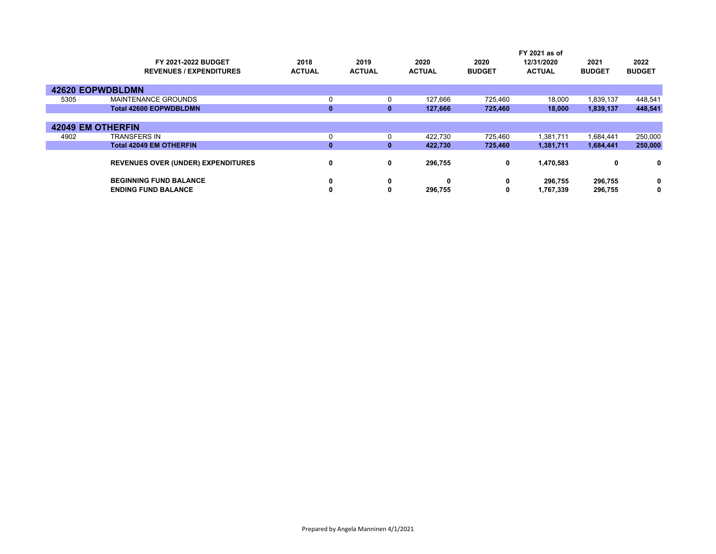|      |                                           |               |               |               |               | FY 2021 as of |               |               |  |  |
|------|-------------------------------------------|---------------|---------------|---------------|---------------|---------------|---------------|---------------|--|--|
|      | <b>FY 2021-2022 BUDGET</b>                | 2018          | 2019          | 2020          | 2020          | 12/31/2020    | 2021          | 2022          |  |  |
|      | <b>REVENUES / EXPENDITURES</b>            | <b>ACTUAL</b> | <b>ACTUAL</b> | <b>ACTUAL</b> | <b>BUDGET</b> | <b>ACTUAL</b> | <b>BUDGET</b> | <b>BUDGET</b> |  |  |
|      |                                           |               |               |               |               |               |               |               |  |  |
|      | <b>42620 EOPWDBLDMN</b>                   |               |               |               |               |               |               |               |  |  |
| 5305 | <b>MAINTENANCE GROUNDS</b>                | 0             | 0             | 127,666       | 725,460       | 18,000        | 1,839,137     | 448,541       |  |  |
|      | <b>Total 42600 EOPWDBLDMN</b>             | $\bf{0}$      | $\bf{0}$      | 127,666       | 725,460       | 18,000        | 1,839,137     | 448,541       |  |  |
|      |                                           |               |               |               |               |               |               |               |  |  |
|      | <b>42049 EM OTHERFIN</b>                  |               |               |               |               |               |               |               |  |  |
| 4902 | <b>TRANSFERS IN</b>                       | 0             |               | 422,730       | 725,460       | 1,381,711     | 1,684,441     | 250,000       |  |  |
|      | <b>Total 42049 EM OTHERFIN</b>            | $\mathbf{0}$  | $\bf{0}$      | 422,730       | 725,460       | 1,381,711     | 1,684,441     | 250,000       |  |  |
|      |                                           |               |               |               |               |               |               |               |  |  |
|      | <b>REVENUES OVER (UNDER) EXPENDITURES</b> | 0             | 0             | 296,755       | 0             | 1,470,583     | 0             | 0             |  |  |
|      | <b>BEGINNING FUND BALANCE</b>             | 0             | 0             | $\bf{0}$      | 0             | 296,755       | 296,755       | 0             |  |  |
|      |                                           |               |               |               |               |               |               |               |  |  |
|      | <b>ENDING FUND BALANCE</b>                | 0             | 0             | 296.755       | 0             | 1,767,339     | 296,755       | 0             |  |  |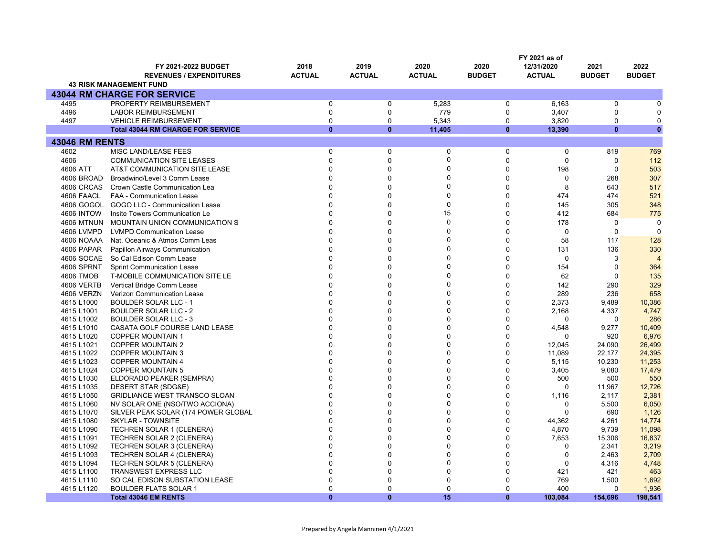|                          |                                                                |                       |                       |                       |                       | FY 2021 as of               |                       |                       |
|--------------------------|----------------------------------------------------------------|-----------------------|-----------------------|-----------------------|-----------------------|-----------------------------|-----------------------|-----------------------|
|                          | FY 2021-2022 BUDGET<br><b>REVENUES / EXPENDITURES</b>          | 2018<br><b>ACTUAL</b> | 2019<br><b>ACTUAL</b> | 2020<br><b>ACTUAL</b> | 2020<br><b>BUDGET</b> | 12/31/2020<br><b>ACTUAL</b> | 2021<br><b>BUDGET</b> | 2022<br><b>BUDGET</b> |
|                          | <b>43 RISK MANAGEMENT FUND</b>                                 |                       |                       |                       |                       |                             |                       |                       |
|                          | <b>43044 RM CHARGE FOR SERVICE</b>                             |                       |                       |                       |                       |                             |                       |                       |
| 4495                     | PROPERTY REIMBURSEMENT                                         | 0                     | $\Omega$              | 5,283                 | $\mathbf 0$           | 6,163                       | $\Omega$              | 0                     |
| 4496                     | <b>LABOR REIMBURSEMENT</b>                                     | $\mathbf 0$           | $\Omega$              | 779                   | $\pmb{0}$             | 3,407                       | $\Omega$              | $\Omega$              |
| 4497                     | <b>VEHICLE REIMBURSEMENT</b>                                   | $\mathbf 0$           | $\Omega$              | 5.343                 | $\mathbf 0$           | 3,820                       | $\Omega$              | $\mathbf 0$           |
|                          | <b>Total 43044 RM CHARGE FOR SERVICE</b>                       | $\mathbf{0}$          | $\bf{0}$              | 11,405                | $\mathbf{0}$          | 13,390                      | $\Omega$              | $\bf{0}$              |
| <b>43046 RM RENTS</b>    |                                                                |                       |                       |                       |                       |                             |                       |                       |
| 4602                     | <b>MISC LAND/LEASE FEES</b>                                    | $\mathbf 0$           | $\Omega$              | $\mathbf 0$           | $\mathbf 0$           | $\mathbf 0$                 | 819                   | 769                   |
| 4606                     | <b>COMMUNICATION SITE LEASES</b>                               | $\pmb{0}$             | $\Omega$              | $\mathbf 0$           | $\mathbf 0$           | $\mathbf 0$                 | $\mathbf 0$           | 112                   |
| 4606 ATT                 | AT&T COMMUNICATION SITE LEASE                                  | 0                     | $\Omega$              | $\Omega$              | $\Omega$              | 198                         | $\mathbf 0$           | 503                   |
| 4606 BROAD               | Broadwind/Level 3 Comm Lease                                   | $\mathbf 0$           | $\Omega$              | 0                     | $\mathbf 0$           | $\mathbf 0$                 | 268                   | 307                   |
| 4606 CRCAS               | Crown Castle Communication Lea                                 | 0                     | $\Omega$              | $\Omega$              | $\Omega$              | 8                           | 643                   | 517                   |
| 4606 FAACL               | <b>FAA - Communication Lease</b>                               | $\Omega$              | $\Omega$              | 0                     | $\Omega$              | 474                         | 474                   | 521                   |
| 4606 GOGOL               | GOGO LLC - Communication Lease                                 | $\Omega$              | $\Omega$              | $\Omega$              | $\Omega$              | 145                         | 305                   | 348                   |
| <b>4606 INTOW</b>        | Insite Towers Communication Le                                 | $\mathbf 0$           | $\Omega$              | 15                    | $\mathbf 0$           | 412                         | 684                   | 775                   |
| <b>4606 MTNUN</b>        | MOUNTAIN UNION COMMUNICATION S                                 | $\Omega$              | $\Omega$              | $\Omega$              | $\Omega$              | 178                         | $\mathbf 0$           | 0                     |
| 4606 LVMPD               | <b>LVMPD Communication Lease</b>                               | $\Omega$              | $\Omega$              | $\Omega$              | $\mathbf 0$           | $\mathbf 0$                 | $\mathbf 0$           | $\mathbf 0$           |
| 4606 NOAAA               | Nat. Oceanic & Atmos Comm Leas                                 | $\Omega$              | $\Omega$              | $\Omega$              | $\Omega$              | 58                          | 117                   | 128                   |
| 4606 PAPAR               | Papillon Airways Communication                                 | $\mathbf 0$           | $\Omega$              | $\Omega$              | $\Omega$              | 131                         | 136                   | 330                   |
| 4606 SOCAE               | So Cal Edison Comm Lease                                       | $\Omega$              | $\Omega$              | $\Omega$              | $\Omega$              | $\mathbf{0}$                | 3                     | $\overline{4}$        |
| 4606 SPRNT               | <b>Sprint Communication Lease</b>                              | $\Omega$              | $\Omega$              | $\Omega$              | $\mathbf{0}$          | 154                         | $\mathbf 0$           | 364                   |
| 4606 TMOB                | T-MOBILE COMMUNICATION SITE LE                                 | $\Omega$              | $\Omega$              | $\Omega$              | $\Omega$              | 62                          | $\Omega$              | 135                   |
| 4606 VERTB               | Vertical Bridge Comm Lease                                     | $\Omega$              | $\Omega$              | $\Omega$              | $\mathbf{0}$          | 142                         | 290                   | 329                   |
| 4606 VERZN               | Verizon Communication Lease                                    | $\Omega$              | $\Omega$              | $\Omega$              | $\Omega$              | 289                         | 236                   | 658                   |
| 4615 L1000               | <b>BOULDER SOLAR LLC - 1</b>                                   | $\Omega$              | $\Omega$              | $\Omega$              | $\mathbf 0$           | 2,373                       | 9,489                 | 10,386                |
| 4615 L1001               | <b>BOULDER SOLAR LLC - 2</b>                                   | $\Omega$              | $\Omega$              | $\Omega$              | $\Omega$              | 2,168                       | 4,337                 | 4,747                 |
| 4615 L1002               | <b>BOULDER SOLAR LLC - 3</b>                                   | $\Omega$              | $\Omega$              | $\Omega$              | $\Omega$              | $\Omega$                    | $\Omega$              | 286                   |
| 4615 L1010               | CASATA GOLF COURSE LAND LEASE                                  | $\Omega$              | $\Omega$              | $\Omega$              | $\mathbf 0$           | 4,548                       | 9,277                 | 10,409                |
| 4615 L1020               | <b>COPPER MOUNTAIN 1</b>                                       | $\Omega$              | $\Omega$              | $\Omega$              | $\Omega$              | $\Omega$                    | 920                   | 6,976                 |
| 4615 L1021               | <b>COPPER MOUNTAIN 2</b>                                       | $\Omega$              | $\Omega$              | $\Omega$              | $\Omega$              | 12,045                      | 24,090                | 26,499                |
| 4615 L1022               | <b>COPPER MOUNTAIN 3</b>                                       | $\Omega$              | $\Omega$              | $\Omega$              | $\Omega$              | 11,089                      | 22,177                | 24,395                |
| 4615 L1023               | COPPER MOUNTAIN 4                                              | 0                     | $\Omega$              | $\Omega$              | $\Omega$              | 5,115                       | 10,230                | 11,253                |
| 4615 L1024               | <b>COPPER MOUNTAIN 5</b>                                       | 0                     | $\Omega$              | $\Omega$              | $\mathbf 0$           | 3,405                       | 9,080                 | 17,479                |
| 4615 L1030               | ELDORADO PEAKER (SEMPRA)                                       | $\Omega$              | $\Omega$              | $\Omega$              | $\Omega$              | 500                         | 500                   | 550                   |
| 4615 L1035               | DESERT STAR (SDG&E)                                            | $\Omega$              | $\Omega$              | $\Omega$              | $\Omega$              | $\Omega$                    | 11,967                | 12,726                |
| 4615 L1050               | <b>GRIDLIANCE WEST TRANSCO SLOAN</b>                           | $\Omega$              | $\Omega$              | $\Omega$              | $\Omega$              | 1,116                       | 2,117                 | 2,381                 |
| 4615 L1060               | NV SOLAR ONE (NSO/TWO ACCIONA)                                 | $\Omega$              | $\Omega$              | $\Omega$              | $\Omega$              | 0                           | 5,500                 | 6,050                 |
| 4615 L1070               | SILVER PEAK SOLAR (174 POWER GLOBAL                            | $\Omega$              | $\Omega$              | $\Omega$              | $\Omega$              | $\mathbf{0}$                | 690                   | 1,126                 |
| 4615 L1080               | <b>SKYLAR - TOWNSITE</b>                                       | $\Omega$              | $\Omega$              | $\Omega$              | $\Omega$              | 44,362                      | 4,261                 | 14,774                |
| 4615 L1090               | <b>TECHREN SOLAR 1 (CLENERA)</b>                               | $\Omega$              | $\Omega$              | $\Omega$              | $\Omega$              | 4,870                       | 9,739                 | 11,098                |
| 4615 L1091               | <b>TECHREN SOLAR 2 (CLENERA)</b>                               | $\Omega$              | $\Omega$              | $\Omega$              | $\Omega$              | 7,653                       | 15,306                | 16,837                |
| 4615 L1092               | <b>TECHREN SOLAR 3 (CLENERA)</b>                               | $\Omega$              | $\Omega$              | $\Omega$              | $\Omega$              | $\mathbf 0$                 | 2,341                 | 3,219                 |
| 4615 L1093               | TECHREN SOLAR 4 (CLENERA)                                      | $\Omega$<br>$\Omega$  | $\Omega$<br>$\Omega$  | $\Omega$<br>$\Omega$  | $\Omega$<br>$\Omega$  | $\mathbf 0$                 | 2,463                 | 2,709                 |
| 4615 L1094               | <b>TECHREN SOLAR 5 (CLENERA)</b>                               | $\mathbf 0$           | $\Omega$              | $\Omega$              | $\Omega$              | $\mathbf 0$<br>421          | 4,316                 | 4,748                 |
| 4615 L1100               | <b>TRANSWEST EXPRESS LLC</b>                                   | $\Omega$              | $\Omega$              | $\Omega$              | $\Omega$              | 769                         | 421                   | 463                   |
| 4615 L1110<br>4615 L1120 | SO CAL EDISON SUBSTATION LEASE<br><b>BOULDER FLATS SOLAR 1</b> | $\mathbf 0$           | $\Omega$              | 0                     | $\Omega$              | 400                         | 1,500<br>$\Omega$     | 1,692<br>1,936        |
|                          | <b>Total 43046 EM RENTS</b>                                    | $\mathbf{0}$          | $\Omega$              | 15                    | $\mathbf{0}$          | 103,084                     | 154,696               | 198,541               |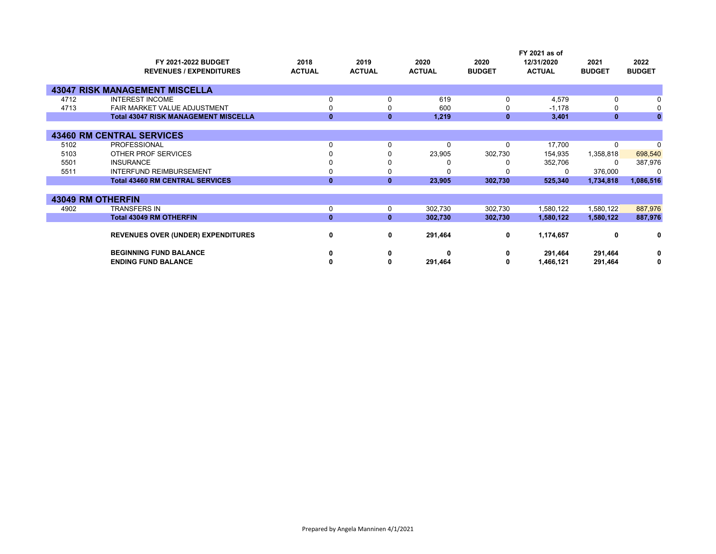|      | FY 2021-2022 BUDGET<br><b>REVENUES / EXPENDITURES</b> | 2018<br><b>ACTUAL</b> | 2019<br><b>ACTUAL</b> | 2020<br><b>ACTUAL</b> | 2020<br><b>BUDGET</b> | FY 2021 as of<br>12/31/2020<br><b>ACTUAL</b> | 2021<br><b>BUDGET</b> | 2022<br><b>BUDGET</b> |
|------|-------------------------------------------------------|-----------------------|-----------------------|-----------------------|-----------------------|----------------------------------------------|-----------------------|-----------------------|
|      | <b>43047 RISK MANAGEMENT MISCELLA</b>                 |                       |                       |                       |                       |                                              |                       |                       |
| 4712 | <b>INTEREST INCOME</b>                                | 0                     | $\Omega$              | 619                   | 0                     | 4,579                                        | $\Omega$              |                       |
| 4713 | FAIR MARKET VALUE ADJUSTMENT                          | 0                     |                       | 600                   | 0                     | $-1,178$                                     |                       |                       |
|      | <b>Total 43047 RISK MANAGEMENT MISCELLA</b>           | $\mathbf{0}$          | $\mathbf{0}$          | 1,219                 | $\mathbf{0}$          | 3,401                                        | $\mathbf{0}$          | $\mathbf{0}$          |
|      |                                                       |                       |                       |                       |                       |                                              |                       |                       |
|      | <b>43460 RM CENTRAL SERVICES</b>                      |                       |                       |                       |                       |                                              |                       |                       |
| 5102 | <b>PROFESSIONAL</b>                                   | 0                     | 0                     | $\Omega$              | $\Omega$              | 17,700                                       | $\Omega$              | $\Omega$              |
| 5103 | OTHER PROF SERVICES                                   |                       |                       | 23,905                | 302,730               | 154,935                                      | 1,358,818             | 698,540               |
| 5501 | <b>INSURANCE</b>                                      | 0                     |                       |                       |                       | 352,706                                      | $\Omega$              | 387,976               |
| 5511 | <b>INTERFUND REIMBURSEMENT</b>                        | 0                     |                       |                       |                       | O                                            | 376,000               | $\Omega$              |
|      | <b>Total 43460 RM CENTRAL SERVICES</b>                | $\mathbf{0}$          | $\mathbf{0}$          | 23,905                | 302,730               | 525,340                                      | 1,734,818             | 1,086,516             |
|      |                                                       |                       |                       |                       |                       |                                              |                       |                       |
|      | <b>43049 RM OTHERFIN</b>                              |                       |                       |                       |                       |                                              |                       |                       |
| 4902 | <b>TRANSFERS IN</b>                                   | $\mathbf 0$           | 0                     | 302,730               | 302,730               | 1,580,122                                    | 1,580,122             | 887,976               |
|      | <b>Total 43049 RM OTHERFIN</b>                        | $\mathbf{0}$          | $\mathbf{0}$          | 302,730               | 302,730               | 1,580,122                                    | 1,580,122             | 887,976               |
|      |                                                       |                       |                       |                       |                       |                                              |                       |                       |
|      | <b>REVENUES OVER (UNDER) EXPENDITURES</b>             | $\mathbf 0$           | $\mathbf 0$           | 291,464               | 0                     | 1,174,657                                    | 0                     | 0                     |
|      | <b>BEGINNING FUND BALANCE</b>                         | 0                     | 0                     |                       | 0                     | 291,464                                      | 291,464               | 0                     |
|      | <b>ENDING FUND BALANCE</b>                            | 0                     | 0                     | 291,464               | 0                     | 1,466,121                                    | 291,464               | 0                     |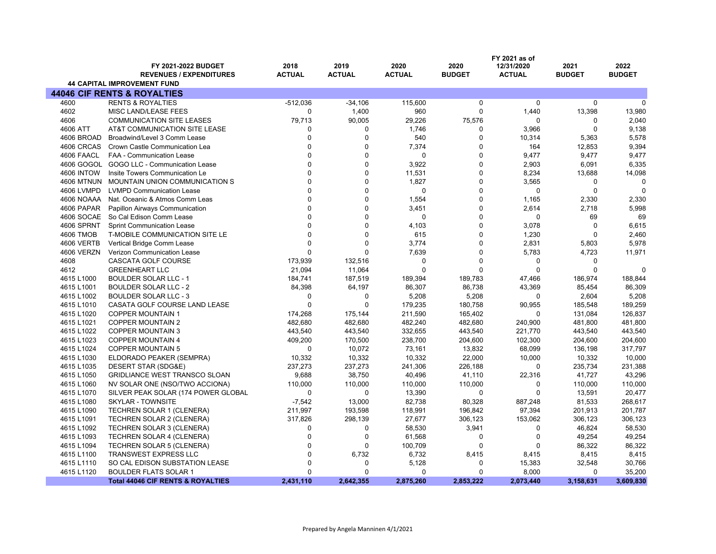|                   | <b>FY 2021-2022 BUDGET</b><br><b>REVENUES / EXPENDITURES</b><br><b>44 CAPITAL IMPROVEMENT FUND</b> | 2018<br><b>ACTUAL</b> | 2019<br><b>ACTUAL</b> | 2020<br><b>ACTUAL</b> | 2020<br><b>BUDGET</b> | FY 2021 as of<br>12/31/2020<br><b>ACTUAL</b> | 2021<br><b>BUDGET</b> | 2022<br><b>BUDGET</b> |
|-------------------|----------------------------------------------------------------------------------------------------|-----------------------|-----------------------|-----------------------|-----------------------|----------------------------------------------|-----------------------|-----------------------|
|                   | <b>44046 CIF RENTS &amp; ROYALTIES</b>                                                             |                       |                       |                       |                       |                                              |                       |                       |
| 4600              | <b>RENTS &amp; ROYALTIES</b>                                                                       | $-512,036$            | $-34,106$             | 115,600               | 0                     | $\mathbf 0$                                  | $\mathbf 0$           | $\Omega$              |
| 4602              |                                                                                                    | $\Omega$              |                       |                       | 0                     |                                              |                       |                       |
|                   | MISC LAND/LEASE FEES                                                                               |                       | 1,400                 | 960                   |                       | 1,440                                        | 13,398                | 13,980                |
| 4606              | <b>COMMUNICATION SITE LEASES</b>                                                                   | 79,713                | 90,005                | 29,226                | 75,576                | $\Omega$                                     | 0                     | 2,040                 |
| 4606 ATT          | AT&T COMMUNICATION SITE LEASE                                                                      | 0                     | 0                     | 1,746                 | 0                     | 3,966                                        | $\mathbf 0$           | 9,138                 |
| 4606 BROAD        | Broadwind/Level 3 Comm Lease                                                                       | $\mathbf{0}$          | $\mathbf 0$           | 540                   | 0                     | 10,314                                       | 5,363                 | 5,578                 |
| 4606 CRCAS        | Crown Castle Communication Lea                                                                     | $\Omega$              | $\Omega$              | 7,374                 | 0                     | 164                                          | 12,853                | 9,394                 |
| 4606 FAACL        | FAA - Communication Lease                                                                          | $\Omega$              | $\mathbf 0$           | $\mathbf 0$           | 0                     | 9,477                                        | 9,477                 | 9,477                 |
|                   | 4606 GOGOL GOGO LLC - Communication Lease                                                          | $\Omega$              | $\Omega$              | 3,922                 | 0                     | 2,903                                        | 6,091                 | 6,335                 |
| <b>4606 INTOW</b> | Insite Towers Communication Le                                                                     | $\Omega$              | $\Omega$              | 11,531                | 0                     | 8,234                                        | 13,688                | 14,098                |
| <b>4606 MTNUN</b> | MOUNTAIN UNION COMMUNICATION S                                                                     | $\Omega$              | $\Omega$              | 1,827                 | 0                     | 3,565                                        | 0                     | $\Omega$              |
| 4606 LVMPD        | <b>LVMPD Communication Lease</b>                                                                   | $\Omega$              | $\Omega$              | $\Omega$              | 0                     | $\mathbf 0$                                  | $\mathbf 0$           | $\Omega$              |
| 4606 NOAAA        | Nat. Oceanic & Atmos Comm Leas                                                                     | $\mathbf{0}$          | 0                     | 1,554                 | 0                     | 1,165                                        | 2,330                 | 2,330                 |
| 4606 PAPAR        | Papillon Airways Communication                                                                     | $\Omega$              | $\Omega$              | 3,451                 | 0                     | 2,614                                        | 2,718                 | 5,998                 |
| 4606 SOCAE        | So Cal Edison Comm Lease                                                                           | $\Omega$              | $\mathbf 0$           | $\mathbf 0$           | 0                     | $\mathbf 0$                                  | 69                    | 69                    |
| 4606 SPRNT        | <b>Sprint Communication Lease</b>                                                                  | $\Omega$              | $\Omega$              | 4,103                 | 0                     | 3,078                                        | $\mathbf 0$           | 6,615                 |
| <b>4606 TMOB</b>  | T-MOBILE COMMUNICATION SITE LE                                                                     | $\Omega$              | $\Omega$              | 615                   | 0                     | 1,230                                        | $\Omega$              | 2,460                 |
| 4606 VERTB        | Vertical Bridge Comm Lease                                                                         | $\Omega$              | $\Omega$              | 3,774                 | 0                     | 2,831                                        | 5,803                 | 5,978                 |
| 4606 VERZN        | Verizon Communication Lease                                                                        | $\Omega$              | $\Omega$              | 7,639                 | 0                     | 5,783                                        | 4,723                 | 11,971                |
| 4608              | CASCATA GOLF COURSE                                                                                | 173,939               | 132,516               | $\Omega$              | 0                     | $\mathbf 0$                                  | $\Omega$              |                       |
| 4612              | <b>GREENHEART LLC</b>                                                                              | 21,094                | 11,064                | $\Omega$              | $\Omega$              | $\Omega$                                     | $\Omega$              | $\Omega$              |
| 4615 L1000        | <b>BOULDER SOLAR LLC - 1</b>                                                                       | 184,741               | 187,519               | 189,394               | 189,783               | 47,466                                       | 186,974               | 188,844               |
| 4615 L1001        | <b>BOULDER SOLAR LLC - 2</b>                                                                       | 84,398                | 64,197                | 86,307                | 86,738                | 43,369                                       | 85,454                | 86,309                |
| 4615 L1002        | <b>BOULDER SOLAR LLC - 3</b>                                                                       | $\Omega$              | $\Omega$              | 5,208                 | 5,208                 | $\mathbf 0$                                  | 2,604                 | 5,208                 |
| 4615 L1010        | CASATA GOLF COURSE LAND LEASE                                                                      | $\Omega$              | $\Omega$              | 179,235               | 180,758               | 90,955                                       | 185,548               | 189,259               |
| 4615 L1020        | <b>COPPER MOUNTAIN 1</b>                                                                           | 174,268               | 175,144               | 211,590               | 165,402               | 0                                            | 131,084               | 126,837               |
| 4615 L1021        | <b>COPPER MOUNTAIN 2</b>                                                                           | 482,680               | 482,680               | 482,240               | 482,680               | 240,900                                      | 481,800               | 481,800               |
| 4615 L1022        | <b>COPPER MOUNTAIN 3</b>                                                                           | 443,540               | 443,540               | 332,655               | 443,540               | 221,770                                      | 443,540               | 443,540               |
| 4615 L1023        | <b>COPPER MOUNTAIN 4</b>                                                                           | 409,200               | 170,500               | 238,700               | 204,600               | 102,300                                      | 204,600               | 204,600               |
| 4615 L1024        | <b>COPPER MOUNTAIN 5</b>                                                                           | $\Omega$              | 10,072                | 73,161                | 13,832                | 68,099                                       | 136,198               | 317,797               |
| 4615 L1030        | ELDORADO PEAKER (SEMPRA)                                                                           | 10,332                | 10,332                | 10,332                | 22,000                | 10,000                                       | 10,332                | 10,000                |
| 4615 L1035        | DESERT STAR (SDG&E)                                                                                | 237,273               | 237,273               | 241,306               | 226,188               | 0                                            | 235,734               | 231,388               |
| 4615 L1050        | <b>GRIDLIANCE WEST TRANSCO SLOAN</b>                                                               | 9,688                 | 38,750                | 40,496                | 41,110                | 22,316                                       | 41,727                | 43,296                |
| 4615 L1060        | NV SOLAR ONE (NSO/TWO ACCIONA)                                                                     | 110,000               | 110,000               | 110,000               | 110,000               | $\mathbf 0$                                  | 110,000               | 110,000               |
| 4615 L1070        | SILVER PEAK SOLAR (174 POWER GLOBAL                                                                | $\Omega$              | $\Omega$              | 13,390                | 0                     | $\Omega$                                     | 13,591                | 20,477                |
| 4615 L1080        | SKYLAR - TOWNSITE                                                                                  | $-7,542$              | 13,000                | 82,738                | 80,328                | 887,248                                      | 81,533                | 268,617               |
| 4615 L1090        | TECHREN SOLAR 1 (CLENERA)                                                                          | 211,997               | 193,598               | 118,991               | 196,842               | 97,394                                       | 201,913               | 201,787               |
| 4615 L1091        | TECHREN SOLAR 2 (CLENERA)                                                                          | 317,826               | 298,139               | 27,677                | 306,123               | 153,062                                      | 306,123               | 306,123               |
| 4615 L1092        | <b>TECHREN SOLAR 3 (CLENERA)</b>                                                                   | 0                     | 0                     | 58,530                | 3,941                 | 0                                            | 46,824                | 58,530                |
| 4615 L1093        | TECHREN SOLAR 4 (CLENERA)                                                                          | $\mathbf 0$           | $\mathbf 0$           | 61,568                | 0                     | 0                                            | 49,254                | 49,254                |
| 4615 L1094        | TECHREN SOLAR 5 (CLENERA)                                                                          | $\mathbf{0}$          | $\Omega$              | 100,709               | 0                     | $\mathbf 0$                                  | 86,322                | 86,322                |
| 4615 L1100        | TRANSWEST EXPRESS LLC                                                                              | $\Omega$              | 6,732                 | 6,732                 | 8,415                 | 8,415                                        | 8,415                 | 8,415                 |
| 4615 L1110        | SO CAL EDISON SUBSTATION LEASE                                                                     | $\Omega$              | $\mathbf 0$           | 5,128                 | 0                     | 15,383                                       | 32,548                | 30,766                |
| 4615 L1120        | <b>BOULDER FLATS SOLAR 1</b>                                                                       | $\Omega$              | $\Omega$              | $\Omega$              | 0                     | 8,000                                        | $\mathbf 0$           | 35,200                |
|                   | <b>Total 44046 CIF RENTS &amp; ROYALTIES</b>                                                       | 2,431,110             | 2,642,355             | 2,875,260             | 2,853,222             | 2,073,440                                    | 3,158,631             | 3,609,830             |
|                   |                                                                                                    |                       |                       |                       |                       |                                              |                       |                       |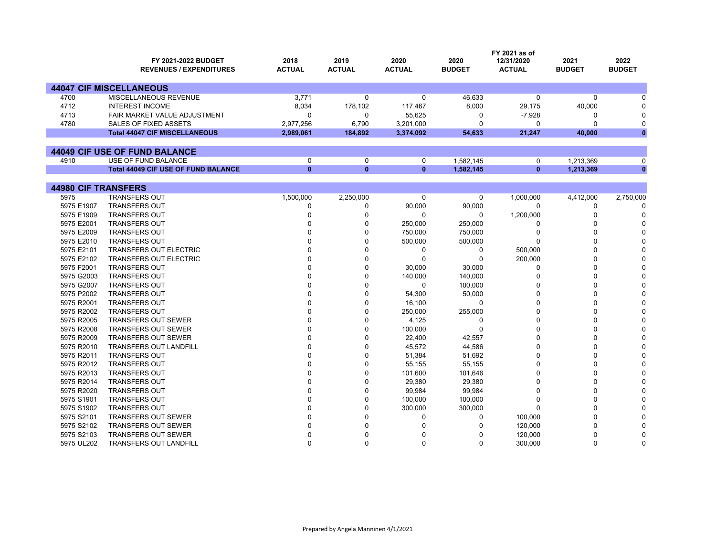|                            | <b>FY 2021-2022 BUDGET</b>                 | 2018          | 2019          | 2020          | 2020          | FY 2021 as of<br>12/31/2020 | 2021          | 2022          |
|----------------------------|--------------------------------------------|---------------|---------------|---------------|---------------|-----------------------------|---------------|---------------|
|                            | <b>REVENUES / EXPENDITURES</b>             | <b>ACTUAL</b> | <b>ACTUAL</b> | <b>ACTUAL</b> | <b>BUDGET</b> | <b>ACTUAL</b>               | <b>BUDGET</b> | <b>BUDGET</b> |
|                            | <b>44047 CIF MISCELLANEOUS</b>             |               |               |               |               |                             |               |               |
| 4700                       | MISCELLANEOUS REVENUE                      | 3.771         | 0             | $\Omega$      | 46,633        | $\Omega$                    | $\Omega$      | U             |
| 4712                       | <b>INTEREST INCOME</b>                     | 8,034         | 178,102       | 117,467       | 8,000         | 29,175                      | 40,000        | O             |
| 4713                       | <b>FAIR MARKET VALUE ADJUSTMENT</b>        | $\Omega$      | 0             | 55,625        | 0             | $-7,928$                    | 0             | $\Omega$      |
| 4780                       | SALES OF FIXED ASSETS                      | 2,977,256     | 6,790         | 3,201,000     | 0             | $\mathbf 0$                 | 0             | $\mathbf 0$   |
|                            | <b>Total 44047 CIF MISCELLANEOUS</b>       | 2,989,061     | 184,892       | 3,374,092     | 54,633        | 21,247                      | 40,000        | $\mathbf{0}$  |
|                            |                                            |               |               |               |               |                             |               |               |
|                            | 44049 CIF USE OF FUND BALANCE              |               |               |               |               |                             |               |               |
| 4910                       | USE OF FUND BALANCE                        | $\mathbf 0$   | 0             | 0             | 1.582.145     | 0                           | 1,213,369     | 0             |
|                            | <b>Total 44049 CIF USE OF FUND BALANCE</b> | $\mathbf{0}$  | $\bf{0}$      | $\mathbf{0}$  | 1,582,145     | $\mathbf{0}$                | 1,213,369     | $\mathbf{0}$  |
|                            |                                            |               |               |               |               |                             |               |               |
| <b>44980 CIF TRANSFERS</b> |                                            |               |               |               |               |                             |               |               |
| 5975                       | <b>TRANSFERS OUT</b>                       | 1,500,000     | 2,250,000     | 0             | 0             | 1,000,000                   | 4,412,000     | 2,750,000     |
| 5975 E1907                 | <b>TRANSFERS OUT</b>                       | $\mathbf 0$   | 0             | 90,000        | 90,000        | $\mathbf 0$                 | 0             | $\Omega$      |
| 5975 E1909                 | <b>TRANSFERS OUT</b>                       | $\Omega$      | 0             | $\Omega$      | $\Omega$      | 1,200,000                   | $\Omega$      | $\Omega$      |
| 5975 E2001                 | <b>TRANSFERS OUT</b>                       | n             | 0             | 250,000       | 250,000       | 0                           | $\Omega$      |               |
| 5975 E2009                 | <b>TRANSFERS OUT</b>                       |               | 0             | 750,000       | 750,000       | 0                           | $\Omega$      |               |
| 5975 E2010                 | <b>TRANSFERS OUT</b>                       |               | 0             | 500,000       | 500,000       | $\Omega$                    | $\Omega$      |               |
| 5975 E2101                 | <b>TRANSFERS OUT ELECTRIC</b>              |               | $\Omega$      | $\Omega$      | 0             | 500,000                     | $\Omega$      | U             |
| 5975 E2102                 | <b>TRANSFERS OUT ELECTRIC</b>              | $\Omega$      | 0             | $\Omega$      | 0             | 200,000                     | $\Omega$      |               |
| 5975 F2001                 | <b>TRANSFERS OUT</b>                       |               | 0             | 30,000        | 30,000        | 0                           | $\Omega$      |               |
| 5975 G2003                 | <b>TRANSFERS OUT</b>                       |               | 0             | 140,000       | 140,000       | $\Omega$                    | $\Omega$      | n             |
| 5975 G2007                 | <b>TRANSFERS OUT</b>                       |               | $\Omega$      | $\Omega$      | 100,000       | $\Omega$                    | $\Omega$      | O             |
| 5975 P2002                 | <b>TRANSFERS OUT</b>                       | n             | $\Omega$      | 54,300        | 50,000        | $\Omega$                    | $\Omega$      | ŋ             |
| 5975 R2001                 | <b>TRANSFERS OUT</b>                       |               | 0             | 16,100        | 0             | $\Omega$                    | $\Omega$      |               |
| 5975 R2002                 | <b>TRANSFERS OUT</b>                       |               | 0             | 250,000       | 255,000       | $\Omega$                    | $\Omega$      | O             |
| 5975 R2005                 | <b>TRANSFERS OUT SEWER</b>                 |               | $\Omega$      | 4,125         | 0             | $\Omega$                    | $\Omega$      | O             |
| 5975 R2008                 | <b>TRANSFERS OUT SEWER</b>                 |               | 0             | 100,000       | 0             | $\Omega$                    | $\Omega$      | U             |
| 5975 R2009                 | <b>TRANSFERS OUT SEWER</b>                 |               | 0             | 22,400        | 42,557        | $\Omega$                    | $\Omega$      |               |
| 5975 R2010                 | <b>TRANSFERS OUT LANDFILL</b>              |               | 0             | 45,572        | 44,586        | $\Omega$                    | $\Omega$      | O             |
| 5975 R2011                 | <b>TRANSFERS OUT</b>                       |               | $\Omega$      | 51,384        | 51,692        | $\Omega$                    | $\Omega$      | O             |
| 5975 R2012                 | <b>TRANSFERS OUT</b>                       |               | 0             | 55,155        | 55,155        | $\Omega$                    | $\Omega$      |               |
| 5975 R2013                 | <b>TRANSFERS OUT</b>                       |               | $\Omega$      | 101,600       | 101,646       | $\Omega$                    | $\Omega$      |               |
| 5975 R2014                 | <b>TRANSFERS OUT</b>                       |               | 0             | 29,380        | 29,380        | $\Omega$                    | $\Omega$      | ŋ             |
| 5975 R2020                 | <b>TRANSFERS OUT</b>                       |               | 0             | 99,984        | 99,984        | $\Omega$                    | $\Omega$      |               |
| 5975 S1901                 | <b>TRANSFERS OUT</b>                       |               | 0             | 100,000       | 100,000       | $\mathbf 0$                 | $\Omega$      |               |
| 5975 S1902                 | <b>TRANSFERS OUT</b>                       |               | 0             | 300,000       | 300,000       | $\Omega$                    | O             | ∩             |
| 5975 S2101                 | <b>TRANSFERS OUT SEWER</b>                 |               | 0             | $\Omega$      | 0             | 100,000                     |               | $\Omega$      |
| 5975 S2102                 | <b>TRANSFERS OUT SEWER</b>                 | $\Omega$      | $\Omega$      | U             | U             | 120,000                     | $\Omega$      | $\Omega$      |

S2103 TRANSFERS OUT SEWER

UL202 TRANSFERS OUT LANDFILL

R 0 0 0 0 120,000 0 0

L 0 0 0 0 300,000 0 0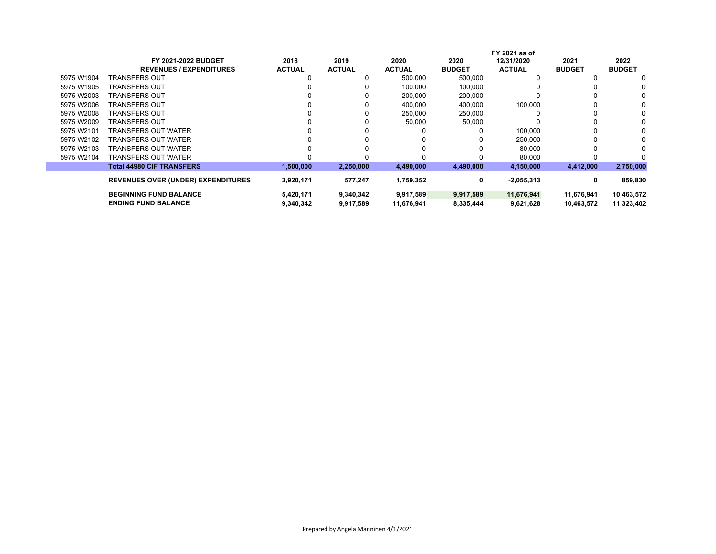| <b>FY 2021-2022 BUDGET</b>       | 2018                                      | 2019          | 2020          | 2020          | 12/31/2020    | 2021                          | 2022          |
|----------------------------------|-------------------------------------------|---------------|---------------|---------------|---------------|-------------------------------|---------------|
| <b>REVENUES / EXPENDITURES</b>   | <b>ACTUAL</b>                             | <b>ACTUAL</b> | <b>ACTUAL</b> | <b>BUDGET</b> | <b>ACTUAL</b> | <b>BUDGET</b>                 | <b>BUDGET</b> |
| TRANSFERS OUT                    |                                           | 0             | 500,000       | 500,000       |               |                               | 0             |
| TRANSFERS OUT                    |                                           |               | 100,000       | 100,000       |               |                               | 0             |
| TRANSFERS OUT                    |                                           |               | 200,000       | 200,000       |               |                               |               |
| TRANSFERS OUT                    |                                           |               | 400,000       | 400.000       | 100,000       |                               |               |
| TRANSFERS OUT                    |                                           |               | 250,000       | 250,000       |               |                               |               |
| TRANSFERS OUT                    |                                           |               | 50,000        | 50,000        |               |                               | 0             |
| TRANSFERS OUT WATER              |                                           |               |               |               | 100.000       |                               |               |
| TRANSFERS OUT WATER              |                                           |               |               |               | 250.000       |                               |               |
| TRANSFERS OUT WATER              |                                           |               |               |               | 80,000        |                               |               |
| TRANSFERS OUT WATER              |                                           |               |               |               | 80,000        |                               |               |
| <b>Total 44980 CIF TRANSFERS</b> | 1,500,000                                 | 2,250,000     | 4,490,000     | 4,490,000     | 4,150,000     | 4,412,000                     | 2,750,000     |
|                                  |                                           |               |               |               |               |                               | 859,830       |
|                                  |                                           |               |               |               |               |                               |               |
| <b>BEGINNING FUND BALANCE</b>    | 5,420,171                                 | 9,340,342     | 9,917,589     | 9,917,589     | 11,676,941    | 11,676,941                    | 10,463,572    |
| <b>ENDING FUND BALANCE</b>       | 9,340,342                                 | 9,917,589     | 11,676,941    | 8,335,444     | 9,621,628     | 10,463,572                    | 11,323,402    |
|                                  | <b>REVENUES OVER (UNDER) EXPENDITURES</b> | 3,920,171     | 577,247       | 1,759,352     | 0             | FY 2021 as of<br>$-2,055,313$ | 0             |

 $\mathbb{R}^n$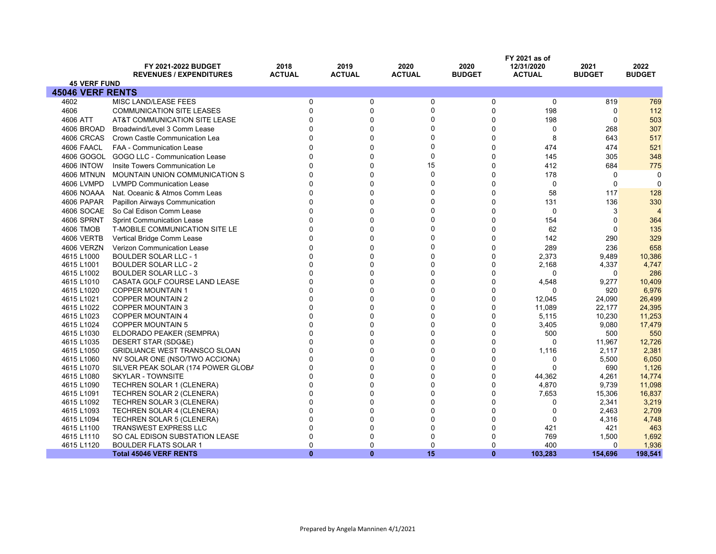|                          | FY 2021-2022 BUDGET<br><b>REVENUES / EXPENDITURES</b> | 2018<br><b>ACTUAL</b> | 2019<br><b>ACTUAL</b> | 2020<br><b>ACTUAL</b> | 2020<br><b>BUDGET</b> | FY 2021 as of<br>12/31/2020<br><b>ACTUAL</b> | 2021<br><b>BUDGET</b> | 2022<br><b>BUDGET</b> |
|--------------------------|-------------------------------------------------------|-----------------------|-----------------------|-----------------------|-----------------------|----------------------------------------------|-----------------------|-----------------------|
| <b>45 VERF FUND</b>      |                                                       |                       |                       |                       |                       |                                              |                       |                       |
| <b>45046 VERF RENTS</b>  |                                                       |                       |                       |                       |                       |                                              |                       |                       |
| 4602                     | MISC LAND/LEASE FEES                                  | $\mathbf 0$           | 0                     | 0                     | 0                     | $\mathbf 0$                                  | 819                   | 769                   |
| 4606                     | <b>COMMUNICATION SITE LEASES</b>                      | $\Omega$              | $\Omega$              | 0                     | $\Omega$              | 198                                          | $\Omega$              | 112                   |
| 4606 ATT                 | AT&T COMMUNICATION SITE LEASE                         | $\Omega$              | 0                     | $\Omega$              | $\Omega$              | 198                                          | $\Omega$              | 503                   |
| 4606 BROAD               | Broadwind/Level 3 Comm Lease                          | $\Omega$              | 0                     | $\Omega$              | $\Omega$              | 0                                            | 268                   | 307                   |
| 4606 CRCAS               | Crown Castle Communication Lea                        | $\Omega$              | 0                     | $\Omega$              | $\Omega$              | 8                                            | 643                   | 517                   |
| 4606 FAACL               | <b>FAA - Communication Lease</b>                      | $\Omega$              | 0                     |                       | $\mathbf{0}$          | 474                                          | 474                   | 521                   |
| 4606 GOGOL               | GOGO LLC - Communication Lease                        | $\Omega$              | 0                     | $\Omega$              | $\Omega$              | 145                                          | 305                   | 348                   |
| <b>4606 INTOW</b>        | Insite Towers Communication Le                        | $\Omega$              | $\Omega$              | 15                    | $\mathbf{0}$          | 412                                          | 684                   | 775                   |
| <b>4606 MTNUN</b>        | MOUNTAIN UNION COMMUNICATION S                        | $\Omega$              | 0                     | $\Omega$              | $\mathbf{0}$          | 178                                          | 0                     | $\Omega$              |
| 4606 LVMPD               | <b>LVMPD Communication Lease</b>                      | $\Omega$              | 0                     | $\Omega$              | $\Omega$              | $\mathbf 0$                                  | 0                     | $\Omega$              |
| 4606 NOAAA               | Nat. Oceanic & Atmos Comm Leas                        | $\Omega$              | 0                     |                       | $\Omega$              | 58                                           | 117                   | 128                   |
| 4606 PAPAR               | <b>Papillon Airways Communication</b>                 | $\Omega$              | $\Omega$              | ∩                     | $\mathbf{0}$          | 131                                          | 136                   | 330                   |
| 4606 SOCAE               | So Cal Edison Comm Lease                              | $\Omega$              | 0                     |                       | $\Omega$              | $\mathbf 0$                                  | 3                     | $\overline{4}$        |
| 4606 SPRNT               | <b>Sprint Communication Lease</b>                     | $\Omega$              | 0                     | $\Omega$              | $\Omega$              | 154                                          | $\Omega$              | 364                   |
| 4606 TMOB                | T-MOBILE COMMUNICATION SITE LE                        | $\Omega$              | U                     | ∩                     | $\Omega$              | 62                                           | $\Omega$              | 135                   |
| 4606 VERTB               | Vertical Bridge Comm Lease                            | $\Omega$              | 0                     |                       | $\Omega$              | 142                                          | 290                   | 329                   |
| 4606 VERZN               | Verizon Communication Lease                           | $\Omega$              | 0                     | $\Omega$              | O                     | 289                                          | 236                   | 658                   |
| 4615 L1000               | <b>BOULDER SOLAR LLC - 1</b>                          | $\Omega$              | U                     | ∩                     | O                     | 2,373                                        | 9,489                 | 10,386                |
| 4615 L1001               | <b>BOULDER SOLAR LLC - 2</b>                          | $\Omega$              | 0                     |                       | $\Omega$              | 2,168                                        | 4,337                 | 4,747                 |
| 4615 L1002               | <b>BOULDER SOLAR LLC - 3</b>                          | $\Omega$              | 0                     |                       | $\Omega$              | 0                                            | $\Omega$              | 286                   |
| 4615 L1010               | CASATA GOLF COURSE LAND LEASE                         | $\Omega$              | 0                     | $\Omega$              | 0                     | 4,548                                        | 9,277                 | 10,409                |
| 4615 L1020               | <b>COPPER MOUNTAIN 1</b>                              | $\Omega$              | O                     |                       | $\Omega$              | $\Omega$                                     | 920                   | 6,976                 |
| 4615 L1021               | <b>COPPER MOUNTAIN 2</b>                              | $\Omega$              | O                     |                       | $\Omega$              | 12,045                                       | 24,090                | 26,499                |
| 4615 L1022               | <b>COPPER MOUNTAIN 3</b>                              | $\Omega$              | 0                     |                       | $\Omega$              | 11,089                                       | 22,177                | 24,395                |
| 4615 L1023               | <b>COPPER MOUNTAIN 4</b>                              | $\Omega$<br>$\Omega$  | U<br>0                |                       | 0                     | 5,115                                        | 10,230                | 11,253                |
| 4615 L1024               | <b>COPPER MOUNTAIN 5</b>                              | $\Omega$              | 0                     | ŋ                     | $\Omega$<br>$\Omega$  | 3,405                                        | 9,080                 | 17,479                |
| 4615 L1030<br>4615 L1035 | ELDORADO PEAKER (SEMPRA)<br>DESERT STAR (SDG&E)       | $\Omega$              | U                     |                       | O                     | 500<br>∩                                     | 500<br>11,967         | 550<br>12,726         |
| 4615 L1050               | <b>GRIDLIANCE WEST TRANSCO SLOAN</b>                  | $\Omega$              | 0                     |                       | $\Omega$              | 1,116                                        | 2,117                 | 2,381                 |
| 4615 L1060               | NV SOLAR ONE (NSO/TWO ACCIONA)                        | $\Omega$              | 0                     |                       | $\Omega$              | 0                                            | 5,500                 | 6,050                 |
| 4615 L1070               | SILVER PEAK SOLAR (174 POWER GLOBA                    | $\Omega$              | 0                     | 0                     | $\Omega$              | $\Omega$                                     | 690                   | 1,126                 |
| 4615 L1080               | <b>SKYLAR - TOWNSITE</b>                              | $\Omega$              | 0                     |                       | $\Omega$              | 44,362                                       | 4,261                 | 14,774                |
| 4615 L1090               | <b>TECHREN SOLAR 1 (CLENERA)</b>                      | $\Omega$              | 0                     | ∩                     | $\Omega$              | 4,870                                        | 9,739                 | 11,098                |
| 4615 L1091               | TECHREN SOLAR 2 (CLENERA)                             | $\Omega$              | 0                     |                       | $\Omega$              | 7,653                                        | 15,306                | 16,837                |
| 4615 L1092               | TECHREN SOLAR 3 (CLENERA)                             | $\Omega$              | U                     |                       | 0                     | 0                                            | 2,341                 | 3,219                 |
| 4615 L1093               | TECHREN SOLAR 4 (CLENERA)                             | $\Omega$              | 0                     |                       | $\Omega$              | $\Omega$                                     | 2,463                 | 2,709                 |
| 4615 L1094               | <b>TECHREN SOLAR 5 (CLENERA)</b>                      | $\Omega$              | 0                     |                       |                       | 0                                            | 4,316                 | 4,748                 |
| 4615 L1100               | <b>TRANSWEST EXPRESS LLC</b>                          | $\Omega$              | n                     |                       | O                     | 421                                          | 421                   | 463                   |
| 4615 L1110               | SO CAL EDISON SUBSTATION LEASE                        | $\Omega$              | O                     |                       |                       | 769                                          | 1,500                 | 1,692                 |
| 4615 L1120               | <b>BOULDER FLATS SOLAR 1</b>                          | $\Omega$              | 0                     | $\Omega$              | $\Omega$              | 400                                          | 0                     | 1,936                 |
|                          | <b>Total 45046 VERF RENTS</b>                         | $\mathbf{0}$          | $\mathbf{0}$          | 15                    | $\mathbf{0}$          | 103,283                                      | 154,696               | 198,541               |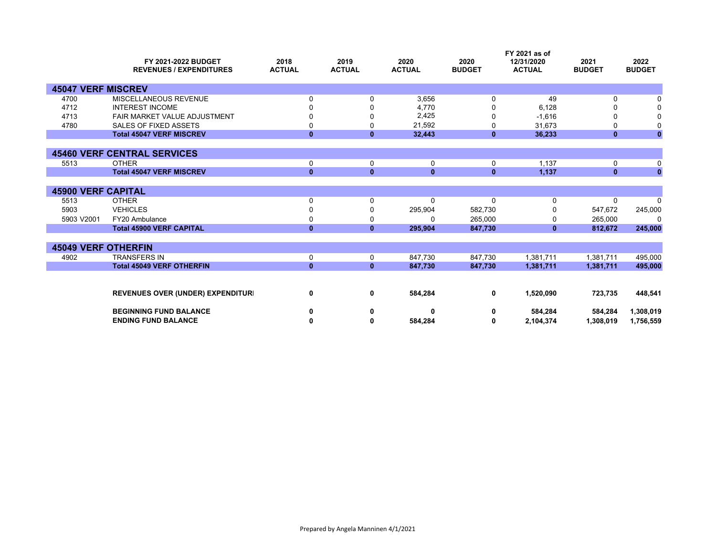|                            | FY 2021-2022 BUDGET<br><b>REVENUES / EXPENDITURES</b> | 2018<br><b>ACTUAL</b> | 2019<br><b>ACTUAL</b> | 2020<br><b>ACTUAL</b> | 2020<br><b>BUDGET</b> | FY 2021 as of<br>12/31/2020<br><b>ACTUAL</b> | 2021<br><b>BUDGET</b> | 2022<br><b>BUDGET</b> |
|----------------------------|-------------------------------------------------------|-----------------------|-----------------------|-----------------------|-----------------------|----------------------------------------------|-----------------------|-----------------------|
| <b>45047 VERF MISCREV</b>  |                                                       |                       |                       |                       |                       |                                              |                       |                       |
| 4700                       | MISCELLANEOUS REVENUE                                 | $\Omega$              | 0                     | 3,656                 | 0                     | 49                                           | 0                     |                       |
| 4712                       | <b>INTEREST INCOME</b>                                | O                     |                       | 4,770                 | ŋ                     | 6,128                                        | ŋ                     |                       |
| 4713                       | FAIR MARKET VALUE ADJUSTMENT                          |                       |                       | 2,425                 | 0                     | $-1,616$                                     | 0                     |                       |
| 4780                       | <b>SALES OF FIXED ASSETS</b>                          | 0                     | 0                     | 21,592                | 0                     | 31,673                                       | 0                     | 0                     |
|                            | <b>Total 45047 VERF MISCREV</b>                       | $\mathbf{0}$          | $\mathbf{0}$          | 32,443                | $\mathbf{0}$          | 36,233                                       | $\mathbf{0}$          | $\bf{0}$              |
|                            |                                                       |                       |                       |                       |                       |                                              |                       |                       |
|                            | <b>45460 VERF CENTRAL SERVICES</b>                    |                       |                       |                       |                       |                                              |                       |                       |
| 5513                       | <b>OTHER</b>                                          | 0                     | 0                     | 0                     | 0                     | 1.137                                        | 0                     | 0                     |
|                            | <b>Total 45047 VERF MISCREV</b>                       | $\mathbf{0}$          | $\mathbf{0}$          | $\mathbf{0}$          | $\mathbf{0}$          | 1,137                                        | $\mathbf{0}$          | $\mathbf{0}$          |
|                            |                                                       |                       |                       |                       |                       |                                              |                       |                       |
| <b>45900 VERF CAPITAL</b>  |                                                       |                       |                       |                       |                       |                                              |                       |                       |
| 5513                       | <b>OTHER</b>                                          | 0                     | 0                     | $\Omega$              | 0                     | $\Omega$                                     | 0                     | $\Omega$              |
| 5903                       | <b>VEHICLES</b>                                       | 0                     | 0                     | 295,904               | 582,730               |                                              | 547,672               | 245,000               |
| 5903 V2001                 | FY20 Ambulance<br><b>Total 45900 VERF CAPITAL</b>     | 0<br>$\mathbf{0}$     | 0<br>$\mathbf{0}$     | 0                     | 265,000               | 0                                            | 265,000               | $\mathbf{0}$          |
|                            |                                                       |                       |                       | 295,904               | 847,730               | $\mathbf{0}$                                 | 812,672               | 245,000               |
| <b>45049 VERF OTHERFIN</b> |                                                       |                       |                       |                       |                       |                                              |                       |                       |
| 4902                       | <b>TRANSFERS IN</b>                                   | 0                     | 0                     | 847,730               | 847,730               | 1,381,711                                    | 1,381,711             | 495,000               |
|                            | <b>Total 45049 VERF OTHERFIN</b>                      | $\mathbf{0}$          | $\mathbf{0}$          | 847,730               | 847,730               | 1,381,711                                    | 1,381,711             | 495,000               |
|                            |                                                       |                       |                       |                       |                       |                                              |                       |                       |
|                            | <b>REVENUES OVER (UNDER) EXPENDITURI</b>              | 0                     | 0                     | 584,284               | 0                     | 1,520,090                                    | 723,735               | 448,541               |
|                            | <b>BEGINNING FUND BALANCE</b>                         | 0                     | 0                     | 0                     | 0                     | 584,284                                      | 584,284               | 1,308,019             |
|                            | <b>ENDING FUND BALANCE</b>                            | 0                     | 0                     | 584,284               | 0                     | 2,104,374                                    | 1,308,019             | 1,756,559             |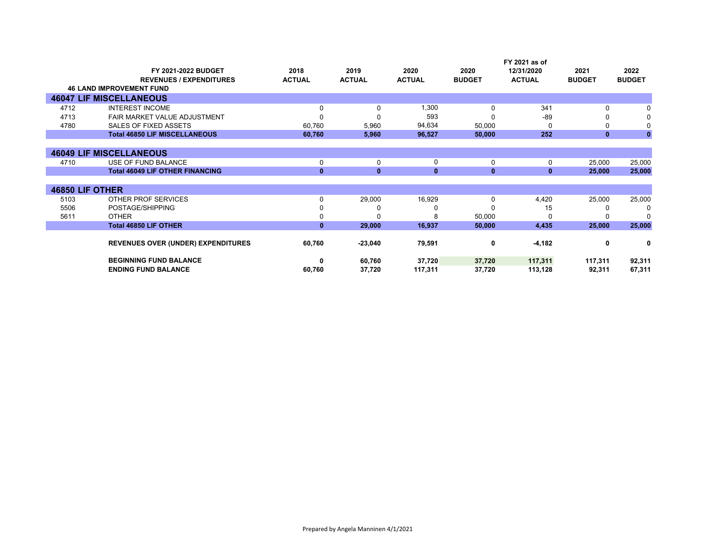|                 | <b>FY 2021-2022 BUDGET</b><br><b>REVENUES / EXPENDITURES</b><br><b>46 LAND IMPROVEMENT FUND</b> | 2018<br><b>ACTUAL</b> | 2019<br><b>ACTUAL</b> | 2020<br><b>ACTUAL</b> | 2020<br><b>BUDGET</b> | FY 2021 as of<br>12/31/2020<br><b>ACTUAL</b> | 2021<br><b>BUDGET</b> | 2022<br><b>BUDGET</b> |
|-----------------|-------------------------------------------------------------------------------------------------|-----------------------|-----------------------|-----------------------|-----------------------|----------------------------------------------|-----------------------|-----------------------|
|                 | <b>46047 LIF MISCELLANEOUS</b>                                                                  |                       |                       |                       |                       |                                              |                       |                       |
| 4712            | <b>INTEREST INCOME</b>                                                                          | $\Omega$              | 0                     | 1,300                 | 0                     | 341                                          | 0                     |                       |
| 4713            |                                                                                                 |                       |                       | 593                   |                       | $-89$                                        |                       |                       |
|                 | FAIR MARKET VALUE ADJUSTMENT                                                                    |                       |                       |                       |                       |                                              |                       |                       |
| 4780            | SALES OF FIXED ASSETS                                                                           | 60,760                | 5,960                 | 94,634                | 50,000                | U                                            | 0                     |                       |
|                 | <b>Total 46850 LIF MISCELLANEOUS</b>                                                            | 60,760                | 5,960                 | 96,527                | 50,000                | 252                                          | $\mathbf{0}$          | $\mathbf{0}$          |
|                 |                                                                                                 |                       |                       |                       |                       |                                              |                       |                       |
|                 | <b>46049 LIF MISCELLANEOUS</b>                                                                  |                       |                       |                       |                       |                                              |                       |                       |
| 4710            | USE OF FUND BALANCE                                                                             | 0                     | 0                     | 0                     | 0                     | 0                                            | 25,000                | 25,000                |
|                 | <b>Total 46049 LIF OTHER FINANCING</b>                                                          | $\mathbf{0}$          | $\mathbf{0}$          | $\bf{0}$              | $\mathbf{0}$          | $\mathbf{0}$                                 | 25,000                | 25,000                |
|                 |                                                                                                 |                       |                       |                       |                       |                                              |                       |                       |
| 46850 LIF OTHER |                                                                                                 |                       |                       |                       |                       |                                              |                       |                       |
| 5103            | OTHER PROF SERVICES                                                                             | 0                     | 29,000                | 16,929                | 0                     | 4,420                                        | 25,000                | 25,000                |
| 5506            | POSTAGE/SHIPPING                                                                                |                       |                       |                       |                       | 15                                           | 0                     | 0                     |
| 5611            | <b>OTHER</b>                                                                                    |                       |                       | R                     | 50,000                | U                                            |                       | $\Omega$              |
|                 | <b>Total 46850 LIF OTHER</b>                                                                    | $\mathbf{0}$          | 29,000                | 16,937                | 50,000                | 4,435                                        | 25,000                | 25,000                |
|                 | <b>REVENUES OVER (UNDER) EXPENDITURES</b>                                                       | 60,760                | $-23,040$             | 79,591                | 0                     | $-4,182$                                     | 0                     | 0                     |
|                 | <b>BEGINNING FUND BALANCE</b>                                                                   | 0                     | 60,760                | 37,720                | 37,720                | 117,311                                      | 117,311               | 92,311                |
|                 | <b>ENDING FUND BALANCE</b>                                                                      | 60,760                | 37,720                | 117,311               | 37,720                | 113,128                                      | 92,311                | 67,311                |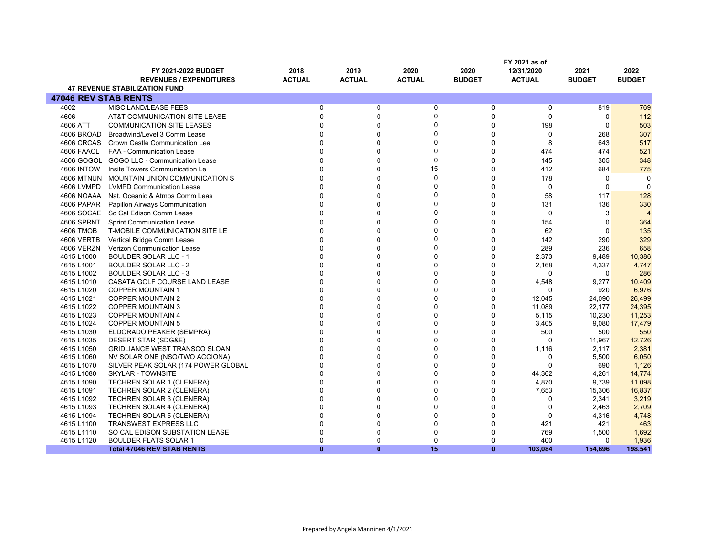|                             |                                                             |                      |                      |                      | FY 2021 as of        |                   |                |                         |
|-----------------------------|-------------------------------------------------------------|----------------------|----------------------|----------------------|----------------------|-------------------|----------------|-------------------------|
|                             | <b>FY 2021-2022 BUDGET</b>                                  | 2018                 | 2019                 | 2020                 | 2020                 | 12/31/2020        | 2021           | 2022                    |
|                             | <b>REVENUES / EXPENDITURES</b>                              | <b>ACTUAL</b>        | <b>ACTUAL</b>        | <b>ACTUAL</b>        | <b>BUDGET</b>        | <b>ACTUAL</b>     | <b>BUDGET</b>  | <b>BUDGET</b>           |
|                             | <b>47 REVENUE STABILIZATION FUND</b>                        |                      |                      |                      |                      |                   |                |                         |
| <b>47046 REV STAB RENTS</b> |                                                             |                      |                      |                      |                      |                   |                |                         |
| 4602                        | MISC LAND/LEASE FEES                                        | $\mathbf 0$          | 0                    | $\mathbf 0$          | 0                    | $\mathbf 0$       | 819            | 769                     |
| 4606                        | AT&T COMMUNICATION SITE LEASE                               | $\Omega$             | $\Omega$             | $\mathbf 0$          | $\Omega$             | $\mathbf 0$       | $\Omega$       | 112                     |
| 4606 ATT                    | <b>COMMUNICATION SITE LEASES</b>                            | $\Omega$             | $\Omega$             | $\mathbf 0$          | $\mathbf 0$          | 198               | $\Omega$       | 503                     |
| 4606 BROAD                  | Broadwind/Level 3 Comm Lease                                | $\Omega$             | $\mathbf{0}$         | $\mathbf 0$          | $\mathbf 0$          | $\mathbf 0$       | 268            | 307                     |
| 4606 CRCAS                  | Crown Castle Communication Lea                              | $\Omega$             | $\Omega$             | $\mathbf 0$          | $\Omega$             | 8                 | 643            | 517                     |
| 4606 FAACL                  | <b>FAA - Communication Lease</b>                            | $\Omega$             | $\Omega$             | $\Omega$             | $\Omega$             | 474               | 474            | 521                     |
|                             | 4606 GOGOL GOGO LLC - Communication Lease                   | $\Omega$             | $\Omega$             | $\mathbf 0$          | $\mathbf 0$          | 145               | 305            | 348                     |
| <b>4606 INTOW</b>           | Insite Towers Communication Le                              | $\Omega$             | $\Omega$             | 15                   | $\Omega$             | 412               | 684            | 775                     |
|                             | 4606 MTNUN MOUNTAIN UNION COMMUNICATION S                   | $\Omega$             | $\Omega$             | $\Omega$             | $\Omega$             | 178               | $\mathbf 0$    | 0                       |
| 4606 LVMPD                  | <b>LVMPD Communication Lease</b>                            | $\Omega$             | $\Omega$             | $\Omega$             | $\mathbf 0$          | $\mathbf 0$       | 0              | $\Omega$                |
| 4606 NOAAA                  | Nat. Oceanic & Atmos Comm Leas                              | $\Omega$             | $\mathbf{0}$         | $\mathbf 0$          | $\Omega$             | 58                | 117            | 128                     |
| 4606 PAPAR                  | Papillon Airways Communication                              | $\Omega$             | $\Omega$             | $\Omega$             | $\Omega$             | 131               | 136            | 330                     |
|                             | 4606 SOCAE So Cal Edison Comm Lease                         | $\Omega$             | $\mathbf{0}$         | $\mathbf 0$          | $\mathbf 0$          | $\mathbf 0$       | 3              | $\overline{\mathbf{A}}$ |
| 4606 SPRNT                  | <b>Sprint Communication Lease</b>                           | $\Omega$             | $\Omega$             | $\Omega$             | $\Omega$             | 154               | $\Omega$       | 364                     |
| 4606 TMOB                   | T-MOBILE COMMUNICATION SITE LE                              | $\Omega$             | $\mathbf{0}$         | $\mathbf 0$          | $\mathbf 0$          | 62                | $\Omega$       | 135                     |
| 4606 VERTB                  | Vertical Bridge Comm Lease                                  | $\Omega$             | $\mathbf{0}$         | $\mathbf 0$          | $\mathbf 0$          | 142               | 290            | 329                     |
| 4606 VERZN                  | Verizon Communication Lease                                 | $\Omega$             | $\Omega$             | $\Omega$             | $\Omega$             | 289               | 236            | 658                     |
| 4615 L1000                  | <b>BOULDER SOLAR LLC - 1</b>                                | $\Omega$             | $\Omega$             | $\Omega$             | $\Omega$             | 2,373             | 9,489          | 10,386                  |
| 4615 L1001                  | <b>BOULDER SOLAR LLC - 2</b>                                | $\Omega$             | $\Omega$             | $\mathbf 0$          | $\overline{0}$       | 2,168             | 4,337          | 4,747                   |
| 4615 L1002                  | <b>BOULDER SOLAR LLC - 3</b>                                | $\Omega$             | $\Omega$             | $\Omega$             | $\Omega$             | $\mathbf 0$       | $\Omega$       | 286                     |
| 4615 L1010                  | CASATA GOLF COURSE LAND LEASE                               | $\Omega$             | $\Omega$             | $\mathbf 0$          | $\mathbf 0$          | 4,548             | 9,277          | 10,409                  |
| 4615 L1020                  | <b>COPPER MOUNTAIN 1</b>                                    | $\Omega$             | $\Omega$             | $\Omega$             | $\Omega$             | $\Omega$          | 920            | 6,976                   |
| 4615 L1021                  | <b>COPPER MOUNTAIN 2</b>                                    | $\Omega$             | $\Omega$             | $\Omega$             | $\Omega$             | 12,045            | 24,090         | 26,499                  |
| 4615 L1022                  | <b>COPPER MOUNTAIN 3</b>                                    | $\Omega$             | $\Omega$             | $\Omega$             | $\mathbf 0$          | 11,089            | 22,177         | 24,395                  |
| 4615 L1023                  | <b>COPPER MOUNTAIN 4</b>                                    | $\Omega$             | $\Omega$             | $\Omega$             | $\Omega$             | 5,115             | 10,230         | 11,253                  |
| 4615 L1024                  | <b>COPPER MOUNTAIN 5</b>                                    | $\Omega$<br>$\Omega$ | $\Omega$<br>$\Omega$ | $\mathbf 0$          | $\mathbf 0$          | 3,405             | 9,080          | 17,479                  |
| 4615 L1030                  | ELDORADO PEAKER (SEMPRA)                                    | $\Omega$             | $\Omega$             | $\Omega$<br>$\Omega$ | $\Omega$             | 500               | 500            | 550                     |
| 4615 L1035<br>4615 L1050    | DESERT STAR (SDG&E)<br><b>GRIDLIANCE WEST TRANSCO SLOAN</b> | $\Omega$             | $\Omega$             | $\Omega$             | $\Omega$<br>$\Omega$ | $\Omega$          | 11,967         | 12,726                  |
| 4615 L1060                  | NV SOLAR ONE (NSO/TWO ACCIONA)                              | $\Omega$             | $\Omega$             | $\Omega$             | $\Omega$             | 1,116<br>$\Omega$ | 2,117<br>5,500 | 2,381<br>6,050          |
| 4615 L1070                  | SILVER PEAK SOLAR (174 POWER GLOBAL                         | $\Omega$             | $\mathbf{0}$         | $\mathbf 0$          | $\mathbf 0$          | $\Omega$          | 690            | 1,126                   |
| 4615 L1080                  | <b>SKYLAR - TOWNSITE</b>                                    | $\Omega$             | $\Omega$             | $\Omega$             | $\Omega$             | 44,362            | 4,261          | 14,774                  |
| 4615 L1090                  | TECHREN SOLAR 1 (CLENERA)                                   | $\Omega$             | $\Omega$             | $\mathbf 0$          | $\mathbf 0$          | 4,870             | 9,739          | 11,098                  |
| 4615 L1091                  | <b>TECHREN SOLAR 2 (CLENERA)</b>                            | $\Omega$             | $\Omega$             | $\Omega$             | $\Omega$             | 7,653             | 15,306         | 16,837                  |
| 4615 L1092                  | <b>TECHREN SOLAR 3 (CLENERA)</b>                            | $\Omega$             | $\Omega$             | $\Omega$             | $\Omega$             | $\Omega$          | 2,341          | 3,219                   |
| 4615 L1093                  | TECHREN SOLAR 4 (CLENERA)                                   | $\Omega$             | $\Omega$             | $\Omega$             | $\mathbf 0$          | $\Omega$          | 2,463          | 2,709                   |
| 4615 L1094                  | <b>TECHREN SOLAR 5 (CLENERA)</b>                            | $\Omega$             | $\Omega$             | $\Omega$             | $\Omega$             | $\mathbf 0$       | 4,316          | 4,748                   |
| 4615 L1100                  | <b>TRANSWEST EXPRESS LLC</b>                                | $\mathbf 0$          | $\Omega$             | $\mathbf 0$          | $\mathbf 0$          | 421               | 421            | 463                     |
| 4615 L1110                  | SO CAL EDISON SUBSTATION LEASE                              | $\Omega$             | $\Omega$             | $\mathbf 0$          | $\Omega$             | 769               | 1,500          | 1,692                   |
| 4615 L1120                  | <b>BOULDER FLATS SOLAR 1</b>                                | $\Omega$             | $\Omega$             | $\Omega$             | $\Omega$             | 400               | $\Omega$       | 1,936                   |
|                             | <b>Total 47046 REV STAB RENTS</b>                           | $\mathbf{0}$         | $\mathbf{0}$         | 15                   | $\mathbf{0}$         | 103,084           | 154,696        | 198,541                 |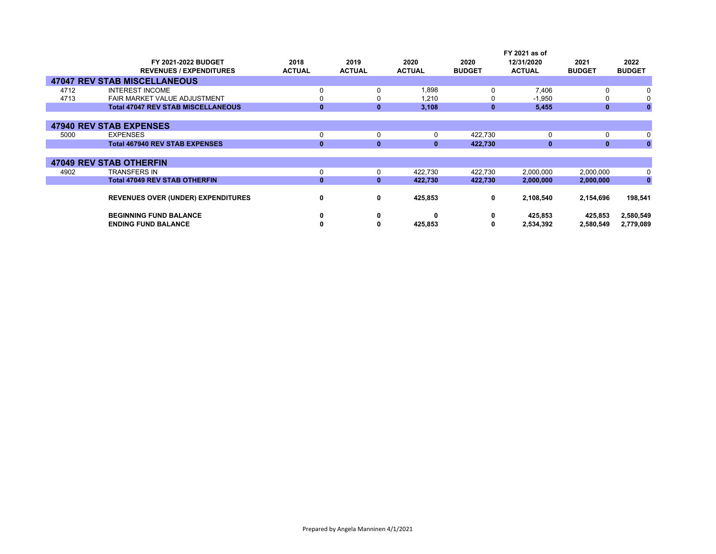|      |                                           |               |               |               |               | FY 2021 as of |               |               |
|------|-------------------------------------------|---------------|---------------|---------------|---------------|---------------|---------------|---------------|
|      | <b>FY 2021-2022 BUDGET</b>                | 2018          | 2019          | 2020          | 2020          | 12/31/2020    | 2021          | 2022          |
|      | <b>REVENUES / EXPENDITURES</b>            | <b>ACTUAL</b> | <b>ACTUAL</b> | <b>ACTUAL</b> | <b>BUDGET</b> | <b>ACTUAL</b> | <b>BUDGET</b> | <b>BUDGET</b> |
|      | <b>47047 REV STAB MISCELLANEOUS</b>       |               |               |               |               |               |               |               |
| 4712 | <b>INTEREST INCOME</b>                    | 0             | 0             | 0.898         | 0             | 7,406         | 0             | 0             |
| 4713 | FAIR MARKET VALUE ADJUSTMENT              | 0             |               | 1,210         |               | $-1,950$      | 0             | 0             |
|      | <b>Total 47047 REV STAB MISCELLANEOUS</b> | $\mathbf{0}$  | 0             | 3,108         | 0             | 5,455         | $\mathbf{0}$  | $\mathbf{0}$  |
|      |                                           |               |               |               |               |               |               |               |
|      | <b>47940 REV STAB EXPENSES</b>            |               |               |               |               |               |               |               |
| 5000 | <b>EXPENSES</b>                           | 0             | 0             | 0             | 422,730       | 0             | 0             | 0             |
|      | <b>Total 467940 REV STAB EXPENSES</b>     | 0             | $\mathbf{0}$  | $\mathbf{0}$  | 422,730       | $\bf{0}$      | $\mathbf{0}$  | $\mathbf{0}$  |
|      |                                           |               |               |               |               |               |               |               |
|      | <b>47049 REV STAB OTHERFIN</b>            |               |               |               |               |               |               |               |
| 4902 | <b>TRANSFERS IN</b>                       | 0             | 0             | 422,730       | 422,730       | 2,000,000     | 2,000,000     | 0             |
|      | <b>Total 47049 REV STAB OTHERFIN</b>      | $\bf{0}$      | 0             | 422,730       | 422,730       | 2,000,000     | 2,000,000     | $\mathbf{0}$  |
|      |                                           |               |               |               |               |               |               |               |
|      | <b>REVENUES OVER (UNDER) EXPENDITURES</b> | 0             | 0             | 425,853       | 0             | 2,108,540     | 2,154,696     | 198,541       |
|      |                                           |               |               |               |               |               |               |               |
|      | <b>BEGINNING FUND BALANCE</b>             | 0             | 0             | O             | 0             | 425,853       | 425,853       | 2,580,549     |
|      | <b>ENDING FUND BALANCE</b>                | 0             | 0             | 425,853       | 0             | 2,534,392     | 2,580,549     | 2,779,089     |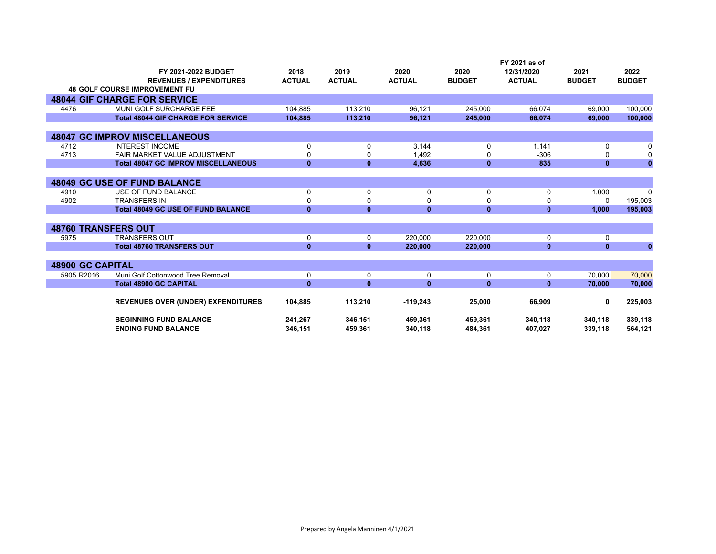|                            | FY 2021-2022 BUDGET                        | 2018          | 2019          | 2020          | 2020          | FY 2021 as of<br>12/31/2020 | 2021          | 2022          |
|----------------------------|--------------------------------------------|---------------|---------------|---------------|---------------|-----------------------------|---------------|---------------|
|                            | <b>REVENUES / EXPENDITURES</b>             | <b>ACTUAL</b> | <b>ACTUAL</b> | <b>ACTUAL</b> | <b>BUDGET</b> | <b>ACTUAL</b>               | <b>BUDGET</b> | <b>BUDGET</b> |
|                            | <b>48 GOLF COURSE IMPROVEMENT FU</b>       |               |               |               |               |                             |               |               |
|                            | <b>48044 GIF CHARGE FOR SERVICE</b>        |               |               |               |               |                             |               |               |
| 4476                       | MUNI GOLF SURCHARGE FEE                    | 104,885       | 113,210       | 96,121        | 245,000       | 66,074                      | 69,000        | 100,000       |
|                            | <b>Total 48044 GIF CHARGE FOR SERVICE</b>  | 104,885       | 113,210       | 96,121        | 245,000       | 66,074                      | 69,000        | 100,000       |
|                            |                                            |               |               |               |               |                             |               |               |
|                            | <b>48047 GC IMPROV MISCELLANEOUS</b>       |               |               |               |               |                             |               |               |
| 4712                       | <b>INTEREST INCOME</b>                     | 0             | 0             | 3,144         | 0             | 1,141                       | 0             | $\Omega$      |
| 4713                       | <b>FAIR MARKET VALUE ADJUSTMENT</b>        | 0             | 0             | 1,492         | 0             | $-306$                      | ŋ             | 0             |
|                            | <b>Total 48047 GC IMPROV MISCELLANEOUS</b> | $\mathbf{0}$  | $\mathbf{0}$  | 4.636         | $\mathbf{0}$  | 835                         | $\mathbf{0}$  | $\mathbf{0}$  |
|                            |                                            |               |               |               |               |                             |               |               |
|                            | <b>48049 GC USE OF FUND BALANCE</b>        |               |               |               |               |                             |               |               |
| 4910                       | USE OF FUND BALANCE                        | 0             | 0             | 0             | 0             | 0                           | 1,000         | $\Omega$      |
| 4902                       | <b>TRANSFERS IN</b>                        | 0             | 0             | $\Omega$      | 0             | 0                           | 0             | 195,003       |
|                            | <b>Total 48049 GC USE OF FUND BALANCE</b>  | $\mathbf{0}$  | $\mathbf{0}$  | $\mathbf{0}$  | $\mathbf{0}$  | $\mathbf{0}$                | 1,000         | 195,003       |
|                            |                                            |               |               |               |               |                             |               |               |
| <b>48760 TRANSFERS OUT</b> |                                            |               |               |               |               |                             |               |               |
| 5975                       | <b>TRANSFERS OUT</b>                       | 0             | 0             | 220.000       | 220.000       | $\mathbf 0$                 | $\Omega$      |               |
|                            | <b>Total 48760 TRANSFERS OUT</b>           | $\mathbf{0}$  | $\mathbf{0}$  | 220,000       | 220,000       | $\mathbf{0}$                | $\mathbf{0}$  | $\mathbf{0}$  |
|                            |                                            |               |               |               |               |                             |               |               |
| <b>48900 GC CAPITAL</b>    |                                            |               |               |               |               |                             |               |               |
| 5905 R2016                 | Muni Golf Cottonwood Tree Removal          | 0             | $\mathbf 0$   | $\mathbf 0$   | 0             | 0                           | 70.000        | 70,000        |
|                            | <b>Total 48900 GC CAPITAL</b>              | $\mathbf{0}$  | $\mathbf{0}$  | $\mathbf{0}$  | $\mathbf{0}$  | $\mathbf{0}$                | 70,000        | 70,000        |
|                            |                                            |               |               |               |               |                             | 0             |               |
|                            | <b>REVENUES OVER (UNDER) EXPENDITURES</b>  | 104,885       | 113,210       | $-119,243$    | 25,000        | 66,909                      |               | 225,003       |
|                            | <b>BEGINNING FUND BALANCE</b>              | 241,267       | 346,151       | 459,361       | 459,361       | 340,118                     | 340,118       | 339,118       |
|                            | <b>ENDING FUND BALANCE</b>                 | 346,151       | 459.361       | 340,118       | 484,361       | 407,027                     | 339,118       | 564,121       |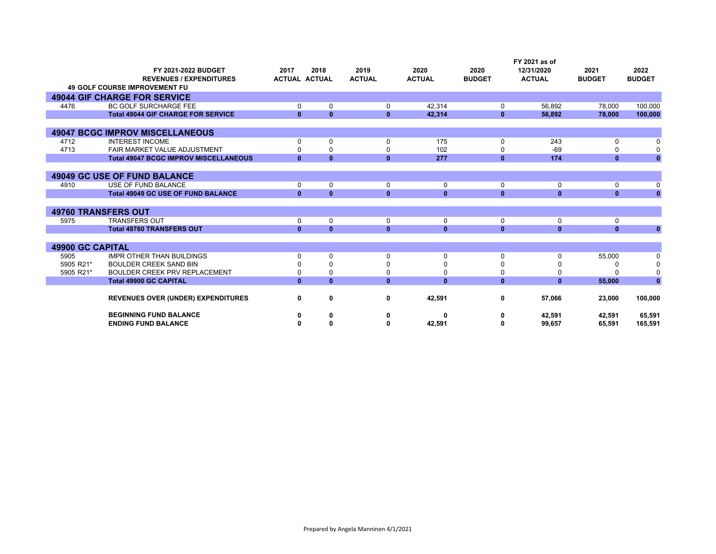|                         |                                              |              |                      |               |               |               | FY 2021 as of |               |               |
|-------------------------|----------------------------------------------|--------------|----------------------|---------------|---------------|---------------|---------------|---------------|---------------|
|                         | FY 2021-2022 BUDGET                          | 2017         | 2018                 | 2019          | 2020          | 2020          | 12/31/2020    | 2021          | 2022          |
|                         | <b>REVENUES / EXPENDITURES</b>               |              | <b>ACTUAL ACTUAL</b> | <b>ACTUAL</b> | <b>ACTUAL</b> | <b>BUDGET</b> | <b>ACTUAL</b> | <b>BUDGET</b> | <b>BUDGET</b> |
|                         | <b>49 GOLF COURSE IMPROVEMENT FU</b>         |              |                      |               |               |               |               |               |               |
|                         | <b>49044 GIF CHARGE FOR SERVICE</b>          |              |                      |               |               |               |               |               |               |
| 4476                    | <b>BC GOLF SURCHARGE FEE</b>                 | $\Omega$     | 0                    | 0             | 42,314        | 0             | 56,892        | 78,000        | 100,000       |
|                         | <b>Total 49044 GIF CHARGE FOR SERVICE</b>    | $\mathbf{0}$ | $\mathbf{0}$         | $\mathbf{0}$  | 42,314        | $\mathbf{0}$  | 56,892        | 78,000        | 100,000       |
|                         |                                              |              |                      |               |               |               |               |               |               |
|                         | <b>49047 BCGC IMPROV MISCELLANEOUS</b>       |              |                      |               |               |               |               |               |               |
| 4712                    | <b>INTEREST INCOME</b>                       |              | 0                    | $\Omega$      | 175           | 0             | 243           |               |               |
| 4713                    | FAIR MARKET VALUE ADJUSTMENT                 |              | $\Omega$             |               | 102           |               | $-69$         |               |               |
|                         | <b>Total 49047 BCGC IMPROV MISCELLANEOUS</b> | $\mathbf{0}$ | $\mathbf{0}$         | $\bf{0}$      | 277           | $\mathbf{0}$  | 174           | $\mathbf{0}$  | $\mathbf{0}$  |
|                         |                                              |              |                      |               |               |               |               |               |               |
|                         | <b>49049 GC USE OF FUND BALANCE</b>          |              |                      |               |               |               |               |               |               |
| 4910                    | USE OF FUND BALANCE                          | 0            | 0                    | 0             | 0             | 0             | 0             | 0             | 0             |
|                         | <b>Total 49049 GC USE OF FUND BALANCE</b>    | $\mathbf{0}$ | $\mathbf{0}$         | $\mathbf{0}$  | $\mathbf{0}$  | $\mathbf{0}$  | $\mathbf{0}$  | $\mathbf{0}$  | $\mathbf{0}$  |
|                         |                                              |              |                      |               |               |               |               |               |               |
|                         | <b>49760 TRANSFERS OUT</b>                   |              |                      |               |               |               |               |               |               |
| 5975                    | <b>TRANSFERS OUT</b>                         | $\Omega$     | 0                    | $\Omega$      | 0             | 0             | 0             | 0             |               |
|                         | <b>Total 49760 TRANSFERS OUT</b>             | $\mathbf{0}$ | $\mathbf{0}$         | $\mathbf{0}$  | $\mathbf{0}$  | $\mathbf{0}$  | $\mathbf{0}$  | $\mathbf{0}$  | $\mathbf{0}$  |
|                         |                                              |              |                      |               |               |               |               |               |               |
| <b>49900 GC CAPITAL</b> |                                              |              |                      |               |               |               |               |               |               |
| 5905                    | <b>IMPR OTHER THAN BUILDINGS</b>             | n            | $\mathbf 0$          | $\Omega$      | 0             | $\Omega$      | $\Omega$      | 55,000        |               |
| 5905 R21*               | <b>BOULDER CREEK SAND BIN</b>                |              | 0                    |               | 0             |               |               |               |               |
| 5905 R21*               | <b>BOULDER CREEK PRV REPLACEMENT</b>         |              | 0                    |               | 0             | O             | 0             |               |               |
|                         | <b>Total 49900 GC CAPITAL</b>                | $\mathbf{0}$ | $\mathbf{0}$         | $\mathbf{0}$  | $\mathbf{0}$  | $\mathbf{0}$  | $\mathbf{0}$  | 55,000        | $\mathbf{0}$  |
|                         |                                              |              |                      |               |               |               |               |               |               |
|                         | <b>REVENUES OVER (UNDER) EXPENDITURES</b>    | 0            | 0                    | 0             | 42,591        | 0             | 57,066        | 23,000        | 100,000       |
|                         | <b>BEGINNING FUND BALANCE</b>                |              | 0                    |               | 0             | ŋ             | 42,591        | 42,591        | 65,591        |
|                         | <b>ENDING FUND BALANCE</b>                   |              | 0                    |               | 42,591        | ŋ             | 99,657        | 65,591        | 165,591       |
|                         |                                              |              |                      |               |               |               |               |               |               |